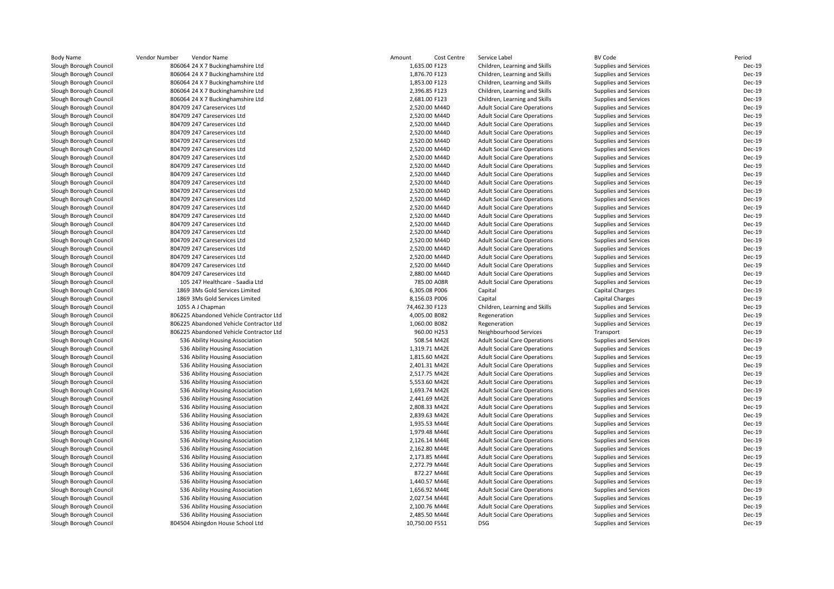| <b>Body Name</b>       | Vendor Number<br>Vendor Name                                   | Amount<br>Cost Centre        | Service Label                       | <b>BV Code</b>               | Period           |
|------------------------|----------------------------------------------------------------|------------------------------|-------------------------------------|------------------------------|------------------|
| Slough Borough Council | 806064 24 X 7 Buckinghamshire Ltd                              | 1,635.00 F123                | Children, Learning and Skills       | Supplies and Services        | Dec-19           |
| Slough Borough Council | 806064 24 X 7 Buckinghamshire Ltd                              | 1,876.70 F123                | Children, Learning and Skills       | Supplies and Services        | Dec-19           |
| Slough Borough Council | 806064 24 X 7 Buckinghamshire Ltd                              | 1,853.00 F123                | Children, Learning and Skills       | Supplies and Services        | Dec-19           |
| Slough Borough Council | 806064 24 X 7 Buckinghamshire Ltd                              | 2,396.85 F123                | Children, Learning and Skills       | Supplies and Services        | Dec-19           |
| Slough Borough Council | 806064 24 X 7 Buckinghamshire Ltd                              | 2,681.00 F123                | Children, Learning and Skills       | Supplies and Services        | Dec-19           |
| Slough Borough Council | 804709 247 Careservices Ltd                                    | 2,520.00 M44D                | <b>Adult Social Care Operations</b> | Supplies and Services        | Dec-19           |
| Slough Borough Council | 804709 247 Careservices Ltd                                    | 2,520.00 M44D                | <b>Adult Social Care Operations</b> | Supplies and Services        | Dec-19           |
| Slough Borough Council | 804709 247 Careservices Ltd                                    | 2,520.00 M44D                | <b>Adult Social Care Operations</b> | Supplies and Services        | Dec-19           |
| Slough Borough Council | 804709 247 Careservices Ltd                                    | 2,520.00 M44D                | <b>Adult Social Care Operations</b> | Supplies and Services        | Dec-19           |
| Slough Borough Council | 804709 247 Careservices Ltd                                    | 2,520.00 M44D                | <b>Adult Social Care Operations</b> | Supplies and Services        | Dec-19           |
| Slough Borough Council | 804709 247 Careservices Ltd                                    | 2,520.00 M44D                | <b>Adult Social Care Operations</b> | Supplies and Services        | Dec-19           |
| Slough Borough Council | 804709 247 Careservices Ltd                                    | 2,520.00 M44D                | <b>Adult Social Care Operations</b> | Supplies and Services        | Dec-19           |
| Slough Borough Council | 804709 247 Careservices Ltd                                    | 2,520.00 M44D                | <b>Adult Social Care Operations</b> | Supplies and Services        | Dec-19           |
| Slough Borough Council | 804709 247 Careservices Ltd                                    | 2,520.00 M44D                | <b>Adult Social Care Operations</b> | Supplies and Services        | Dec-19           |
| Slough Borough Council | 804709 247 Careservices Ltd                                    | 2,520.00 M44D                | <b>Adult Social Care Operations</b> | Supplies and Services        | Dec-19           |
| Slough Borough Council | 804709 247 Careservices Ltd                                    | 2,520.00 M44D                | <b>Adult Social Care Operations</b> | Supplies and Services        | Dec-19           |
| Slough Borough Council | 804709 247 Careservices Ltd                                    | 2,520.00 M44D                | <b>Adult Social Care Operations</b> | Supplies and Services        | Dec-19           |
| Slough Borough Council | 804709 247 Careservices Ltd                                    | 2,520.00 M44D                | <b>Adult Social Care Operations</b> | Supplies and Services        | Dec-19           |
| Slough Borough Council | 804709 247 Careservices Ltd                                    | 2,520.00 M44D                | <b>Adult Social Care Operations</b> | Supplies and Services        | Dec-19           |
| Slough Borough Council | 804709 247 Careservices Ltd                                    | 2,520.00 M44D                | <b>Adult Social Care Operations</b> | <b>Supplies and Services</b> | Dec-19           |
| Slough Borough Council | 804709 247 Careservices Ltd                                    | 2,520.00 M44D                | <b>Adult Social Care Operations</b> | Supplies and Services        | Dec-19           |
| Slough Borough Council | 804709 247 Careservices Ltd                                    | 2,520.00 M44D                | <b>Adult Social Care Operations</b> | Supplies and Services        | Dec-19           |
| Slough Borough Council | 804709 247 Careservices Ltd                                    | 2,520.00 M44D                | <b>Adult Social Care Operations</b> | Supplies and Services        | Dec-19           |
| Slough Borough Council | 804709 247 Careservices Ltd                                    | 2,520.00 M44D                | <b>Adult Social Care Operations</b> | Supplies and Services        | Dec-19           |
| Slough Borough Council | 804709 247 Careservices Ltd                                    | 2,520.00 M44D                | <b>Adult Social Care Operations</b> | Supplies and Services        | Dec-19           |
|                        |                                                                |                              |                                     |                              | Dec-19           |
| Slough Borough Council | 804709 247 Careservices Ltd<br>105 247 Healthcare - Saadia Ltd | 2,880.00 M44D<br>785.00 A08R | <b>Adult Social Care Operations</b> | Supplies and Services        | Dec-19           |
| Slough Borough Council |                                                                |                              | <b>Adult Social Care Operations</b> | <b>Supplies and Services</b> |                  |
| Slough Borough Council | 1869 3Ms Gold Services Limited                                 | 6,305.08 P006                | Capital                             | <b>Capital Charges</b>       | Dec-19           |
| Slough Borough Council | 1869 3Ms Gold Services Limited                                 | 8,156.03 P006                | Capital                             | <b>Capital Charges</b>       | Dec-19<br>Dec-19 |
| Slough Borough Council | 1055 A J Chapman                                               | 74,462.30 F123               | Children, Learning and Skills       | Supplies and Services        |                  |
| Slough Borough Council | 806225 Abandoned Vehicle Contractor Ltd                        | 4,005.00 B082                | Regeneration                        | Supplies and Services        | Dec-19           |
| Slough Borough Council | 806225 Abandoned Vehicle Contractor Ltd                        | 1,060.00 B082                | Regeneration                        | Supplies and Services        | Dec-19           |
| Slough Borough Council | 806225 Abandoned Vehicle Contractor Ltd                        | 960.00 H253                  | Neighbourhood Services              | Transport                    | Dec-19           |
| Slough Borough Council | 536 Ability Housing Association                                | 508.54 M42E                  | <b>Adult Social Care Operations</b> | Supplies and Services        | Dec-19           |
| Slough Borough Council | 536 Ability Housing Association                                | 1,319.71 M42E                | <b>Adult Social Care Operations</b> | Supplies and Services        | Dec-19           |
| Slough Borough Council | 536 Ability Housing Association                                | 1,815.60 M42E                | <b>Adult Social Care Operations</b> | Supplies and Services        | Dec-19           |
| Slough Borough Council | 536 Ability Housing Association                                | 2,401.31 M42E                | <b>Adult Social Care Operations</b> | Supplies and Services        | Dec-19           |
| Slough Borough Council | 536 Ability Housing Association                                | 2,517.75 M42E                | <b>Adult Social Care Operations</b> | Supplies and Services        | Dec-19           |
| Slough Borough Council | 536 Ability Housing Association                                | 5,553.60 M42E                | <b>Adult Social Care Operations</b> | Supplies and Services        | Dec-19           |
| Slough Borough Council | 536 Ability Housing Association                                | 1,693.74 M42E                | <b>Adult Social Care Operations</b> | Supplies and Services        | Dec-19           |
| Slough Borough Council | 536 Ability Housing Association                                | 2,441.69 M42E                | <b>Adult Social Care Operations</b> | Supplies and Services        | Dec-19           |
| Slough Borough Council | 536 Ability Housing Association                                | 2,808.33 M42E                | <b>Adult Social Care Operations</b> | Supplies and Services        | Dec-19           |
| Slough Borough Council | 536 Ability Housing Association                                | 2,839.63 M42E                | <b>Adult Social Care Operations</b> | Supplies and Services        | Dec-19           |
| Slough Borough Council | 536 Ability Housing Association                                | 1,935.53 M44E                | <b>Adult Social Care Operations</b> | Supplies and Services        | Dec-19           |
| Slough Borough Council | 536 Ability Housing Association                                | 1,979.48 M44E                | <b>Adult Social Care Operations</b> | Supplies and Services        | Dec-19           |
| Slough Borough Council | 536 Ability Housing Association                                | 2,126.14 M44E                | <b>Adult Social Care Operations</b> | Supplies and Services        | Dec-19           |
| Slough Borough Council | 536 Ability Housing Association                                | 2,162.80 M44E                | <b>Adult Social Care Operations</b> | Supplies and Services        | Dec-19           |
| Slough Borough Council | 536 Ability Housing Association                                | 2,173.85 M44E                | <b>Adult Social Care Operations</b> | Supplies and Services        | Dec-19           |
| Slough Borough Council | 536 Ability Housing Association                                | 2,272.79 M44E                | <b>Adult Social Care Operations</b> | Supplies and Services        | Dec-19           |
| Slough Borough Council | 536 Ability Housing Association                                | 872.27 M44E                  | <b>Adult Social Care Operations</b> | Supplies and Services        | Dec-19           |
| Slough Borough Council | 536 Ability Housing Association                                | 1,440.57 M44E                | <b>Adult Social Care Operations</b> | Supplies and Services        | Dec-19           |
| Slough Borough Council | 536 Ability Housing Association                                | 1,656.92 M44E                | <b>Adult Social Care Operations</b> | Supplies and Services        | Dec-19           |
| Slough Borough Council | 536 Ability Housing Association                                | 2,027.54 M44E                | <b>Adult Social Care Operations</b> | Supplies and Services        | Dec-19           |
| Slough Borough Council | 536 Ability Housing Association                                | 2,100.76 M44E                | <b>Adult Social Care Operations</b> | Supplies and Services        | Dec-19           |
| Slough Borough Council | 536 Ability Housing Association                                | 2,485.50 M44E                | <b>Adult Social Care Operations</b> | Supplies and Services        | Dec-19           |
| Slough Borough Council | 804504 Abingdon House School Ltd                               | 10,750.00 F551               | <b>DSG</b>                          | Supplies and Services        | Dec-19           |
|                        |                                                                |                              |                                     |                              |                  |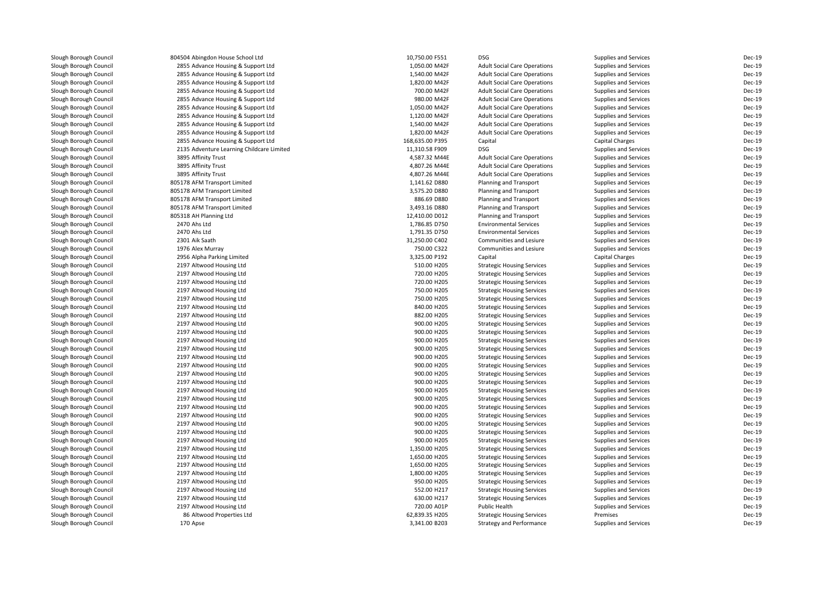| Slough Borough Council | 804504 Abingdon House School Ltd                     | 10,750.00 F551  | <b>DSG</b>                          | <b>Supplies and Services</b> | Dec-19        |
|------------------------|------------------------------------------------------|-----------------|-------------------------------------|------------------------------|---------------|
| Slough Borough Council | 2855 Advance Housing & Support Ltd                   | 1,050.00 M42F   | <b>Adult Social Care Operations</b> | Supplies and Services        | Dec-19        |
| Slough Borough Council | 2855 Advance Housing & Support Ltd                   | 1,540.00 M42F   | <b>Adult Social Care Operations</b> | Supplies and Services        | Dec-19        |
| Slough Borough Council | 2855 Advance Housing & Support Ltd                   | 1,820.00 M42F   | <b>Adult Social Care Operations</b> | Supplies and Services        | Dec-19        |
| Slough Borough Council | 2855 Advance Housing & Support Ltd                   | 700.00 M42F     | <b>Adult Social Care Operations</b> | Supplies and Services        | <b>Dec-19</b> |
| Slough Borough Council | 2855 Advance Housing & Support Ltd                   | 980.00 M42F     | <b>Adult Social Care Operations</b> | Supplies and Services        | <b>Dec-19</b> |
| Slough Borough Council | 2855 Advance Housing & Support Ltd                   | 1,050.00 M42F   | <b>Adult Social Care Operations</b> | Supplies and Services        | Dec-19        |
| Slough Borough Council | 2855 Advance Housing & Support Ltd                   | 1,120.00 M42F   | <b>Adult Social Care Operations</b> | Supplies and Services        | Dec-19        |
| Slough Borough Council | 2855 Advance Housing & Support Ltd                   | 1,540.00 M42F   | <b>Adult Social Care Operations</b> | Supplies and Services        | Dec-19        |
| Slough Borough Council | 2855 Advance Housing & Support Ltd                   | 1,820.00 M42F   | <b>Adult Social Care Operations</b> | Supplies and Services        | Dec-19        |
| Slough Borough Council | 2855 Advance Housing & Support Ltd                   | 168,635.00 P395 | Capital                             | <b>Capital Charges</b>       | Dec-19        |
| Slough Borough Council | 2135 Adventure Learning Childcare Limited            | 11,310.58 F909  | <b>DSG</b>                          | Supplies and Services        | Dec-19        |
| Slough Borough Council | 3895 Affinity Trust                                  | 4,587.32 M44E   | <b>Adult Social Care Operations</b> | Supplies and Services        | Dec-19        |
| Slough Borough Council | 3895 Affinity Trust                                  | 4,807.26 M44E   | <b>Adult Social Care Operations</b> | Supplies and Services        | Dec-19        |
| Slough Borough Council | 3895 Affinity Trust                                  | 4,807.26 M44E   | <b>Adult Social Care Operations</b> | Supplies and Services        | Dec-19        |
| Slough Borough Council | 805178 AFM Transport Limited                         | 1,141.62 D880   | Planning and Transport              | Supplies and Services        | Dec-19        |
| Slough Borough Council | 805178 AFM Transport Limited                         | 3,575.20 D880   | Planning and Transport              | Supplies and Services        | Dec-19        |
| Slough Borough Council | 805178 AFM Transport Limited                         | 886.69 D880     | Planning and Transport              | Supplies and Services        | Dec-19        |
| Slough Borough Council | 805178 AFM Transport Limited                         | 3,493.16 D880   | Planning and Transport              | Supplies and Services        | Dec-19        |
| Slough Borough Council | 805318 AH Planning Ltd                               | 12,410.00 D012  | Planning and Transport              | Supplies and Services        | Dec-19        |
| Slough Borough Council | 2470 Ahs Ltd                                         | 1,786.85 D750   | <b>Environmental Services</b>       | Supplies and Services        | Dec-19        |
| Slough Borough Council | 2470 Ahs Ltd                                         | 1,791.35 D750   | <b>Environmental Services</b>       | Supplies and Services        | Dec-19        |
| Slough Borough Council | 2301 Aik Saath                                       | 31,250.00 C402  | Communities and Lesiure             | Supplies and Services        | Dec-19        |
| Slough Borough Council | 1976 Alex Murray                                     | 750.00 C322     | Communities and Lesiure             | Supplies and Services        | Dec-19        |
| Slough Borough Council | 2956 Alpha Parking Limited                           | 3,325.00 P192   | Capital                             | <b>Capital Charges</b>       | Dec-19        |
| Slough Borough Council | 2197 Altwood Housing Ltd                             | 510.00 H205     | <b>Strategic Housing Services</b>   | Supplies and Services        | Dec-19        |
| Slough Borough Council | 2197 Altwood Housing Ltd                             | 720.00 H205     | <b>Strategic Housing Services</b>   | Supplies and Services        | Dec-19        |
| Slough Borough Council |                                                      | 720.00 H205     |                                     |                              | Dec-19        |
| Slough Borough Council | 2197 Altwood Housing Ltd<br>2197 Altwood Housing Ltd | 750.00 H205     | <b>Strategic Housing Services</b>   | Supplies and Services        | Dec-19        |
|                        | 2197 Altwood Housing Ltd                             | 750.00 H205     | <b>Strategic Housing Services</b>   | Supplies and Services        | Dec-19        |
| Slough Borough Council |                                                      | 840.00 H205     | <b>Strategic Housing Services</b>   | Supplies and Services        | Dec-19        |
| Slough Borough Council | 2197 Altwood Housing Ltd                             |                 | <b>Strategic Housing Services</b>   | Supplies and Services        | Dec-19        |
| Slough Borough Council | 2197 Altwood Housing Ltd                             | 882.00 H205     | <b>Strategic Housing Services</b>   | Supplies and Services        |               |
| Slough Borough Council | 2197 Altwood Housing Ltd                             | 900.00 H205     | <b>Strategic Housing Services</b>   | Supplies and Services        | Dec-19        |
| Slough Borough Council | 2197 Altwood Housing Ltd                             | 900.00 H205     | <b>Strategic Housing Services</b>   | <b>Supplies and Services</b> | Dec-19        |
| Slough Borough Council | 2197 Altwood Housing Ltd                             | 900.00 H205     | <b>Strategic Housing Services</b>   | Supplies and Services        | Dec-19        |
| Slough Borough Council | 2197 Altwood Housing Ltd                             | 900.00 H205     | <b>Strategic Housing Services</b>   | Supplies and Services        | Dec-19        |
| Slough Borough Council | 2197 Altwood Housing Ltd                             | 900.00 H205     | <b>Strategic Housing Services</b>   | Supplies and Services        | Dec-19        |
| Slough Borough Council | 2197 Altwood Housing Ltd                             | 900.00 H205     | <b>Strategic Housing Services</b>   | Supplies and Services        | Dec-19        |
| Slough Borough Council | 2197 Altwood Housing Ltd                             | 900.00 H205     | <b>Strategic Housing Services</b>   | Supplies and Services        | Dec-19        |
| Slough Borough Council | 2197 Altwood Housing Ltd                             | 900.00 H205     | <b>Strategic Housing Services</b>   | Supplies and Services        | Dec-19        |
| Slough Borough Council | 2197 Altwood Housing Ltd                             | 900.00 H205     | <b>Strategic Housing Services</b>   | Supplies and Services        | Dec-19        |
| Slough Borough Council | 2197 Altwood Housing Ltd                             | 900.00 H205     | <b>Strategic Housing Services</b>   | Supplies and Services        | Dec-19        |
| Slough Borough Council | 2197 Altwood Housing Ltd                             | 900.00 H205     | <b>Strategic Housing Services</b>   | Supplies and Services        | Dec-19        |
| Slough Borough Council | 2197 Altwood Housing Ltd                             | 900.00 H205     | <b>Strategic Housing Services</b>   | Supplies and Services        | Dec-19        |
| Slough Borough Council | 2197 Altwood Housing Ltd                             | 900.00 H205     | <b>Strategic Housing Services</b>   | Supplies and Services        | Dec-19        |
| Slough Borough Council | 2197 Altwood Housing Ltd                             | 900.00 H205     | <b>Strategic Housing Services</b>   | Supplies and Services        | Dec-19        |
| Slough Borough Council | 2197 Altwood Housing Ltd                             | 900.00 H205     | <b>Strategic Housing Services</b>   | <b>Supplies and Services</b> | Dec-19        |
| Slough Borough Council | 2197 Altwood Housing Ltd                             | 1,350.00 H205   | <b>Strategic Housing Services</b>   | Supplies and Services        | Dec-19        |
| Slough Borough Council | 2197 Altwood Housing Ltd                             | 1,650.00 H205   | <b>Strategic Housing Services</b>   | Supplies and Services        | Dec-19        |
| Slough Borough Council | 2197 Altwood Housing Ltd                             | 1,650.00 H205   | <b>Strategic Housing Services</b>   | Supplies and Services        | Dec-19        |
| Slough Borough Council | 2197 Altwood Housing Ltd                             | 1,800.00 H205   | <b>Strategic Housing Services</b>   | Supplies and Services        | Dec-19        |
| Slough Borough Council | 2197 Altwood Housing Ltd                             | 950.00 H205     | <b>Strategic Housing Services</b>   | Supplies and Services        | Dec-19        |
| Slough Borough Council | 2197 Altwood Housing Ltd                             | 552.00 H217     | <b>Strategic Housing Services</b>   | Supplies and Services        | Dec-19        |
| Slough Borough Council | 2197 Altwood Housing Ltd                             | 630.00 H217     | <b>Strategic Housing Services</b>   | Supplies and Services        | Dec-19        |
| Slough Borough Council | 2197 Altwood Housing Ltd                             | 720.00 A01P     | Public Health                       | Supplies and Services        | Dec-19        |
| Slough Borough Council | 86 Altwood Properties Ltd                            | 62,839.35 H205  | <b>Strategic Housing Services</b>   | Premises                     | Dec-19        |
| Slough Borough Council | 170 Apse                                             | 3,341.00 B203   | <b>Strategy and Performance</b>     | Supplies and Services        | Dec-19        |
|                        |                                                      |                 |                                     |                              |               |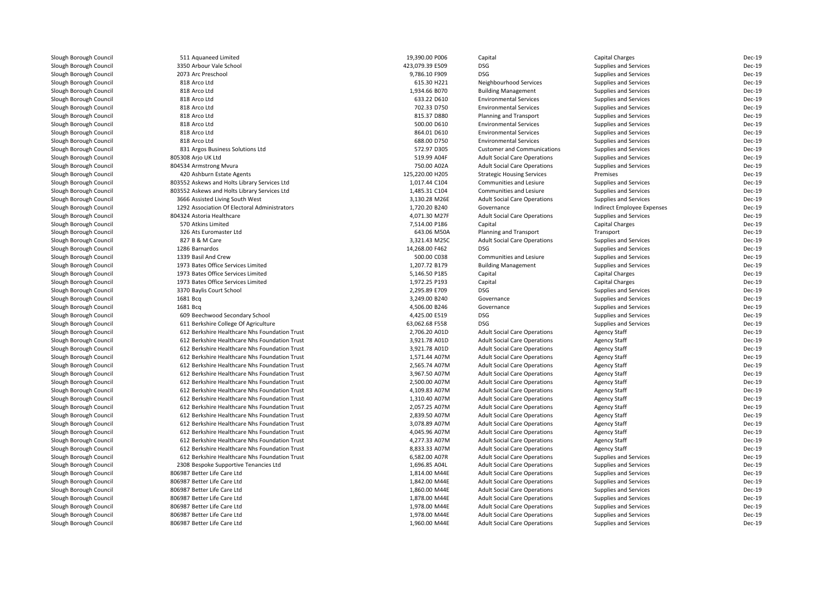| Slough Borough Council | 511 Aquaneed Limited                          | 19,390.00 P006  | Capital                                                                    | <b>Capital Charges</b>                         | Dec-19 |
|------------------------|-----------------------------------------------|-----------------|----------------------------------------------------------------------------|------------------------------------------------|--------|
| Slough Borough Council | 3350 Arbour Vale School                       | 423,079.39 E509 | <b>DSG</b>                                                                 | Supplies and Services                          | Dec-19 |
| Slough Borough Council | 2073 Arc Preschool                            | 9,786.10 F909   | <b>DSG</b>                                                                 | Supplies and Services                          | Dec-19 |
| Slough Borough Council | 818 Arco Ltd                                  | 615.30 H221     | Neighbourhood Services                                                     | Supplies and Services                          | Dec-19 |
| Slough Borough Council | 818 Arco Ltd                                  | 1,934.66 B070   | <b>Building Management</b>                                                 | Supplies and Services                          | Dec-19 |
| Slough Borough Council | 818 Arco Ltd                                  | 633.22 D610     | <b>Environmental Services</b>                                              | Supplies and Services                          | Dec-19 |
| Slough Borough Council | 818 Arco Ltd                                  | 702.33 D750     | <b>Environmental Services</b>                                              | Supplies and Services                          | Dec-19 |
| Slough Borough Council | 818 Arco Ltd                                  | 815.37 D880     | Planning and Transport                                                     | Supplies and Services                          | Dec-19 |
| Slough Borough Council | 818 Arco Ltd                                  | 500.00 D610     | <b>Environmental Services</b>                                              | Supplies and Services                          | Dec-19 |
| Slough Borough Council | 818 Arco Ltd                                  | 864.01 D610     | <b>Environmental Services</b>                                              | Supplies and Services                          | Dec-19 |
| Slough Borough Council | 818 Arco Ltd                                  | 688.00 D750     | <b>Environmental Services</b>                                              | Supplies and Services                          | Dec-19 |
| Slough Borough Council | 831 Argos Business Solutions Ltd              | 572.97 D305     | <b>Customer and Communications</b>                                         | Supplies and Services                          | Dec-19 |
| Slough Borough Council | 805308 Arjo UK Ltd                            | 519.99 A04F     | <b>Adult Social Care Operations</b>                                        | Supplies and Services                          | Dec-19 |
| Slough Borough Council | 804534 Armstrong Mvura                        | 750.00 A02A     | <b>Adult Social Care Operations</b>                                        | Supplies and Services                          | Dec-19 |
| Slough Borough Council | 420 Ashburn Estate Agents                     | 125,220.00 H205 | <b>Strategic Housing Services</b>                                          | Premises                                       | Dec-19 |
| Slough Borough Council | 803552 Askews and Holts Library Services Ltd  | 1,017.44 C104   | <b>Communities and Lesiure</b>                                             | Supplies and Services                          | Dec-19 |
| Slough Borough Council | 803552 Askews and Holts Library Services Ltd  | 1,485.31 C104   | Communities and Lesiure                                                    | Supplies and Services                          | Dec-19 |
| Slough Borough Council | 3666 Assisted Living South West               | 3,130.28 M26E   | <b>Adult Social Care Operations</b>                                        | Supplies and Services                          | Dec-19 |
| Slough Borough Council | 1292 Association Of Electoral Administrators  | 1.720.20 B240   | Governance                                                                 | Indirect Employee Expenses                     | Dec-19 |
| Slough Borough Council | 804324 Astoria Healthcare                     | 4,071.30 M27F   | <b>Adult Social Care Operations</b>                                        | Supplies and Services                          | Dec-19 |
| Slough Borough Council | 570 Atkins Limited                            | 7,514.00 P186   | Capital                                                                    | <b>Capital Charges</b>                         | Dec-19 |
| Slough Borough Council | 326 Ats Euromaster Ltd                        | 643.06 M50A     | Planning and Transport                                                     | Transport                                      | Dec-19 |
| Slough Borough Council | 827 B & M Care                                | 3,321.43 M25C   | <b>Adult Social Care Operations</b>                                        | Supplies and Services                          | Dec-19 |
| Slough Borough Council | 1286 Barnardos                                | 14,268.00 F462  | <b>DSG</b>                                                                 | Supplies and Services                          | Dec-19 |
| Slough Borough Council | 1339 Basil And Crew                           | 500.00 C038     | Communities and Lesiure                                                    | Supplies and Services                          | Dec-19 |
| Slough Borough Council | 1973 Bates Office Services Limited            | 1,207.72 B179   | <b>Building Management</b>                                                 | Supplies and Services                          | Dec-19 |
| Slough Borough Council | 1973 Bates Office Services Limited            | 5,146.50 P185   | Capital                                                                    | <b>Capital Charges</b>                         | Dec-19 |
| Slough Borough Council | 1973 Bates Office Services Limited            | 1,972.25 P193   | Capital                                                                    | Capital Charges                                | Dec-19 |
| Slough Borough Council | 3370 Baylis Court School                      | 2,295.89 E709   | <b>DSG</b>                                                                 | Supplies and Services                          | Dec-19 |
| Slough Borough Council | 1681 Bcq                                      | 3,249.00 B240   | Governance                                                                 | Supplies and Services                          | Dec-19 |
| Slough Borough Council | 1681 Bcg                                      | 4,506.00 B246   | Governance                                                                 | Supplies and Services                          | Dec-19 |
| Slough Borough Council | 609 Beechwood Secondary School                | 4,425.00 E519   | <b>DSG</b>                                                                 | Supplies and Services                          | Dec-19 |
| Slough Borough Council | 611 Berkshire College Of Agriculture          | 63,062.68 F558  | <b>DSG</b>                                                                 | Supplies and Services                          | Dec-19 |
| Slough Borough Council | 612 Berkshire Healthcare Nhs Foundation Trust | 2,706.20 A01D   | <b>Adult Social Care Operations</b>                                        | <b>Agency Staff</b>                            | Dec-19 |
| Slough Borough Council | 612 Berkshire Healthcare Nhs Foundation Trust | 3,921.78 A01D   | <b>Adult Social Care Operations</b>                                        | <b>Agency Staff</b>                            | Dec-19 |
| Slough Borough Council | 612 Berkshire Healthcare Nhs Foundation Trust | 3,921.78 A01D   | <b>Adult Social Care Operations</b>                                        | <b>Agency Staff</b>                            | Dec-19 |
| Slough Borough Council | 612 Berkshire Healthcare Nhs Foundation Trust | 1,571.44 A07M   | <b>Adult Social Care Operations</b>                                        | <b>Agency Staff</b>                            | Dec-19 |
| Slough Borough Council | 612 Berkshire Healthcare Nhs Foundation Trust | 2,565.74 A07M   | <b>Adult Social Care Operations</b>                                        | <b>Agency Staff</b>                            | Dec-19 |
| Slough Borough Council | 612 Berkshire Healthcare Nhs Foundation Trust | 3,967.50 A07M   | <b>Adult Social Care Operations</b>                                        | <b>Agency Staff</b>                            | Dec-19 |
| Slough Borough Council | 612 Berkshire Healthcare Nhs Foundation Trust | 2,500.00 A07M   | <b>Adult Social Care Operations</b>                                        | <b>Agency Staff</b>                            | Dec-19 |
| Slough Borough Council | 612 Berkshire Healthcare Nhs Foundation Trust | 4,109.83 A07M   | <b>Adult Social Care Operations</b>                                        | <b>Agency Staff</b>                            | Dec-19 |
| Slough Borough Council | 612 Berkshire Healthcare Nhs Foundation Trust | 1,310.40 A07M   | <b>Adult Social Care Operations</b>                                        | <b>Agency Staff</b>                            | Dec-19 |
| Slough Borough Council | 612 Berkshire Healthcare Nhs Foundation Trust | 2,057.25 A07M   | <b>Adult Social Care Operations</b>                                        | <b>Agency Staff</b>                            | Dec-19 |
| Slough Borough Council | 612 Berkshire Healthcare Nhs Foundation Trust | 2,839.50 A07M   | <b>Adult Social Care Operations</b>                                        | <b>Agency Staff</b>                            | Dec-19 |
| Slough Borough Council | 612 Berkshire Healthcare Nhs Foundation Trust | 3,078.89 A07M   | <b>Adult Social Care Operations</b>                                        | <b>Agency Staff</b>                            | Dec-19 |
| Slough Borough Council | 612 Berkshire Healthcare Nhs Foundation Trust | 4,045.96 A07M   | <b>Adult Social Care Operations</b>                                        | <b>Agency Staff</b>                            | Dec-19 |
| Slough Borough Council | 612 Berkshire Healthcare Nhs Foundation Trust | 4,277.33 A07M   | <b>Adult Social Care Operations</b>                                        | <b>Agency Staff</b>                            | Dec-19 |
| Slough Borough Council | 612 Berkshire Healthcare Nhs Foundation Trust | 8,833.33 A07M   | <b>Adult Social Care Operations</b>                                        | <b>Agency Staff</b>                            | Dec-19 |
| Slough Borough Council | 612 Berkshire Healthcare Nhs Foundation Trust | 6,582.00 A07R   | <b>Adult Social Care Operations</b>                                        | Supplies and Services                          | Dec-19 |
| Slough Borough Council | 2308 Bespoke Supportive Tenancies Ltd         | 1,696.85 A04L   | <b>Adult Social Care Operations</b>                                        | Supplies and Services                          | Dec-19 |
| Slough Borough Council | 806987 Better Life Care Ltd                   | 1,814.00 M44E   | <b>Adult Social Care Operations</b>                                        | Supplies and Services                          | Dec-19 |
| Slough Borough Council | 806987 Better Life Care Ltd                   | 1,842.00 M44E   | <b>Adult Social Care Operations</b>                                        | Supplies and Services                          | Dec-19 |
| Slough Borough Council | 806987 Better Life Care Ltd                   | 1,860.00 M44E   | <b>Adult Social Care Operations</b>                                        | Supplies and Services                          | Dec-19 |
| Slough Borough Council | 806987 Better Life Care Ltd                   | 1,878.00 M44E   | <b>Adult Social Care Operations</b>                                        | Supplies and Services                          | Dec-19 |
| Slough Borough Council | 806987 Better Life Care Ltd                   | 1,978.00 M44E   | <b>Adult Social Care Operations</b>                                        | Supplies and Services                          | Dec-19 |
| Slough Borough Council | 806987 Better Life Care Ltd                   | 1,978.00 M44E   |                                                                            |                                                | Dec-19 |
| Slough Borough Council | 806987 Better Life Care Ltd                   | 1,960.00 M44E   | <b>Adult Social Care Operations</b><br><b>Adult Social Care Operations</b> | Supplies and Services<br>Supplies and Services | Dec-19 |
|                        |                                               |                 |                                                                            |                                                |        |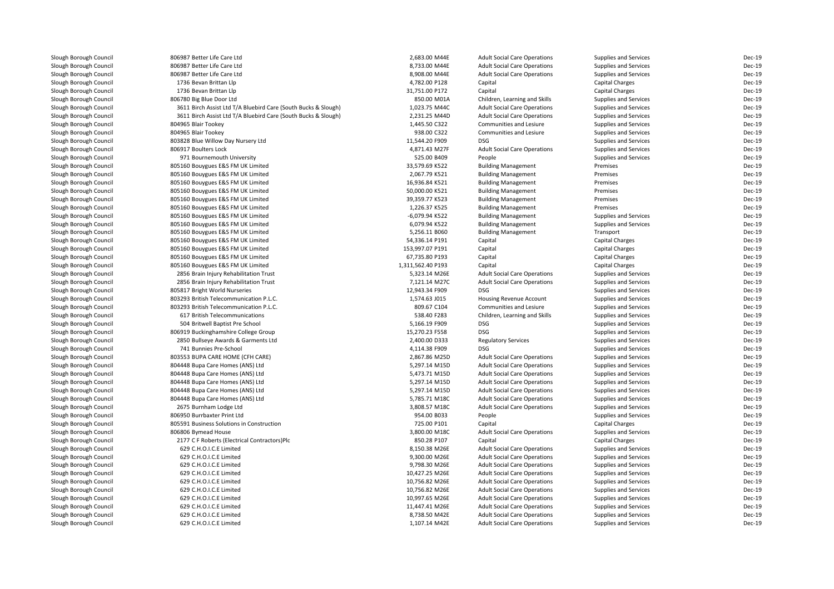| Slough Borough Council | 806987 Better Life Care Ltd                                    | 2,683.00 M44E     | <b>Adult Social Care Operations</b> | Supplies and Services  | Dec-19        |
|------------------------|----------------------------------------------------------------|-------------------|-------------------------------------|------------------------|---------------|
| Slough Borough Council | 806987 Better Life Care Ltd                                    | 8,733.00 M44E     | <b>Adult Social Care Operations</b> | Supplies and Services  | Dec-19        |
| Slough Borough Council | 806987 Better Life Care Ltd                                    | 8,908.00 M44E     | <b>Adult Social Care Operations</b> | Supplies and Services  | Dec-19        |
| Slough Borough Council | 1736 Bevan Brittan Llp                                         | 4,782.00 P128     | Capital                             | <b>Capital Charges</b> | Dec-19        |
| Slough Borough Council | 1736 Bevan Brittan Llp                                         | 31,751.00 P172    | Capital                             | <b>Capital Charges</b> | <b>Dec-19</b> |
| Slough Borough Council | 806780 Big Blue Door Ltd                                       | 850.00 M01A       | Children, Learning and Skills       | Supplies and Services  | Dec-19        |
| Slough Borough Council | 3611 Birch Assist Ltd T/A Bluebird Care (South Bucks & Slough) | 1,023.75 M44C     | <b>Adult Social Care Operations</b> | Supplies and Services  | Dec-19        |
| Slough Borough Council | 3611 Birch Assist Ltd T/A Bluebird Care (South Bucks & Slough) | 2,231.25 M44D     | <b>Adult Social Care Operations</b> | Supplies and Services  | Dec-19        |
| Slough Borough Council | 804965 Blair Tookey                                            | 1,445.50 C322     | <b>Communities and Lesiure</b>      | Supplies and Services  | <b>Dec-19</b> |
| Slough Borough Council | 804965 Blair Tookey                                            | 938.00 C322       | Communities and Lesiure             | Supplies and Services  | Dec-19        |
| Slough Borough Council | 803828 Blue Willow Day Nursery Ltd                             | 11,544.20 F909    | <b>DSG</b>                          | Supplies and Services  | Dec-19        |
| Slough Borough Council | 806917 Boulters Lock                                           | 4,871.43 M27F     | <b>Adult Social Care Operations</b> | Supplies and Services  | Dec-19        |
| Slough Borough Council | 971 Bournemouth University                                     | 525.00 B409       | People                              | Supplies and Services  | <b>Dec-19</b> |
| Slough Borough Council | 805160 Bouygues E&S FM UK Limited                              | 33,579.69 K522    | <b>Building Management</b>          | Premises               | <b>Dec-19</b> |
| Slough Borough Council |                                                                | 2,067.79 K521     |                                     | Premises               | Dec-19        |
|                        | 805160 Bouygues E&S FM UK Limited                              |                   | <b>Building Management</b>          |                        | Dec-19        |
| Slough Borough Council | 805160 Bouygues E&S FM UK Limited                              | 16,936.84 K521    | <b>Building Management</b>          | Premises<br>Premises   | <b>Dec-19</b> |
| Slough Borough Council | 805160 Bouygues E&S FM UK Limited                              | 50,000.00 K521    | <b>Building Management</b>          |                        |               |
| Slough Borough Council | 805160 Bouygues E&S FM UK Limited                              | 39,359.77 K523    | <b>Building Management</b>          | Premises               | <b>Dec-19</b> |
| Slough Borough Council | 805160 Bouygues E&S FM UK Limited                              | 1,226.37 K525     | <b>Building Management</b>          | Premises               | Dec-19        |
| Slough Borough Council | 805160 Bouygues E&S FM UK Limited                              | -6,079.94 K522    | <b>Building Management</b>          | Supplies and Services  | Dec-19        |
| Slough Borough Council | 805160 Bouygues E&S FM UK Limited                              | 6,079.94 K522     | <b>Building Management</b>          | Supplies and Services  | <b>Dec-19</b> |
| Slough Borough Council | 805160 Bouygues E&S FM UK Limited                              | 5,256.11 B060     | <b>Building Management</b>          | Transport              | <b>Dec-19</b> |
| Slough Borough Council | 805160 Bouygues E&S FM UK Limited                              | 54,336.14 P191    | Capital                             | <b>Capital Charges</b> | Dec-19        |
| Slough Borough Council | 805160 Bouygues E&S FM UK Limited                              | 153,997.07 P191   | Capital                             | <b>Capital Charges</b> | Dec-19        |
| Slough Borough Council | 805160 Bouygues E&S FM UK Limited                              | 67,735.80 P193    | Capital                             | <b>Capital Charges</b> | Dec-19        |
| Slough Borough Council | 805160 Bouygues E&S FM UK Limited                              | 1,311,562.40 P193 | Capital                             | Capital Charges        | Dec-19        |
| Slough Borough Council | 2856 Brain Injury Rehabilitation Trust                         | 5,323.14 M26E     | <b>Adult Social Care Operations</b> | Supplies and Services  | <b>Dec-19</b> |
| Slough Borough Council | 2856 Brain Injury Rehabilitation Trust                         | 7,121.14 M27C     | <b>Adult Social Care Operations</b> | Supplies and Services  | <b>Dec-19</b> |
| Slough Borough Council | 805817 Bright World Nurseries                                  | 12,943.34 F909    | <b>DSG</b>                          | Supplies and Services  | <b>Dec-19</b> |
| Slough Borough Council | 803293 British Telecommunication P.L.C.                        | 1,574.63 J015     | Housing Revenue Account             | Supplies and Services  | Dec-19        |
| Slough Borough Council | 803293 British Telecommunication P.L.C.                        | 809.67 C104       | Communities and Lesiure             | Supplies and Services  | <b>Dec-19</b> |
| Slough Borough Council | 617 British Telecommunications                                 | 538.40 F283       | Children, Learning and Skills       | Supplies and Services  | Dec-19        |
| Slough Borough Council | 504 Britwell Baptist Pre School                                | 5,166.19 F909     | <b>DSG</b>                          | Supplies and Services  | Dec-19        |
| Slough Borough Council | 806919 Buckinghamshire College Group                           | 15,270.23 F558    | <b>DSG</b>                          | Supplies and Services  | Dec-19        |
| Slough Borough Council | 2850 Bullseye Awards & Garments Ltd                            | 2,400.00 D333     | <b>Regulatory Services</b>          | Supplies and Services  | Dec-19        |
| Slough Borough Council | 741 Bunnies Pre-School                                         | 4,114.38 F909     | <b>DSG</b>                          | Supplies and Services  | Dec-19        |
| Slough Borough Council | 803553 BUPA CARE HOME (CFH CARE)                               | 2,867.86 M25D     | <b>Adult Social Care Operations</b> | Supplies and Services  | <b>Dec-19</b> |
| Slough Borough Council | 804448 Bupa Care Homes (ANS) Ltd                               | 5,297.14 M15D     | <b>Adult Social Care Operations</b> | Supplies and Services  | <b>Dec-19</b> |
| Slough Borough Council | 804448 Bupa Care Homes (ANS) Ltd                               | 5,473.71 M15D     | <b>Adult Social Care Operations</b> | Supplies and Services  | <b>Dec-19</b> |
| Slough Borough Council | 804448 Bupa Care Homes (ANS) Ltd                               | 5,297.14 M15D     | <b>Adult Social Care Operations</b> | Supplies and Services  | <b>Dec-19</b> |
| Slough Borough Council | 804448 Bupa Care Homes (ANS) Ltd                               | 5,297.14 M15D     | <b>Adult Social Care Operations</b> | Supplies and Services  | <b>Dec-19</b> |
| Slough Borough Council | 804448 Bupa Care Homes (ANS) Ltd                               | 5,785.71 M18C     | <b>Adult Social Care Operations</b> | Supplies and Services  | <b>Dec-19</b> |
| Slough Borough Council | 2675 Burnham Lodge Ltd                                         | 3,808.57 M18C     | <b>Adult Social Care Operations</b> | Supplies and Services  | <b>Dec-19</b> |
| Slough Borough Council | 806950 Burrbaxter Print Ltd                                    | 954.00 B033       | People                              | Supplies and Services  | Dec-19        |
| Slough Borough Council | 805591 Business Solutions in Construction                      | 725.00 P101       | Capital                             | <b>Capital Charges</b> | Dec-19        |
| Slough Borough Council | 806806 Bymead House                                            | 3,800.00 M18C     | <b>Adult Social Care Operations</b> | Supplies and Services  | <b>Dec-19</b> |
| Slough Borough Council | 2177 C F Roberts (Electrical Contractors)Plc                   | 850.28 P107       | Capital                             | Capital Charges        | <b>Dec-19</b> |
| Slough Borough Council | 629 C.H.O.I.C.E Limited                                        | 8,150.38 M26E     | <b>Adult Social Care Operations</b> | Supplies and Services  | <b>Dec-19</b> |
| Slough Borough Council | 629 C.H.O.I.C.E Limited                                        | 9,300.00 M26E     | <b>Adult Social Care Operations</b> | Supplies and Services  | <b>Dec-19</b> |
| Slough Borough Council | 629 C.H.O.I.C.E Limited                                        | 9,798.30 M26E     | <b>Adult Social Care Operations</b> | Supplies and Services  | Dec-19        |
| Slough Borough Council | 629 C.H.O.I.C.E Limited                                        | 10,427.25 M26E    | <b>Adult Social Care Operations</b> | Supplies and Services  | <b>Dec-19</b> |
| Slough Borough Council | 629 C.H.O.I.C.E Limited                                        | 10,756.82 M26E    | <b>Adult Social Care Operations</b> | Supplies and Services  | Dec-19        |
| Slough Borough Council | 629 C.H.O.I.C.E Limited                                        | 10,756.82 M26E    | <b>Adult Social Care Operations</b> | Supplies and Services  | Dec-19        |
|                        | 629 C.H.O.I.C.E Limited                                        | 10,997.65 M26E    |                                     |                        | Dec-19        |
| Slough Borough Council | 629 C.H.O.I.C.E Limited                                        |                   | <b>Adult Social Care Operations</b> | Supplies and Services  | Dec-19        |
| Slough Borough Council |                                                                | 11,447.41 M26E    | <b>Adult Social Care Operations</b> | Supplies and Services  |               |
| Slough Borough Council | 629 C.H.O.I.C.E Limited                                        | 8,738.50 M42E     | <b>Adult Social Care Operations</b> | Supplies and Services  | Dec-19        |
| Slough Borough Council | 629 C.H.O.I.C.E Limited                                        | 1,107.14 M42E     | <b>Adult Social Care Operations</b> | Supplies and Services  | Dec-19        |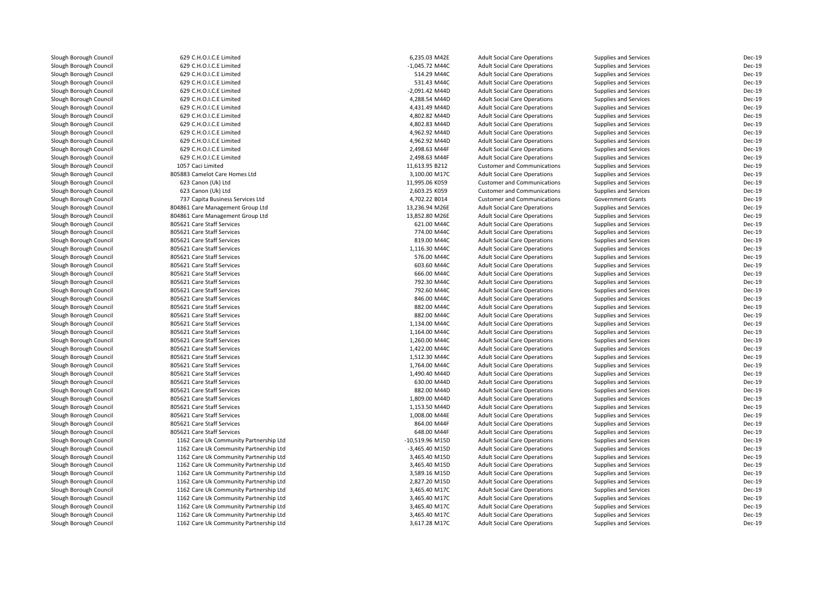| Slough Borough Council | 629 C.H.O.I.C.E Limited                | 6,235.03 M42E    | <b>Adult Social Care Operations</b> | Supplies and Services    | Dec-19           |
|------------------------|----------------------------------------|------------------|-------------------------------------|--------------------------|------------------|
| Slough Borough Council | 629 C.H.O.I.C.E Limited                | $-1,045.72$ M44C | <b>Adult Social Care Operations</b> | Supplies and Services    | Dec-19           |
| Slough Borough Council | 629 C.H.O.I.C.E Limited                | 514.29 M44C      | <b>Adult Social Care Operations</b> | Supplies and Services    | Dec-19           |
| Slough Borough Council | 629 C.H.O.I.C.E Limited                | 531.43 M44C      | <b>Adult Social Care Operations</b> | Supplies and Services    | Dec-19           |
| Slough Borough Council | 629 C.H.O.I.C.E Limited                | -2,091.42 M44D   | <b>Adult Social Care Operations</b> | Supplies and Services    | Dec-19           |
| Slough Borough Council | 629 C.H.O.I.C.E Limited                | 4,288.54 M44D    | <b>Adult Social Care Operations</b> | Supplies and Services    | Dec-19           |
| Slough Borough Council | 629 C.H.O.I.C.E Limited                | 4,431.49 M44D    | <b>Adult Social Care Operations</b> | Supplies and Services    | Dec-19           |
| Slough Borough Council | 629 C.H.O.I.C.E Limited                | 4,802.82 M44D    | <b>Adult Social Care Operations</b> | Supplies and Services    | Dec-19           |
| Slough Borough Council | 629 C.H.O.I.C.E Limited                | 4,802.83 M44D    | <b>Adult Social Care Operations</b> | Supplies and Services    | Dec-19           |
| Slough Borough Council | 629 C.H.O.I.C.E Limited                | 4,962.92 M44D    | <b>Adult Social Care Operations</b> | Supplies and Services    | Dec-19           |
| Slough Borough Council | 629 C.H.O.I.C.E Limited                | 4,962.92 M44D    | <b>Adult Social Care Operations</b> | Supplies and Services    | Dec-19           |
| Slough Borough Council | 629 C.H.O.I.C.E Limited                | 2,498.63 M44F    | <b>Adult Social Care Operations</b> | Supplies and Services    | Dec-19           |
| Slough Borough Council | 629 C.H.O.I.C.E Limited                | 2,498.63 M44F    | <b>Adult Social Care Operations</b> | Supplies and Services    | Dec-19           |
| Slough Borough Council | 1057 Caci Limited                      | 11,613.95 B212   | <b>Customer and Communications</b>  | Supplies and Services    | Dec-19           |
| Slough Borough Council | 805883 Camelot Care Homes Ltd          | 3,100.00 M17C    | <b>Adult Social Care Operations</b> | Supplies and Services    | Dec-19           |
| Slough Borough Council | 623 Canon (Uk) Ltd                     | 11,995.06 K059   | <b>Customer and Communications</b>  | Supplies and Services    | Dec-19           |
| Slough Borough Council | 623 Canon (Uk) Ltd                     | 2,603.25 K059    | <b>Customer and Communications</b>  | Supplies and Services    | Dec-19           |
| Slough Borough Council | 737 Capita Business Services Ltd       | 4,702.22 B014    | <b>Customer and Communications</b>  | <b>Government Grants</b> | Dec-19           |
| Slough Borough Council | 804861 Care Management Group Ltd       | 13,236.94 M26E   | <b>Adult Social Care Operations</b> | Supplies and Services    | Dec-19           |
| Slough Borough Council | 804861 Care Management Group Ltd       | 13,852.80 M26E   | <b>Adult Social Care Operations</b> | Supplies and Services    | Dec-19           |
| Slough Borough Council | 805621 Care Staff Services             | 621.00 M44C      | <b>Adult Social Care Operations</b> | Supplies and Services    | Dec-19           |
| Slough Borough Council | 805621 Care Staff Services             | 774.00 M44C      | <b>Adult Social Care Operations</b> | Supplies and Services    | Dec-19           |
| Slough Borough Council | 805621 Care Staff Services             | 819.00 M44C      | <b>Adult Social Care Operations</b> | Supplies and Services    | Dec-19           |
| Slough Borough Council | 805621 Care Staff Services             | 1,116.30 M44C    | <b>Adult Social Care Operations</b> | Supplies and Services    | Dec-19           |
| Slough Borough Council | 805621 Care Staff Services             | 576.00 M44C      | <b>Adult Social Care Operations</b> | Supplies and Services    | Dec-19           |
|                        | 805621 Care Staff Services             | 603.60 M44C      | <b>Adult Social Care Operations</b> |                          | Dec-19           |
| Slough Borough Council | 805621 Care Staff Services             | 666.00 M44C      |                                     | Supplies and Services    | Dec-19           |
| Slough Borough Council |                                        |                  | <b>Adult Social Care Operations</b> | Supplies and Services    |                  |
| Slough Borough Council | 805621 Care Staff Services             | 792.30 M44C      | <b>Adult Social Care Operations</b> | Supplies and Services    | Dec-19           |
| Slough Borough Council | 805621 Care Staff Services             | 792.60 M44C      | <b>Adult Social Care Operations</b> | Supplies and Services    | Dec-19<br>Dec-19 |
| Slough Borough Council | 805621 Care Staff Services             | 846.00 M44C      | <b>Adult Social Care Operations</b> | Supplies and Services    |                  |
| Slough Borough Council | 805621 Care Staff Services             | 882.00 M44C      | <b>Adult Social Care Operations</b> | Supplies and Services    | Dec-19           |
| Slough Borough Council | 805621 Care Staff Services             | 882.00 M44C      | <b>Adult Social Care Operations</b> | Supplies and Services    | Dec-19           |
| Slough Borough Council | 805621 Care Staff Services             | 1,134.00 M44C    | <b>Adult Social Care Operations</b> | Supplies and Services    | Dec-19           |
| Slough Borough Council | 805621 Care Staff Services             | 1,164.00 M44C    | <b>Adult Social Care Operations</b> | Supplies and Services    | Dec-19           |
| Slough Borough Council | 805621 Care Staff Services             | 1,260.00 M44C    | <b>Adult Social Care Operations</b> | Supplies and Services    | Dec-19           |
| Slough Borough Council | 805621 Care Staff Services             | 1,422.00 M44C    | <b>Adult Social Care Operations</b> | Supplies and Services    | Dec-19           |
| Slough Borough Council | 805621 Care Staff Services             | 1,512.30 M44C    | <b>Adult Social Care Operations</b> | Supplies and Services    | Dec-19           |
| Slough Borough Council | 805621 Care Staff Services             | 1,764.00 M44C    | <b>Adult Social Care Operations</b> | Supplies and Services    | Dec-19           |
| Slough Borough Council | 805621 Care Staff Services             | 1,490.40 M44D    | <b>Adult Social Care Operations</b> | Supplies and Services    | Dec-19           |
| Slough Borough Council | 805621 Care Staff Services             | 630.00 M44D      | <b>Adult Social Care Operations</b> | Supplies and Services    | Dec-19           |
| Slough Borough Council | 805621 Care Staff Services             | 882.00 M44D      | <b>Adult Social Care Operations</b> | Supplies and Services    | Dec-19           |
| Slough Borough Council | 805621 Care Staff Services             | 1,809.00 M44D    | <b>Adult Social Care Operations</b> | Supplies and Services    | Dec-19           |
| Slough Borough Council | 805621 Care Staff Services             | 1,153.50 M44D    | <b>Adult Social Care Operations</b> | Supplies and Services    | Dec-19           |
| Slough Borough Council | 805621 Care Staff Services             | 1,008.00 M44E    | <b>Adult Social Care Operations</b> | Supplies and Services    | Dec-19           |
| Slough Borough Council | 805621 Care Staff Services             | 864.00 M44F      | <b>Adult Social Care Operations</b> | Supplies and Services    | Dec-19           |
| Slough Borough Council | 805621 Care Staff Services             | 648.00 M44F      | <b>Adult Social Care Operations</b> | Supplies and Services    | Dec-19           |
| Slough Borough Council | 1162 Care Uk Community Partnership Ltd | -10,519.96 M15D  | <b>Adult Social Care Operations</b> | Supplies and Services    | Dec-19           |
| Slough Borough Council | 1162 Care Uk Community Partnership Ltd | -3,465.40 M15D   | <b>Adult Social Care Operations</b> | Supplies and Services    | Dec-19           |
| Slough Borough Council | 1162 Care Uk Community Partnership Ltd | 3,465.40 M15D    | <b>Adult Social Care Operations</b> | Supplies and Services    | Dec-19           |
| Slough Borough Council | 1162 Care Uk Community Partnership Ltd | 3,465.40 M15D    | <b>Adult Social Care Operations</b> | Supplies and Services    | Dec-19           |
| Slough Borough Council | 1162 Care Uk Community Partnership Ltd | 3,589.16 M15D    | <b>Adult Social Care Operations</b> | Supplies and Services    | Dec-19           |
| Slough Borough Council | 1162 Care Uk Community Partnership Ltd | 2,827.20 M15D    | <b>Adult Social Care Operations</b> | Supplies and Services    | Dec-19           |
| Slough Borough Council | 1162 Care Uk Community Partnership Ltd | 3,465.40 M17C    | <b>Adult Social Care Operations</b> | Supplies and Services    | Dec-19           |
| Slough Borough Council | 1162 Care Uk Community Partnership Ltd | 3,465.40 M17C    | <b>Adult Social Care Operations</b> | Supplies and Services    | Dec-19           |
| Slough Borough Council | 1162 Care Uk Community Partnership Ltd | 3,465.40 M17C    | <b>Adult Social Care Operations</b> | Supplies and Services    | Dec-19           |
| Slough Borough Council | 1162 Care Uk Community Partnership Ltd | 3,465.40 M17C    | <b>Adult Social Care Operations</b> | Supplies and Services    | Dec-19           |
| Slough Borough Council | 1162 Care Uk Community Partnership Ltd | 3,617.28 M17C    | <b>Adult Social Care Operations</b> | Supplies and Services    | Dec-19           |
|                        |                                        |                  |                                     |                          |                  |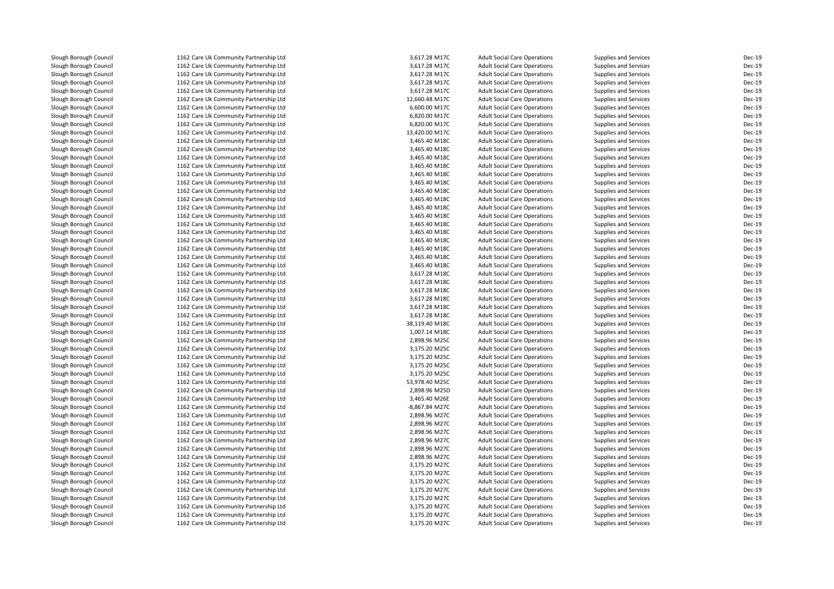Slough Borough Council 1162 Care Uk Community Partnership Ltd<br>1162 Care Uk Community Partnership Ltd Slough Borough Council 1162 Care Uk Community Partnership Ltd<br>1162 Care Uk Community Partnership Ltd Slough Borough Council 1162 Care Uk Community Partnership Ltd<br>1162 Care Uk Community Partnership Ltd Slough Borough Council 1162 Care Uk Community Partnership Ltd<br>1162 Care Uk Community Partnership Ltd Slough Borough Council 1162 Care Uk Community Partnership Ltd<br>1162 Care Uk Community Partnership Ltd Slough Borough Council 1162 Care Uk Community Partnership Ltd<br>1162 Care Uk Community Partnership Ltd Slough Borough Council 1162 Care Uk Community Partnership Ltd<br>1162 Care Uk Community Partnership Ltd Slough Borough Council 1162 Care Uk Community Partnership Ltd<br>1162 Care Uk Community Partnership Ltd Slough Borough Council 1162 Care Uk Community Partnership Ltd<br>Slough Borough Council 1162 Care Uk Community Partnership Ltd Slough Borough Council 1162 Care Uk Community Partnership Ltd<br>1162 Care Uk Community Partnership Ltd Slough Borough Council 1162 Care Uk Community Partnership Ltd<br>1162 Care Uk Community Partnership Ltd Slough Borough Council 1162 Care Uk Community Partnership Ltd<br>1162 Care Uk Community Partnership Ltd Slough Borough Council 1162 Care Uk Community Partnership Ltd<br>1162 Care Uk Community Partnership Ltd Slough Borough Council 1162 Care Uk Community Partnership Ltd<br>1162 Care Uk Community Partnership Ltd Slough Borough Council 1162 Care Uk Community Partnership Ltd<br>1162 Care Uk Community Partnership Ltd Slough Borough Council 1162 Care Uk Community Partnership Ltd<br>1162 Care Uk Community Partnership Ltd Slough Borough Council 1162 Care Uk Community Partnership Ltd<br>1162 Care Uk Community Partnership Ltd Slough Borough Council 1162 Care Uk Community Partnership Ltd<br>1162 Care Uk Community Partnership Ltd Slough Borough Council 1162 Care Uk Community Partnership Ltd<br>Slough Borough Council 1162 Care Uk Community Partnership Ltd Slough Borough Council 1162 Care Uk Community Partnership Ltd<br>1162 Care Uk Community Partnership Ltd Slough Borough Council 1162 Care Uk Community Partnership Ltd<br>1162 Care Uk Community Partnership Ltd Slough Borough Council 1162 Care Uk Community Partnership Ltd<br>1162 Care Uk Community Partnership Ltd Slough Borough Council 1162 Care Uk Community Partnership Ltd<br>1162 Care Uk Community Partnership Ltd Slough Borough Council 1162 Care Uk Community Partnership Ltd<br>1162 Care Uk Community Partnership Ltd Slough Borough Council 1162 Care Uk Community Partnership Ltd<br>1162 Care Uk Community Partnership Ltd Slough Borough Council 1162 Care Uk Community Partnership Ltd<br>1162 Care Uk Community Partnership Ltd Slough Borough Council 1162 Care Uk Community Partnership Ltd<br>1162 Care Uk Community Partnership Ltd Slough Borough Council 1162 Care Uk Community Partnership Ltd<br>1162 Care Uk Community Partnership Ltd Slough Borough Council 1162 Care Uk Community Partnership Ltd<br>1162 Care Uk Community Partnership Ltd Slough Borough Council 1162 Care Uk Community Partnership Ltd<br>1162 Care Uk Community Partnership Ltd Slough Borough Council 1162 Care Uk Community Partnership Ltd<br>1162 Care Uk Community Partnership Ltd Slough Borough Council 1162 Care Uk Community Partnership Ltd<br>1162 Care Uk Community Partnership Ltd Slough Borough Council 1162 Care Uk Community Partnership Ltd<br>1162 Care Uk Community Partnership Ltd Slough Borough Council 1162 Care Uk Community Partnership Ltd<br>1162 Care Uk Community Partnership Ltd Slough Borough Council 1162 Care Uk Community Partnership Ltd<br>1162 Care Uk Community Partnership Ltd Slough Borough Council 1162 Care Uk Community Partnership Ltd<br>1162 Care Uk Community Partnership Ltd Slough Borough Council 1162 Care Uk Community Partnership Ltd<br>1162 Care Uk Community Partnership Ltd Slough Borough Council 1162 Care Uk Community Partnership Ltd<br>1162 Care Uk Community Partnership Ltd Slough Borough Council 1162 Care Uk Community Partnership Ltd<br>1162 Care Uk Community Partnership Ltd Slough Borough Council 1162 Care Uk Community Partnership Ltd<br>1162 Care Uk Community Partnership Ltd Slough Borough Council 1162 Care Uk Community Partnership Ltd<br>1162 Care Uk Community Partnership Ltd Slough Borough Council 1162 Care Uk Community Partnership Ltd<br>1162 Care Uk Community Partnership Ltd Slough Borough Council 1162 Care Uk Community Partnership Ltd<br>1162 Care Uk Community Partnership Ltd Slough Borough Council 1162 Care Uk Community Partnership Ltd<br>1162 Care Uk Community Partnership Ltd Slough Borough Council 1162 Care Uk Community Partnership Ltd<br>1162 Care Uk Community Partnership Ltd Slough Borough Council 1162 Care Uk Community Partnership Ltd<br>1162 Care Uk Community Partnership Ltd Slough Borough Council 1162 Care Uk Community Partnership Ltd<br>1162 Care Uk Community Partnership Ltd Slough Borough Council 1162 Care Uk Community Partnership Ltd<br>1162 Care Uk Community Partnership Ltd Slough Borough Council 1162 Care Uk Community Partnership Ltd<br>1162 Care Uk Community Partnership Ltd Slough Borough Council 1162 Care Uk Community Partnership Ltd<br>
1162 Care Uk Community Partnership Ltd<br>
1162 Care Uk Community Partnership Ltd Slough Borough Council 1162 Care Uk Community Partnership Ltd<br>1162 Care Uk Community Partnership Ltd Slough Borough Council 1162 Care Uk Community Partnership Ltd<br>1162 Care Uk Community Partnership Ltd Slough Borough Council 1162 Care Uk Community Partnership Ltd<br>1162 Care Uk Community Partnership Ltd Slough Borough Council 1162 Care Uk Community Partnership Ltd<br>1162 Care Uk Community Partnership Ltd Slough Borough Council 1162 Care Uk Community Partnership Ltd<br>1162 Care Uk Community Partnership Ltd Slough Borough Council 1162 Care Uk Community Partnership Ltd<br>1162 Care Uk Community Partnership Ltd 1162 Care Uk Community Partnership Ltd

| d | 3,617.28 M17C  | <b>Adult Social Care Operations</b> | Supplies and Services        | Dec-19 |
|---|----------------|-------------------------------------|------------------------------|--------|
| d | 3,617.28 M17C  | <b>Adult Social Care Operations</b> | Supplies and Services        | Dec-19 |
| d | 3,617.28 M17C  | <b>Adult Social Care Operations</b> | Supplies and Services        | Dec-19 |
| d | 3,617.28 M17C  | <b>Adult Social Care Operations</b> | Supplies and Services        | Dec-19 |
| d | 3,617.28 M17C  | <b>Adult Social Care Operations</b> | Supplies and Services        | Dec-19 |
| d | 12,660.48 M17C | <b>Adult Social Care Operations</b> | Supplies and Services        | Dec-19 |
| d | 6,600.00 M17C  | <b>Adult Social Care Operations</b> | <b>Supplies and Services</b> | Dec-19 |
| d | 6,820.00 M17C  | <b>Adult Social Care Operations</b> | Supplies and Services        | Dec-19 |
| d | 6,820.00 M17C  | <b>Adult Social Care Operations</b> | Supplies and Services        | Dec-19 |
| d | 13,420.00 M17C | <b>Adult Social Care Operations</b> | Supplies and Services        | Dec-19 |
| d | 3,465.40 M18C  | <b>Adult Social Care Operations</b> | Supplies and Services        | Dec-19 |
| d | 3,465.40 M18C  | <b>Adult Social Care Operations</b> | <b>Supplies and Services</b> | Dec-19 |
| d | 3,465.40 M18C  | <b>Adult Social Care Operations</b> | Supplies and Services        | Dec-19 |
| d | 3,465.40 M18C  | <b>Adult Social Care Operations</b> | Supplies and Services        | Dec-19 |
| d | 3,465.40 M18C  | <b>Adult Social Care Operations</b> | Supplies and Services        | Dec-19 |
| d | 3,465.40 M18C  | <b>Adult Social Care Operations</b> | Supplies and Services        | Dec-19 |
| d | 3,465.40 M18C  | <b>Adult Social Care Operations</b> | Supplies and Services        | Dec-19 |
| d | 3,465.40 M18C  | <b>Adult Social Care Operations</b> | Supplies and Services        | Dec-19 |
| d | 3,465.40 M18C  | <b>Adult Social Care Operations</b> | Supplies and Services        | Dec-19 |
| d | 3,465.40 M18C  | <b>Adult Social Care Operations</b> | Supplies and Services        | Dec-19 |
| d | 3,465.40 M18C  | <b>Adult Social Care Operations</b> | Supplies and Services        | Dec-19 |
| d | 3,465.40 M18C  | <b>Adult Social Care Operations</b> | Supplies and Services        | Dec-19 |
| d | 3,465.40 M18C  | <b>Adult Social Care Operations</b> | Supplies and Services        | Dec-19 |
| d | 3,465.40 M18C  | <b>Adult Social Care Operations</b> | <b>Supplies and Services</b> | Dec-19 |
| d | 3,465.40 M18C  | <b>Adult Social Care Operations</b> | Supplies and Services        | Dec-19 |
| d | 3,465.40 M18C  | <b>Adult Social Care Operations</b> | Supplies and Services        | Dec-19 |
| d | 3,617.28 M18C  | <b>Adult Social Care Operations</b> | Supplies and Services        | Dec-19 |
| d | 3,617.28 M18C  | <b>Adult Social Care Operations</b> | Supplies and Services        | Dec-19 |
| d | 3,617.28 M18C  | <b>Adult Social Care Operations</b> | <b>Supplies and Services</b> | Dec-19 |
| d | 3,617.28 M18C  | <b>Adult Social Care Operations</b> | Supplies and Services        | Dec-19 |
| d | 3,617.28 M18C  | <b>Adult Social Care Operations</b> | <b>Supplies and Services</b> | Dec-19 |
| d | 3,617.28 M18C  | <b>Adult Social Care Operations</b> | Supplies and Services        | Dec-19 |
| d | 38,119.40 M18C | <b>Adult Social Care Operations</b> | Supplies and Services        | Dec-19 |
| d | 1,007.14 M18C  | <b>Adult Social Care Operations</b> | <b>Supplies and Services</b> | Dec-19 |
| d | 2,898.96 M25C  | <b>Adult Social Care Operations</b> | Supplies and Services        | Dec-19 |
| d | 3,175.20 M25C  | <b>Adult Social Care Operations</b> | <b>Supplies and Services</b> | Dec-19 |
| d | 3,175.20 M25C  | <b>Adult Social Care Operations</b> | Supplies and Services        | Dec-19 |
| d | 3,175.20 M25C  | <b>Adult Social Care Operations</b> | Supplies and Services        | Dec-19 |
| d | 3,175.20 M25C  | <b>Adult Social Care Operations</b> | Supplies and Services        | Dec-19 |
| d | 53,978.40 M25C | <b>Adult Social Care Operations</b> | <b>Supplies and Services</b> | Dec-19 |
| d | 2,898.96 M25D  | <b>Adult Social Care Operations</b> | <b>Supplies and Services</b> | Dec-19 |
| d | 3,465.40 M26E  | <b>Adult Social Care Operations</b> | Supplies and Services        | Dec-19 |
| d | -8,867.84 M27C | <b>Adult Social Care Operations</b> | Supplies and Services        | Dec-19 |
| d | 2,898.96 M27C  | <b>Adult Social Care Operations</b> | Supplies and Services        | Dec-19 |
| d | 2,898.96 M27C  | <b>Adult Social Care Operations</b> | Supplies and Services        | Dec-19 |
| d | 2,898.96 M27C  | <b>Adult Social Care Operations</b> | Supplies and Services        | Dec-19 |
| d | 2,898.96 M27C  | <b>Adult Social Care Operations</b> | Supplies and Services        | Dec-19 |
| d | 2,898.96 M27C  | <b>Adult Social Care Operations</b> | <b>Supplies and Services</b> | Dec-19 |
| d | 2,898.96 M27C  | <b>Adult Social Care Operations</b> | Supplies and Services        | Dec-19 |
| d | 3,175.20 M27C  | <b>Adult Social Care Operations</b> | Supplies and Services        | Dec-19 |
| d | 3,175.20 M27C  | <b>Adult Social Care Operations</b> | Supplies and Services        | Dec-19 |
| d | 3,175.20 M27C  | <b>Adult Social Care Operations</b> | Supplies and Services        | Dec-19 |
| d | 3,175.20 M27C  | <b>Adult Social Care Operations</b> | <b>Supplies and Services</b> | Dec-19 |
| d | 3,175.20 M27C  | <b>Adult Social Care Operations</b> | Supplies and Services        | Dec-19 |
| d | 3,175.20 M27C  | <b>Adult Social Care Operations</b> | <b>Supplies and Services</b> | Dec-19 |
| d | 3,175.20 M27C  | <b>Adult Social Care Operations</b> | <b>Supplies and Services</b> | Dec-19 |
| d | 3,175.20 M27C  | <b>Adult Social Care Operations</b> | <b>Supplies and Services</b> | Dec-19 |
|   |                |                                     |                              |        |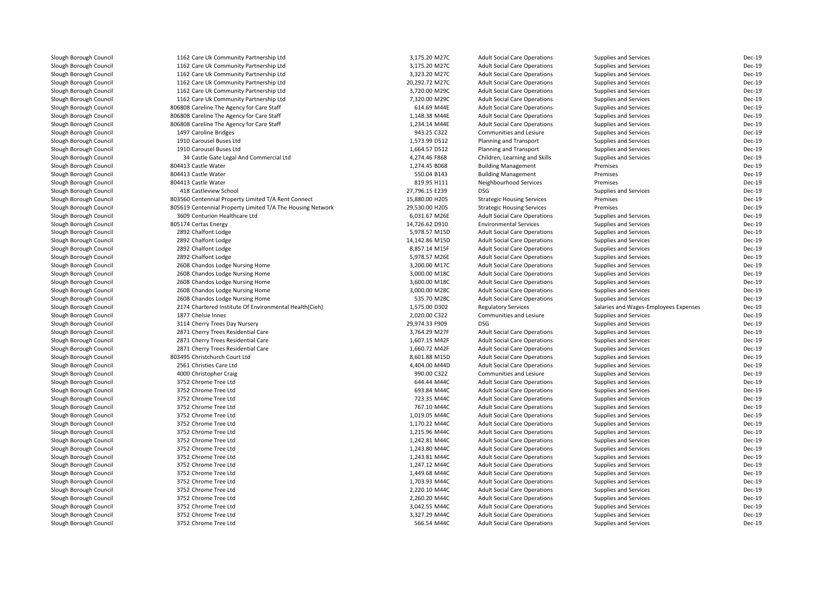| Slough Borough Council | 1162 Care Uk Community Partnership Ltd                     | 3,175.20 M27C                  | <b>Adult Social Care Operations</b> | Supplies and Services                 | Dec-19                  |
|------------------------|------------------------------------------------------------|--------------------------------|-------------------------------------|---------------------------------------|-------------------------|
| Slough Borough Council | 1162 Care Uk Community Partnership Ltd                     | 3,175.20 M27C                  | <b>Adult Social Care Operations</b> | <b>Supplies and Services</b>          | Dec-19                  |
| Slough Borough Council | 1162 Care Uk Community Partnership Ltd                     | 3,323.20 M27C                  | <b>Adult Social Care Operations</b> | <b>Supplies and Services</b>          | Dec-19                  |
| Slough Borough Council | 1162 Care Uk Community Partnership Ltd                     | 20,292.72 M27C                 | <b>Adult Social Care Operations</b> | <b>Supplies and Services</b>          | Dec-19                  |
| Slough Borough Council | 1162 Care Uk Community Partnership Ltd                     | 3,720.00 M29C                  | <b>Adult Social Care Operations</b> | Supplies and Services                 | Dec-19                  |
| Slough Borough Council | 1162 Care Uk Community Partnership Ltd                     | 7,320.00 M29C                  | <b>Adult Social Care Operations</b> | <b>Supplies and Services</b>          | Dec-19                  |
| Slough Borough Council | 806808 Careline The Agency for Care Staff                  | 614.69 M44E                    | <b>Adult Social Care Operations</b> | <b>Supplies and Services</b>          | <b>Dec-19</b>           |
| Slough Borough Council | 806808 Careline The Agency for Care Staff                  | 1,148.38 M44E                  | <b>Adult Social Care Operations</b> | <b>Supplies and Services</b>          | Dec-19                  |
| Slough Borough Council | 806808 Careline The Agency for Care Staff                  | 1,234.14 M44E                  | <b>Adult Social Care Operations</b> | <b>Supplies and Services</b>          | Dec-19                  |
| Slough Borough Council | 1497 Caroline Bridges                                      | 943.25 C322                    | Communities and Lesiure             | <b>Supplies and Services</b>          | Dec-19                  |
| Slough Borough Council | 1910 Carousel Buses Ltd                                    | 1,573.99 D512                  | Planning and Transport              | <b>Supplies and Services</b>          | Dec-19                  |
| Slough Borough Council | 1910 Carousel Buses Ltd                                    | 1,664.57 D512                  | Planning and Transport              | Supplies and Services                 | Dec-19                  |
| Slough Borough Council | 34 Castle Gate Legal And Commercial Ltd                    | 4,274.46 F868                  | Children, Learning and Skills       | <b>Supplies and Services</b>          | Dec-19                  |
| Slough Borough Council | 804413 Castle Water                                        | 1,274.45 B068                  | <b>Building Management</b>          | Premises                              | <b>Dec-19</b>           |
| Slough Borough Council | 804413 Castle Water                                        | 550.04 B143                    | <b>Building Management</b>          | Premises                              | Dec-19                  |
| Slough Borough Council | 804413 Castle Water                                        | 819.95 H111                    | Neighbourhood Services              | Premises                              | <b>Dec-19</b>           |
| Slough Borough Council | 418 Castleview School                                      | 27,796.15 E239                 | <b>DSG</b>                          | <b>Supplies and Services</b>          | Dec-19                  |
| Slough Borough Council | 803560 Centennial Property Limited T/A Rent Connect        | 15,880.00 H205                 | <b>Strategic Housing Services</b>   | Premises                              | Dec-19                  |
| Slough Borough Council | 805619 Centennial Property Limited T/A The Housing Network | 29,530.00 H205                 | <b>Strategic Housing Services</b>   | Premises                              | <b>Dec-19</b>           |
| Slough Borough Council | 3609 Centurion Healthcare Ltd                              | 6,031.67 M26E                  | <b>Adult Social Care Operations</b> | <b>Supplies and Services</b>          | Dec-19                  |
| Slough Borough Council | 805174 Certas Energy                                       | 14,726.62 D910                 | <b>Environmental Services</b>       | Supplies and Services                 | Dec-19                  |
| Slough Borough Council | 2892 Chalfont Lodge                                        | 5,978.57 M15D                  | <b>Adult Social Care Operations</b> | <b>Supplies and Services</b>          | <b>Dec-19</b>           |
| Slough Borough Council | 2892 Chalfont Lodge                                        | 14,142.86 M15D                 | <b>Adult Social Care Operations</b> | <b>Supplies and Services</b>          | <b>Dec-19</b>           |
|                        |                                                            |                                |                                     |                                       |                         |
| Slough Borough Council | 2892 Chalfont Lodge                                        | 8,857.14 M15F                  | <b>Adult Social Care Operations</b> | <b>Supplies and Services</b>          | Dec-19<br><b>Dec-19</b> |
| Slough Borough Council | 2892 Chalfont Lodge                                        | 5,978.57 M26E<br>3,200.00 M17C | <b>Adult Social Care Operations</b> | <b>Supplies and Services</b>          | Dec-19                  |
| Slough Borough Council | 2608 Chandos Lodge Nursing Home                            |                                | <b>Adult Social Care Operations</b> | <b>Supplies and Services</b>          |                         |
| Slough Borough Council | 2608 Chandos Lodge Nursing Home                            | 3,000.00 M18C                  | <b>Adult Social Care Operations</b> | Supplies and Services                 | Dec-19                  |
| Slough Borough Council | 2608 Chandos Lodge Nursing Home                            | 3,600.00 M18C                  | <b>Adult Social Care Operations</b> | <b>Supplies and Services</b>          | Dec-19                  |
| Slough Borough Council | 2608 Chandos Lodge Nursing Home                            | 3,000.00 M28C                  | <b>Adult Social Care Operations</b> | <b>Supplies and Services</b>          | <b>Dec-19</b>           |
| Slough Borough Council | 2608 Chandos Lodge Nursing Home                            | 535.70 M28C                    | <b>Adult Social Care Operations</b> | <b>Supplies and Services</b>          | Dec-19                  |
| Slough Borough Council | 2174 Chartered Institute Of Environmental Health(Cieh)     | 1,575.00 D302                  | <b>Regulatory Services</b>          | Salaries and Wages-Employees Expenses | Dec-19                  |
| Slough Borough Council | 1877 Chelsie Innes                                         | 2,020.00 C322                  | Communities and Lesiure             | <b>Supplies and Services</b>          | Dec-19                  |
| Slough Borough Council | 3114 Cherry Trees Day Nursery                              | 29,974.33 F909                 | <b>DSG</b>                          | <b>Supplies and Services</b>          | Dec-19                  |
| Slough Borough Council | 2871 Cherry Trees Residential Care                         | 3,764.29 M27F                  | <b>Adult Social Care Operations</b> | <b>Supplies and Services</b>          | Dec-19                  |
| Slough Borough Council | 2871 Cherry Trees Residential Care                         | 1,607.15 M42F                  | <b>Adult Social Care Operations</b> | <b>Supplies and Services</b>          | Dec-19                  |
| Slough Borough Council | 2871 Cherry Trees Residential Care                         | 1,660.72 M42F                  | <b>Adult Social Care Operations</b> | Supplies and Services                 | Dec-19                  |
| Slough Borough Council | 803495 Christchurch Court Ltd                              | 8,601.88 M15D                  | <b>Adult Social Care Operations</b> | <b>Supplies and Services</b>          | Dec-19                  |
| Slough Borough Council | 2561 Christies Care Ltd                                    | 4,404.00 M44D                  | <b>Adult Social Care Operations</b> | <b>Supplies and Services</b>          | Dec-19                  |
| Slough Borough Council | 4000 Christopher Craig                                     | 990.00 C322                    | Communities and Lesiure             | <b>Supplies and Services</b>          | Dec-19                  |
| Slough Borough Council | 3752 Chrome Tree Ltd                                       | 644.44 M44C                    | <b>Adult Social Care Operations</b> | <b>Supplies and Services</b>          | Dec-19                  |
| Slough Borough Council | 3752 Chrome Tree Ltd                                       | 693.84 M44C                    | <b>Adult Social Care Operations</b> | <b>Supplies and Services</b>          | Dec-19                  |
| Slough Borough Council | 3752 Chrome Tree Ltd                                       | 723.35 M44C                    | <b>Adult Social Care Operations</b> | <b>Supplies and Services</b>          | Dec-19                  |
| Slough Borough Council | 3752 Chrome Tree Ltd                                       | 767.10 M44C                    | <b>Adult Social Care Operations</b> | Supplies and Services                 | <b>Dec-19</b>           |
| Slough Borough Council | 3752 Chrome Tree Ltd                                       | 1,019.05 M44C                  | <b>Adult Social Care Operations</b> | <b>Supplies and Services</b>          | Dec-19                  |
| Slough Borough Council | 3752 Chrome Tree Ltd                                       | 1,170.22 M44C                  | <b>Adult Social Care Operations</b> | <b>Supplies and Services</b>          | Dec-19                  |
| Slough Borough Council | 3752 Chrome Tree Ltd                                       | 1,215.96 M44C                  | <b>Adult Social Care Operations</b> | <b>Supplies and Services</b>          | Dec-19                  |
| Slough Borough Council | 3752 Chrome Tree Ltd                                       | 1,242.81 M44C                  | <b>Adult Social Care Operations</b> | <b>Supplies and Services</b>          | Dec-19                  |
| Slough Borough Council | 3752 Chrome Tree Ltd                                       | 1,243.80 M44C                  | <b>Adult Social Care Operations</b> | <b>Supplies and Services</b>          | Dec-19                  |
| Slough Borough Council | 3752 Chrome Tree Ltd                                       | 1,243.81 M44C                  | <b>Adult Social Care Operations</b> | Supplies and Services                 | Dec-19                  |
| Slough Borough Council | 3752 Chrome Tree Ltd                                       | 1,247.12 M44C                  | <b>Adult Social Care Operations</b> | <b>Supplies and Services</b>          | Dec-19                  |
| Slough Borough Council | 3752 Chrome Tree Ltd                                       | 1,449.68 M44C                  | <b>Adult Social Care Operations</b> | <b>Supplies and Services</b>          | Dec-19                  |
| Slough Borough Council | 3752 Chrome Tree Ltd                                       | 1,703.93 M44C                  | <b>Adult Social Care Operations</b> | <b>Supplies and Services</b>          | Dec-19                  |
| Slough Borough Council | 3752 Chrome Tree Ltd                                       | 2,220.10 M44C                  | <b>Adult Social Care Operations</b> | <b>Supplies and Services</b>          | Dec-19                  |
| Slough Borough Council | 3752 Chrome Tree Ltd                                       | 2,260.20 M44C                  | <b>Adult Social Care Operations</b> | <b>Supplies and Services</b>          | Dec-19                  |
| Slough Borough Council | 3752 Chrome Tree Ltd                                       | 3,042.55 M44C                  | <b>Adult Social Care Operations</b> | Supplies and Services                 | Dec-19                  |
| Slough Borough Council | 3752 Chrome Tree Ltd                                       | 3,327.29 M44C                  | <b>Adult Social Care Operations</b> | <b>Supplies and Services</b>          | Dec-19                  |
| Slough Borough Council | 3752 Chrome Tree Ltd                                       | 566.54 M44C                    | <b>Adult Social Care Operations</b> | <b>Supplies and Services</b>          | Dec-19                  |
|                        |                                                            |                                |                                     |                                       |                         |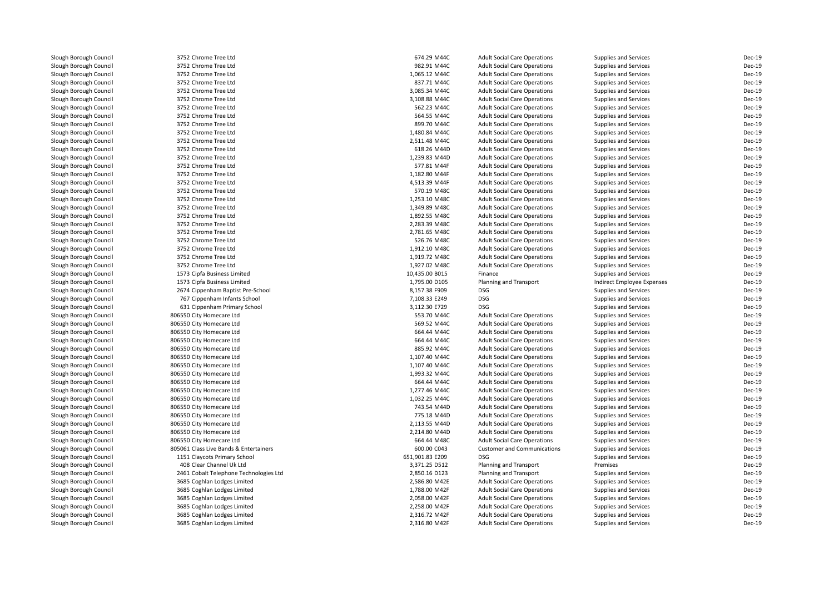Slough Borough Council 3752 Chrome Tree Ltd<br>
Slough Borough Council 3752 Chrome Tree Ltd Slough Borough Council <sup>3752</sup> Chrome Tree LtdSlough Borough Council <sup>3752</sup> Chrome Tree LtdSlough Borough Council and the Same Tree Ltd Slough Borough Council and the Same Tree Ltd Slough Borough Council Slough Borough Council 3752 Chrome Tree Ltd<br>
Slough Borough Council 3752 Chrome Tree Ltd Slough Borough Council <sup>3752</sup> Chrome Tree LtdSlough Borough Council 3752 Chrome Tree Ltd<br>Slough Borough Council 3752 Chrome Tree Ltd Slough Borough Council <sup>3752</sup> Chrome Tree LtdSlough Borough Council and the Same Tree Ltd 3752 Chrome Tree Ltd 3000 Slough Borough Council 3752 Chrome Tree Ltd Slough Borough Council <sup>3752</sup> Chrome Tree LtdSlough Borough Council 3752 Chrome Tree Ltd<br>
Slough Borough Council 3752 Chrome Tree Ltd Slough Borough Council 3752 Chrome Tree Ltd<br>Slough Borough Council 3752 Chrome Tree Ltd Slough Borough Council <sup>3752</sup> Chrome Tree LtdSlough Borough Council and the Same Tree Ltd Slough Borough Council and the Same Tree Ltd Slough Borough Council Slough Borough Council 3752 Chrome Tree Ltd<br>
Slough Borough Council 3752 Chrome Tree Ltd Slough Borough Council 3752 Chrome Tree Ltd<br>
Slough Borough Council 3752 Chrome Tree Ltd Slough Borough Council 3752 Chrome Tree Ltd<br>Slough Borough Council 3752 Chrome Tree Ltd Slough Borough Council <sup>3752</sup> Chrome Tree LtdSlough Borough Council and the Same Tree Ltd Slough Borough Council 3752 Chrome Tree Ltd Slough Borough Council 3752 Chrome Tree Ltd<br>
Slough Borough Council 3752 Chrome Tree Ltd Slough Borough Council 3752 Chrome Tree Ltd<br>
Slough Borough Council 3752 Chrome Tree Ltd Slough Borough Council 3752 Chrome Tree Ltd<br>
Slough Borough Council 3752 Chrome Tree Ltd Slough Borough Council and the Same Tree Ltd Slough Borough Council 3752 Chrome Tree Ltd Slough Borough Council and the Same Tree Ltd Slough Borough Council 3752 Chrome Tree Ltd Slough Borough Council<br>Slough Borough Council Slough Borough Council **806550 City Homecare Ltd**<br>806550 City Homecare Ltd Slough Borough Council and the Superson City Homecare Ltd<br>Slough Borough Council and the Superson City Homecare Ltd Slough Borough Council and the Superson City Homecare Ltd<br>Slough Borough Council and the Superson City Homecare Ltd Slough Borough Council and the Superson City Homecare Ltd<br>Slough Borough Council and the Superson City Homecare Ltd Slough Borough Council and the Superson City Homecare Ltd<br>806550 City Homecare Ltd Slough Borough Council and the Superson City Homecare Ltd<br>806550 City Homecare Ltd Slough Borough Council **806550 City Homecare Ltd**<br>Slough Borough Council **806550 City Homecare Ltd** Slough Borough Council **806550 City Homecare Ltd**<br>Slough Borough Council **806550 City Homecare Ltd** Slough Borough Council and the Superson City Homecare Ltd<br>806550 City Homecare Ltd Slough Borough Council and the Superson City Homecare Ltd<br>806550 City Homecare Ltd Slough Borough Council **806550 City Homecare Ltd**<br>Slough Borough Council **806550 City Homecare Ltd** Slough Borough Council **806550 City Homecare Ltd**<br>Slough Borough Council **806550 City Homecare Ltd** Slough Borough Council and the Superson City Homecare Ltd<br>Slough Borough Council and the Superson City Homecare Ltd Slough Borough Council and the Superson City Homecare Ltd<br>806550 City Homecare Ltd Slough Borough Council<br>Slough Borough Council Slough Borough Council and the Council 408 Clear Channel Uk Ltd<br>
1946 Slough Borough Council and the Council 2461 Cobalt Telephone Tec

Slough Borough Council 3752 Chrome Tree Ltd<br>Slough Borough Council 3752 Chrome Tree Ltd Slough Borough Council 1573 Cipfa Business Limited<br>1573 Cipfa Business Limited Slough Borough Council 1573 Cipfa Business Limited<br>1573 Cippenham Baptist Pre Slough Borough Council <sup>2674</sup> Cippenham Baptist Pre-School 8,157.38 F909 DSGSlough Borough Council <sup>767</sup> Cippenham Infants School 7,108.33 E249 DSGSlough Borough Council 631 Cippenham Primary School 631 Cippenham Primary School<br>Slough Borough Council 606550 City Homecare Ltd 806550 City Homecare Ltd<br>806550 City Homecare Ltd Slough Borough Council 805061 Class Live Bands & Entertainers<br>Slough Borough Council Communications and Communications Primary School Slough Borough Council 1151 Claycots Primary School 651,901.<br>1151 Claycots Primary School 1001.83 ADS Clear Channel Uk Ltd Slough Borough Council <sup>2461</sup> Cobalt Telephone Technologies LtdSlough Borough Council <sup>3685</sup> Coghlan Lodges LimitedSlough Borough Council <sup>3685</sup> Coghlan Lodges LimitedSlough Borough Council <sup>3685</sup> Coghlan Lodges LimitedSlough Borough Council <sup>3685</sup> Coghlan Lodges LimitedSlough Borough Council <sup>3685</sup> Coghlan Lodges Limited3685 Coghlan Lodges Limited

| d                   | 674.29 M44C     |                                     |                              | Dec-19        |
|---------------------|-----------------|-------------------------------------|------------------------------|---------------|
|                     |                 | <b>Adult Social Care Operations</b> | Supplies and Services        |               |
| d                   | 982.91 M44C     | <b>Adult Social Care Operations</b> | Supplies and Services        | Dec-19        |
| d                   | 1,065.12 M44C   | <b>Adult Social Care Operations</b> | Supplies and Services        | Dec-19        |
| d                   | 837.71 M44C     | <b>Adult Social Care Operations</b> | Supplies and Services        | Dec-19        |
| d                   | 3,085.34 M44C   | <b>Adult Social Care Operations</b> | Supplies and Services        | Dec-19        |
| d                   | 3,108.88 M44C   | <b>Adult Social Care Operations</b> | Supplies and Services        | Dec-19        |
| d                   | 562.23 M44C     | <b>Adult Social Care Operations</b> | Supplies and Services        | Dec-19        |
| d                   | 564.55 M44C     | <b>Adult Social Care Operations</b> | Supplies and Services        | Dec-19        |
| d                   | 899.70 M44C     | <b>Adult Social Care Operations</b> | Supplies and Services        | Dec-19        |
| d                   | 1,480.84 M44C   | <b>Adult Social Care Operations</b> | Supplies and Services        | Dec-19        |
| d                   | 2,511.48 M44C   | <b>Adult Social Care Operations</b> | Supplies and Services        | Dec-19        |
| d                   | 618.26 M44D     | <b>Adult Social Care Operations</b> | Supplies and Services        | Dec-19        |
| d                   | 1,239.83 M44D   | <b>Adult Social Care Operations</b> | Supplies and Services        | Dec-19        |
| d                   | 577.81 M44F     | <b>Adult Social Care Operations</b> | Supplies and Services        | Dec-19        |
| d                   | 1,182.80 M44F   | <b>Adult Social Care Operations</b> | Supplies and Services        | <b>Dec-19</b> |
| d                   | 4,513.39 M44F   | <b>Adult Social Care Operations</b> | Supplies and Services        | Dec-19        |
| d                   | 570.19 M48C     | <b>Adult Social Care Operations</b> | Supplies and Services        | Dec-19        |
| d                   |                 |                                     |                              | Dec-19        |
|                     | 1,253.10 M48C   | <b>Adult Social Care Operations</b> | Supplies and Services        |               |
| d                   | 1,349.89 M48C   | <b>Adult Social Care Operations</b> | Supplies and Services        | Dec-19        |
| d                   | 1,892.55 M48C   | <b>Adult Social Care Operations</b> | Supplies and Services        | Dec-19        |
| d                   | 2,283.39 M48C   | <b>Adult Social Care Operations</b> | Supplies and Services        | Dec-19        |
| d                   | 2,781.65 M48C   | <b>Adult Social Care Operations</b> | Supplies and Services        | Dec-19        |
| d                   | 526.76 M48C     | <b>Adult Social Care Operations</b> | Supplies and Services        | Dec-19        |
| d                   | 1,912.10 M48C   | <b>Adult Social Care Operations</b> | Supplies and Services        | Dec-19        |
| d                   | 1,919.72 M48C   | <b>Adult Social Care Operations</b> | Supplies and Services        | Dec-19        |
| d                   | 1,927.02 M48C   | <b>Adult Social Care Operations</b> | Supplies and Services        | Dec-19        |
| .imited             | 10,435.00 B015  | Finance                             | Supplies and Services        | <b>Dec-19</b> |
| .imited             | 1,795.00 D105   | Planning and Transport              | Indirect Employee Expenses   | Dec-19        |
| tist Pre-School     | 8,157.38 F909   | <b>DSG</b>                          | Supplies and Services        | Dec-19        |
| <b>nts School</b>   | 7,108.33 E249   | <b>DSG</b>                          | Supplies and Services        | Dec-19        |
| nary School         | 3,112.30 E729   | <b>DSG</b>                          | Supplies and Services        | <b>Dec-19</b> |
| Ltd                 | 553.70 M44C     | <b>Adult Social Care Operations</b> | Supplies and Services        | <b>Dec-19</b> |
| Ltd                 | 569.52 M44C     | <b>Adult Social Care Operations</b> | Supplies and Services        | Dec-19        |
| Ltd                 | 664.44 M44C     | <b>Adult Social Care Operations</b> | Supplies and Services        | Dec-19        |
| Ltd                 | 664.44 M44C     | <b>Adult Social Care Operations</b> | Supplies and Services        | Dec-19        |
| Ltd                 | 885.92 M44C     | <b>Adult Social Care Operations</b> | Supplies and Services        | Dec-19        |
| Ltd                 | 1,107.40 M44C   | <b>Adult Social Care Operations</b> | Supplies and Services        | Dec-19        |
| Ltd                 | 1,107.40 M44C   | <b>Adult Social Care Operations</b> | Supplies and Services        | Dec-19        |
| Ltd                 | 1,993.32 M44C   | <b>Adult Social Care Operations</b> | Supplies and Services        | Dec-19        |
| Ltd                 | 664.44 M44C     | <b>Adult Social Care Operations</b> | Supplies and Services        | Dec-19        |
| Ltd                 | 1,277.46 M44C   | <b>Adult Social Care Operations</b> | Supplies and Services        | Dec-19        |
| Ltd                 | 1,032.25 M44C   | <b>Adult Social Care Operations</b> | Supplies and Services        | Dec-19        |
| Ltd                 | 743.54 M44D     | <b>Adult Social Care Operations</b> | Supplies and Services        | Dec-19        |
| Ltd                 | 775.18 M44D     | <b>Adult Social Care Operations</b> | Supplies and Services        | Dec-19        |
| Ltd                 | 2,113.55 M44D   | <b>Adult Social Care Operations</b> | Supplies and Services        | Dec-19        |
| Ltd                 | 2,214.80 M44D   | <b>Adult Social Care Operations</b> | Supplies and Services        | Dec-19        |
| Ltd                 | 664.44 M48C     | <b>Adult Social Care Operations</b> | Supplies and Services        | Dec-19        |
|                     | 600.00 C043     | <b>Customer and Communications</b>  |                              | Dec-19        |
| s & Entertainers    | 651,901.83 E209 | <b>DSG</b>                          | <b>Supplies and Services</b> | Dec-19        |
| y School            |                 |                                     | Supplies and Services        |               |
| Jk Ltd              | 3,371.25 D512   | Planning and Transport              | Premises                     | Dec-19        |
| ne Technologies Ltd | 2,850.16 D123   | Planning and Transport              | Supplies and Services        | Dec-19        |
| Limited             | 2,586.80 M42E   | <b>Adult Social Care Operations</b> | Supplies and Services        | Dec-19        |
| Limited             | 1,788.00 M42F   | <b>Adult Social Care Operations</b> | Supplies and Services        | Dec-19        |
| Limited             | 2,058.00 M42F   | <b>Adult Social Care Operations</b> | Supplies and Services        | Dec-19        |
| Limited             | 2,258.00 M42F   | <b>Adult Social Care Operations</b> | Supplies and Services        | Dec-19        |
| Limited             | 2.316.72 M42F   | <b>Adult Social Care Operations</b> | Supplies and Services        | Dec-19        |
| Limited             | 2,316.80 M42F   | <b>Adult Social Care Operations</b> | Supplies and Services        | Dec-19        |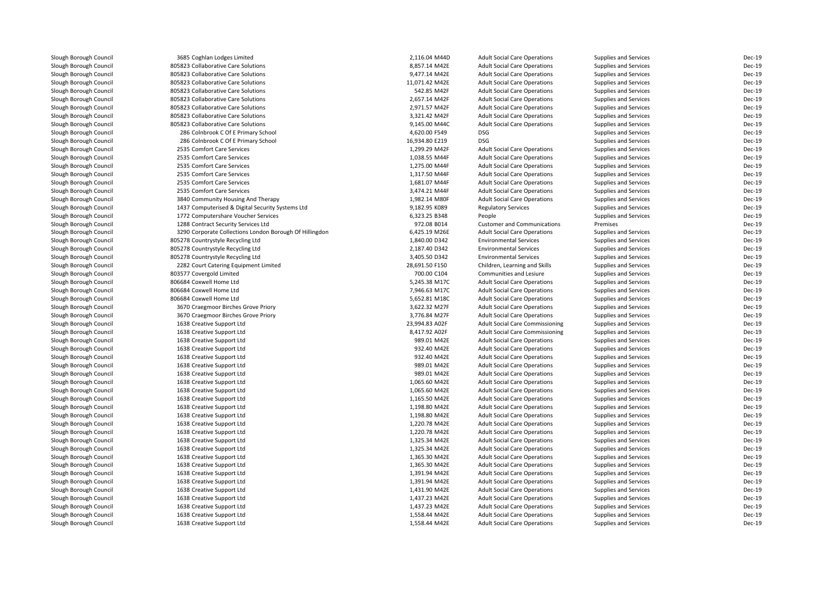| Slough Borough Council | 3685 Coghlan Lodges Limited                             | 2,116.04 M44D  | <b>Adult Social Care Operations</b>    | Supplies and Services | Dec-19        |
|------------------------|---------------------------------------------------------|----------------|----------------------------------------|-----------------------|---------------|
| Slough Borough Council | 805823 Collaborative Care Solutions                     | 8,857.14 M42E  | <b>Adult Social Care Operations</b>    | Supplies and Services | Dec-19        |
| Slough Borough Council | 805823 Collaborative Care Solutions                     | 9,477.14 M42E  | <b>Adult Social Care Operations</b>    | Supplies and Services | Dec-19        |
| Slough Borough Council | 805823 Collaborative Care Solutions                     | 11,071.42 M42E | <b>Adult Social Care Operations</b>    | Supplies and Services | Dec-19        |
| Slough Borough Council | 805823 Collaborative Care Solutions                     | 542.85 M42F    | <b>Adult Social Care Operations</b>    | Supplies and Services | Dec-19        |
| Slough Borough Council | 805823 Collaborative Care Solutions                     | 2,657.14 M42F  | <b>Adult Social Care Operations</b>    | Supplies and Services | Dec-19        |
| Slough Borough Council | 805823 Collaborative Care Solutions                     | 2,971.57 M42F  | <b>Adult Social Care Operations</b>    | Supplies and Services | Dec-19        |
| Slough Borough Council | 805823 Collaborative Care Solutions                     | 3,321.42 M42F  | <b>Adult Social Care Operations</b>    | Supplies and Services | <b>Dec-19</b> |
| Slough Borough Council | 805823 Collaborative Care Solutions                     | 9,145.00 M44C  | <b>Adult Social Care Operations</b>    | Supplies and Services | Dec-19        |
| Slough Borough Council | 286 Colnbrook C Of E Primary School                     | 4,620.00 F549  | <b>DSG</b>                             | Supplies and Services | Dec-19        |
| Slough Borough Council | 286 Colnbrook C Of E Primary School                     | 16,934.80 E219 | <b>DSG</b>                             | Supplies and Services | <b>Dec-19</b> |
| Slough Borough Council | 2535 Comfort Care Services                              | 1,299.29 M42F  | <b>Adult Social Care Operations</b>    | Supplies and Services | Dec-19        |
| Slough Borough Council | 2535 Comfort Care Services                              | 1,038.55 M44F  | <b>Adult Social Care Operations</b>    | Supplies and Services | Dec-19        |
| Slough Borough Council | 2535 Comfort Care Services                              | 1,275.00 M44F  | <b>Adult Social Care Operations</b>    | Supplies and Services | Dec-19        |
| Slough Borough Council | 2535 Comfort Care Services                              | 1,317.50 M44F  | <b>Adult Social Care Operations</b>    | Supplies and Services | <b>Dec-19</b> |
| Slough Borough Council | 2535 Comfort Care Services                              | 1,681.07 M44F  | <b>Adult Social Care Operations</b>    | Supplies and Services | Dec-19        |
| Slough Borough Council | 2535 Comfort Care Services                              | 3,474.21 M44F  | <b>Adult Social Care Operations</b>    | Supplies and Services | Dec-19        |
| Slough Borough Council | 3840 Community Housing And Therapy                      | 1,982.14 M80F  | <b>Adult Social Care Operations</b>    | Supplies and Services | Dec-19        |
| Slough Borough Council | 1437 Computerised & Digital Security Systems Ltd        | 9,182.95 K089  | <b>Regulatory Services</b>             | Supplies and Services | Dec-19        |
| Slough Borough Council | 1772 Computershare Voucher Services                     | 6,323.25 B348  | People                                 | Supplies and Services | Dec-19        |
| Slough Borough Council | 1288 Contract Security Services Ltd                     | 972.08 B014    | <b>Customer and Communications</b>     | Premises              | Dec-19        |
| Slough Borough Council | 3290 Corporate Collections London Borough Of Hillingdon | 6,425.19 M26E  | <b>Adult Social Care Operations</b>    | Supplies and Services | Dec-19        |
| Slough Borough Council | 805278 Countrystyle Recycling Ltd                       | 1,840.00 D342  | <b>Environmental Services</b>          | Supplies and Services | <b>Dec-19</b> |
| Slough Borough Council | 805278 Countrystyle Recycling Ltd                       | 2,187.40 D342  | <b>Environmental Services</b>          | Supplies and Services | Dec-19        |
| Slough Borough Council | 805278 Countrystyle Recycling Ltd                       | 3,405.50 D342  | <b>Environmental Services</b>          | Supplies and Services | Dec-19        |
| Slough Borough Council | 2282 Court Catering Equipment Limited                   | 28,691.50 F150 | Children, Learning and Skills          | Supplies and Services | Dec-19        |
| Slough Borough Council | 803577 Covergold Limited                                | 700.00 C104    | Communities and Lesiure                | Supplies and Services | <b>Dec-19</b> |
| Slough Borough Council | 806684 Coxwell Home Ltd                                 | 5,245.38 M17C  | <b>Adult Social Care Operations</b>    | Supplies and Services | <b>Dec-19</b> |
| Slough Borough Council | 806684 Coxwell Home Ltd                                 | 7,946.63 M17C  | <b>Adult Social Care Operations</b>    | Supplies and Services | <b>Dec-19</b> |
| Slough Borough Council | 806684 Coxwell Home Ltd                                 | 5,652.81 M18C  | <b>Adult Social Care Operations</b>    | Supplies and Services | <b>Dec-19</b> |
| Slough Borough Council | 3670 Craegmoor Birches Grove Priory                     | 3,622.32 M27F  | <b>Adult Social Care Operations</b>    | Supplies and Services | <b>Dec-19</b> |
| Slough Borough Council | 3670 Craegmoor Birches Grove Priory                     | 3,776.84 M27F  | <b>Adult Social Care Operations</b>    | Supplies and Services | <b>Dec-19</b> |
| Slough Borough Council | 1638 Creative Support Ltd                               | 23,994.83 A02F | Adult Social Care Commissioning        | Supplies and Services | Dec-19        |
| Slough Borough Council | 1638 Creative Support Ltd                               | 8,417.92 A02F  | <b>Adult Social Care Commissioning</b> | Supplies and Services | Dec-19        |
| Slough Borough Council | 1638 Creative Support Ltd                               | 989.01 M42E    | <b>Adult Social Care Operations</b>    | Supplies and Services | Dec-19        |
| Slough Borough Council | 1638 Creative Support Ltd                               | 932.40 M42E    | <b>Adult Social Care Operations</b>    | Supplies and Services | Dec-19        |
| Slough Borough Council | 1638 Creative Support Ltd                               | 932.40 M42E    | <b>Adult Social Care Operations</b>    | Supplies and Services | Dec-19        |
| Slough Borough Council | 1638 Creative Support Ltd                               | 989.01 M42E    | <b>Adult Social Care Operations</b>    | Supplies and Services | Dec-19        |
| Slough Borough Council | 1638 Creative Support Ltd                               | 989.01 M42E    | <b>Adult Social Care Operations</b>    | Supplies and Services | Dec-19        |
| Slough Borough Council | 1638 Creative Support Ltd                               | 1,065.60 M42E  | <b>Adult Social Care Operations</b>    | Supplies and Services | <b>Dec-19</b> |
| Slough Borough Council | 1638 Creative Support Ltd                               | 1,065.60 M42E  | <b>Adult Social Care Operations</b>    | Supplies and Services | Dec-19        |
| Slough Borough Council | 1638 Creative Support Ltd                               | 1,165.50 M42E  | <b>Adult Social Care Operations</b>    | Supplies and Services | <b>Dec-19</b> |
| Slough Borough Council | 1638 Creative Support Ltd                               | 1,198.80 M42E  | <b>Adult Social Care Operations</b>    | Supplies and Services | <b>Dec-19</b> |
| Slough Borough Council | 1638 Creative Support Ltd                               | 1,198.80 M42E  | <b>Adult Social Care Operations</b>    | Supplies and Services | <b>Dec-19</b> |
| Slough Borough Council | 1638 Creative Support Ltd                               | 1,220.78 M42E  | <b>Adult Social Care Operations</b>    | Supplies and Services | <b>Dec-19</b> |
| Slough Borough Council | 1638 Creative Support Ltd                               | 1,220.78 M42E  | <b>Adult Social Care Operations</b>    | Supplies and Services | <b>Dec-19</b> |
| Slough Borough Council | 1638 Creative Support Ltd                               | 1,325.34 M42E  | <b>Adult Social Care Operations</b>    | Supplies and Services | <b>Dec-19</b> |
| Slough Borough Council | 1638 Creative Support Ltd                               | 1,325.34 M42E  | <b>Adult Social Care Operations</b>    | Supplies and Services | <b>Dec-19</b> |
| Slough Borough Council | 1638 Creative Support Ltd                               | 1,365.30 M42E  | <b>Adult Social Care Operations</b>    | Supplies and Services | <b>Dec-19</b> |
| Slough Borough Council | 1638 Creative Support Ltd                               | 1,365.30 M42E  | <b>Adult Social Care Operations</b>    | Supplies and Services | <b>Dec-19</b> |
| Slough Borough Council | 1638 Creative Support Ltd                               | 1,391.94 M42E  | <b>Adult Social Care Operations</b>    | Supplies and Services | Dec-19        |
| Slough Borough Council | 1638 Creative Support Ltd                               | 1,391.94 M42E  | <b>Adult Social Care Operations</b>    | Supplies and Services | Dec-19        |
| Slough Borough Council | 1638 Creative Support Ltd                               | 1,431.90 M42E  | <b>Adult Social Care Operations</b>    | Supplies and Services | Dec-19        |
| Slough Borough Council | 1638 Creative Support Ltd                               | 1,437.23 M42E  | <b>Adult Social Care Operations</b>    | Supplies and Services | Dec-19        |
| Slough Borough Council | 1638 Creative Support Ltd                               | 1,437.23 M42E  | <b>Adult Social Care Operations</b>    | Supplies and Services | <b>Dec-19</b> |
| Slough Borough Council | 1638 Creative Support Ltd                               | 1,558.44 M42E  | <b>Adult Social Care Operations</b>    | Supplies and Services | Dec-19        |
| Slough Borough Council | 1638 Creative Support Ltd                               | 1,558.44 M42E  | <b>Adult Social Care Operations</b>    | Supplies and Services | Dec-19        |
|                        |                                                         |                |                                        |                       |               |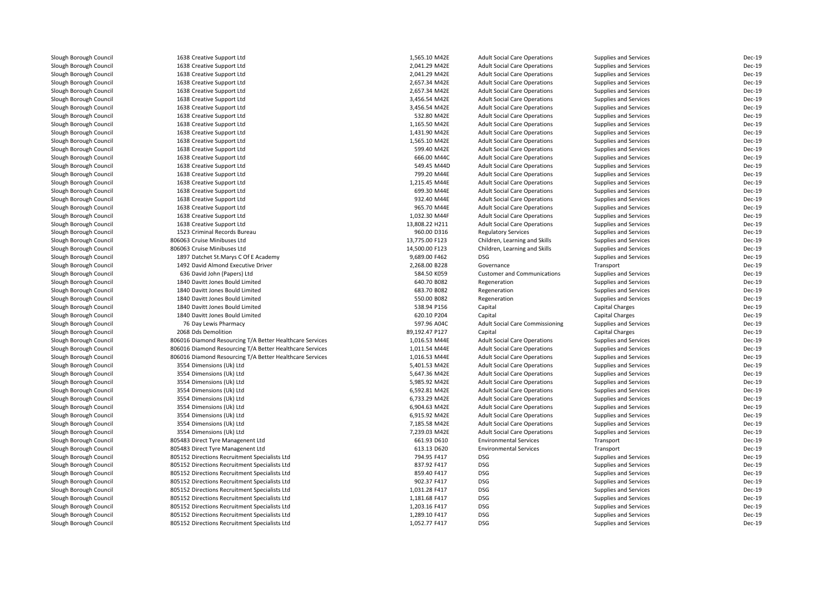| Slough Borough Council                           | 1638 Creative Support Ltd                                | 1,565.10 M42E  | <b>Adult Social Care Operations</b>                                        | Supplies and Services        | Dec-19           |
|--------------------------------------------------|----------------------------------------------------------|----------------|----------------------------------------------------------------------------|------------------------------|------------------|
| Slough Borough Council                           | 1638 Creative Support Ltd                                | 2,041.29 M42E  | <b>Adult Social Care Operations</b>                                        | Supplies and Services        | Dec-19           |
| Slough Borough Council                           | 1638 Creative Support Ltd                                | 2,041.29 M42E  | <b>Adult Social Care Operations</b>                                        | Supplies and Services        | Dec-19           |
| Slough Borough Council                           | 1638 Creative Support Ltd                                | 2,657.34 M42E  | <b>Adult Social Care Operations</b>                                        | Supplies and Services        | Dec-19           |
| Slough Borough Council                           | 1638 Creative Support Ltd                                | 2,657.34 M42E  | <b>Adult Social Care Operations</b>                                        | Supplies and Services        | Dec-19           |
| Slough Borough Council                           | 1638 Creative Support Ltd                                | 3,456.54 M42E  | <b>Adult Social Care Operations</b>                                        | Supplies and Services        | Dec-19           |
| Slough Borough Council                           | 1638 Creative Support Ltd                                | 3,456.54 M42E  | <b>Adult Social Care Operations</b>                                        | Supplies and Services        | Dec-19           |
| Slough Borough Council                           | 1638 Creative Support Ltd                                | 532.80 M42E    | <b>Adult Social Care Operations</b>                                        | Supplies and Services        | Dec-19           |
| Slough Borough Council                           | 1638 Creative Support Ltd                                | 1,165.50 M42E  | <b>Adult Social Care Operations</b>                                        | Supplies and Services        | Dec-19           |
| Slough Borough Council                           | 1638 Creative Support Ltd                                | 1,431.90 M42E  | <b>Adult Social Care Operations</b>                                        | Supplies and Services        | Dec-19           |
| Slough Borough Council                           | 1638 Creative Support Ltd                                | 1,565.10 M42E  | <b>Adult Social Care Operations</b>                                        | Supplies and Services        | Dec-19           |
| Slough Borough Council                           | 1638 Creative Support Ltd                                | 599.40 M42E    | <b>Adult Social Care Operations</b>                                        | Supplies and Services        | Dec-19           |
| Slough Borough Council                           | 1638 Creative Support Ltd                                | 666.00 M44C    | <b>Adult Social Care Operations</b>                                        | Supplies and Services        | Dec-19           |
| Slough Borough Council                           | 1638 Creative Support Ltd                                | 549.45 M44D    | <b>Adult Social Care Operations</b>                                        | Supplies and Services        | Dec-19           |
| Slough Borough Council                           | 1638 Creative Support Ltd                                | 799.20 M44E    | <b>Adult Social Care Operations</b>                                        | Supplies and Services        | Dec-19           |
| Slough Borough Council                           | 1638 Creative Support Ltd                                | 1,215.45 M44E  | <b>Adult Social Care Operations</b>                                        | Supplies and Services        | Dec-19           |
| Slough Borough Council                           | 1638 Creative Support Ltd                                | 699.30 M44E    | <b>Adult Social Care Operations</b>                                        | Supplies and Services        | Dec-19           |
| Slough Borough Council                           | 1638 Creative Support Ltd                                | 932.40 M44E    | <b>Adult Social Care Operations</b>                                        | Supplies and Services        | Dec-19           |
| Slough Borough Council                           | 1638 Creative Support Ltd                                | 965.70 M44E    | <b>Adult Social Care Operations</b>                                        | Supplies and Services        | Dec-19           |
| Slough Borough Council                           | 1638 Creative Support Ltd                                | 1,032.30 M44F  | <b>Adult Social Care Operations</b>                                        | Supplies and Services        | Dec-19           |
| Slough Borough Council                           | 1638 Creative Support Ltd                                | 13,808.22 H211 | <b>Adult Social Care Operations</b>                                        | Supplies and Services        | Dec-19           |
| Slough Borough Council                           | 1523 Criminal Records Bureau                             | 960.00 D316    | <b>Regulatory Services</b>                                                 | Supplies and Services        | Dec-19           |
| Slough Borough Council                           | 806063 Cruise Minibuses Ltd                              | 13,775.00 F123 | Children, Learning and Skills                                              | Supplies and Services        | Dec-19           |
| Slough Borough Council                           | 806063 Cruise Minibuses Ltd                              | 14,500.00 F123 | Children, Learning and Skills                                              | Supplies and Services        | Dec-19           |
| Slough Borough Council                           | 1897 Datchet St.Marys C Of E Academy                     | 9,689.00 F462  | <b>DSG</b>                                                                 | Supplies and Services        | Dec-19           |
| Slough Borough Council                           | 1492 David Almond Executive Driver                       | 2,268.00 B228  | Governance                                                                 | Transport                    | Dec-19           |
| Slough Borough Council                           | 636 David John (Papers) Ltd                              | 584.50 K059    | <b>Customer and Communications</b>                                         | Supplies and Services        | Dec-19           |
| Slough Borough Council                           | 1840 Davitt Jones Bould Limited                          | 640.70 B082    | Regeneration                                                               | Supplies and Services        | Dec-19           |
| Slough Borough Council                           | 1840 Davitt Jones Bould Limited                          | 683.70 B082    | Regeneration                                                               | Supplies and Services        | <b>Dec-19</b>    |
| Slough Borough Council                           | 1840 Davitt Jones Bould Limited                          | 550.00 B082    | Regeneration                                                               | Supplies and Services        | Dec-19           |
| Slough Borough Council                           | 1840 Davitt Jones Bould Limited                          | 538.94 P156    | Capital                                                                    | <b>Capital Charges</b>       | Dec-19           |
| Slough Borough Council                           | 1840 Davitt Jones Bould Limited                          | 620.10 P204    | Capital                                                                    | <b>Capital Charges</b>       | Dec-19           |
| Slough Borough Council                           | 76 Day Lewis Pharmacy                                    | 597.96 A04C    | <b>Adult Social Care Commissioning</b>                                     | Supplies and Services        | Dec-19           |
| Slough Borough Council                           | 2068 Dds Demolition                                      | 89,192.47 P127 | Capital                                                                    | Capital Charges              | Dec-19           |
|                                                  | 806016 Diamond Resourcing T/A Better Healthcare Services | 1,016.53 M44E  |                                                                            |                              | Dec-19           |
| Slough Borough Council<br>Slough Borough Council | 806016 Diamond Resourcing T/A Better Healthcare Services | 1,011.54 M44E  | <b>Adult Social Care Operations</b><br><b>Adult Social Care Operations</b> | Supplies and Services        | Dec-19           |
|                                                  |                                                          |                |                                                                            | Supplies and Services        |                  |
| Slough Borough Council                           | 806016 Diamond Resourcing T/A Better Healthcare Services | 1,016.53 M44E  | <b>Adult Social Care Operations</b>                                        | Supplies and Services        | Dec-19<br>Dec-19 |
| Slough Borough Council                           | 3554 Dimensions (Uk) Ltd                                 | 5,401.53 M42E  | <b>Adult Social Care Operations</b>                                        | Supplies and Services        | Dec-19           |
| Slough Borough Council                           | 3554 Dimensions (Uk) Ltd                                 | 5,647.36 M42E  | <b>Adult Social Care Operations</b>                                        | Supplies and Services        |                  |
| Slough Borough Council                           | 3554 Dimensions (Uk) Ltd                                 | 5,985.92 M42E  | <b>Adult Social Care Operations</b>                                        | Supplies and Services        | Dec-19           |
| Slough Borough Council                           | 3554 Dimensions (Uk) Ltd                                 | 6,592.81 M42E  | <b>Adult Social Care Operations</b>                                        | Supplies and Services        | Dec-19           |
| Slough Borough Council                           | 3554 Dimensions (Uk) Ltd                                 | 6,733.29 M42E  | <b>Adult Social Care Operations</b>                                        | Supplies and Services        | Dec-19           |
| Slough Borough Council                           | 3554 Dimensions (Uk) Ltd                                 | 6,904.63 M42E  | <b>Adult Social Care Operations</b>                                        | Supplies and Services        | Dec-19           |
| Slough Borough Council                           | 3554 Dimensions (Uk) Ltd                                 | 6,915.92 M42E  | <b>Adult Social Care Operations</b>                                        | Supplies and Services        | Dec-19           |
| Slough Borough Council                           | 3554 Dimensions (Uk) Ltd                                 | 7,185.58 M42E  | <b>Adult Social Care Operations</b>                                        | Supplies and Services        | Dec-19           |
| Slough Borough Council                           | 3554 Dimensions (Uk) Ltd                                 | 7,239.03 M42E  | <b>Adult Social Care Operations</b>                                        | Supplies and Services        | Dec-19           |
| Slough Borough Council                           | 805483 Direct Tyre Managenent Ltd                        | 661.93 D610    | <b>Environmental Services</b>                                              | Transport                    | Dec-19           |
| Slough Borough Council                           | 805483 Direct Tyre Managenent Ltd                        | 613.13 D620    | <b>Environmental Services</b>                                              | Transport                    | Dec-19           |
| Slough Borough Council                           | 805152 Directions Recruitment Specialists Ltd            | 794.95 F417    | <b>DSG</b>                                                                 | Supplies and Services        | Dec-19           |
| Slough Borough Council                           | 805152 Directions Recruitment Specialists Ltd            | 837.92 F417    | <b>DSG</b>                                                                 | Supplies and Services        | Dec-19           |
| Slough Borough Council                           | 805152 Directions Recruitment Specialists Ltd            | 859.40 F417    | <b>DSG</b>                                                                 | Supplies and Services        | Dec-19           |
| Slough Borough Council                           | 805152 Directions Recruitment Specialists Ltd            | 902.37 F417    | <b>DSG</b>                                                                 | <b>Supplies and Services</b> | Dec-19           |
| Slough Borough Council                           | 805152 Directions Recruitment Specialists Ltd            | 1,031.28 F417  | <b>DSG</b>                                                                 | Supplies and Services        | Dec-19           |
| Slough Borough Council                           | 805152 Directions Recruitment Specialists Ltd            | 1,181.68 F417  | <b>DSG</b>                                                                 | Supplies and Services        | Dec-19           |
| Slough Borough Council                           | 805152 Directions Recruitment Specialists Ltd            | 1,203.16 F417  | <b>DSG</b>                                                                 | Supplies and Services        | Dec-19           |
| Slough Borough Council                           | 805152 Directions Recruitment Specialists Ltd            | 1,289.10 F417  | <b>DSG</b>                                                                 | Supplies and Services        | Dec-19           |
| Slough Borough Council                           | 805152 Directions Recruitment Specialists Ltd            | 1,052.77 F417  | <b>DSG</b>                                                                 | Supplies and Services        | Dec-19           |
|                                                  |                                                          |                |                                                                            |                              |                  |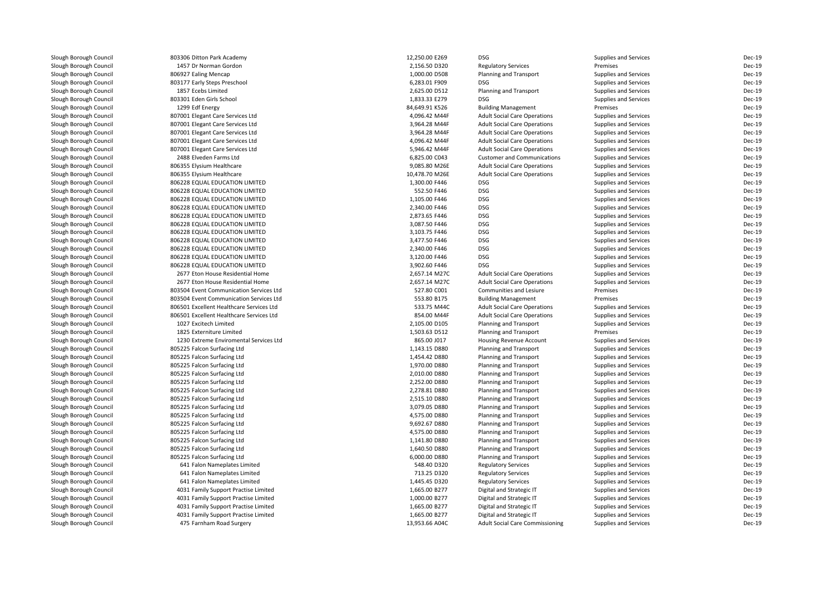| Slough Borough Council                           | 803306 Ditton Park Academy                                           | 12,250.00 E269                 | <b>DSG</b>                                                                 | Supplies and Services                          | Dec-19 |
|--------------------------------------------------|----------------------------------------------------------------------|--------------------------------|----------------------------------------------------------------------------|------------------------------------------------|--------|
| Slough Borough Council                           | 1457 Dr Norman Gordon                                                | 2,156.50 D320                  | <b>Regulatory Services</b>                                                 | Premises                                       | Dec-19 |
| Slough Borough Council                           | 806927 Ealing Mencap                                                 | 1,000.00 D508                  | Planning and Transport                                                     | Supplies and Services                          | Dec-19 |
| Slough Borough Council                           | 803177 Early Steps Preschool                                         | 6,283.01 F909                  | <b>DSG</b>                                                                 | Supplies and Services                          | Dec-19 |
| Slough Borough Council                           | 1857 Ecebs Limited                                                   | 2,625.00 D512                  | Planning and Transport                                                     | Supplies and Services                          | Dec-19 |
| Slough Borough Council                           | 803301 Eden Girls School                                             | 1,833.33 E279                  | <b>DSG</b>                                                                 | Supplies and Services                          | Dec-19 |
| Slough Borough Council                           | 1299 Edf Energy                                                      | 84,649.91 K526                 | <b>Building Management</b>                                                 | Premises                                       | Dec-19 |
| Slough Borough Council                           | 807001 Elegant Care Services Ltd                                     | 4,096.42 M44F                  | <b>Adult Social Care Operations</b>                                        | Supplies and Services                          | Dec-19 |
| Slough Borough Council                           | 807001 Elegant Care Services Ltd                                     | 3,964.28 M44F                  | <b>Adult Social Care Operations</b>                                        | Supplies and Services                          | Dec-19 |
| Slough Borough Council                           | 807001 Elegant Care Services Ltd                                     | 3,964.28 M44F                  | <b>Adult Social Care Operations</b>                                        | Supplies and Services                          | Dec-19 |
| Slough Borough Council                           | 807001 Elegant Care Services Ltd                                     | 4,096.42 M44F                  | <b>Adult Social Care Operations</b>                                        | Supplies and Services                          | Dec-19 |
| Slough Borough Council                           | 807001 Elegant Care Services Ltd                                     | 5,946.42 M44F                  | <b>Adult Social Care Operations</b>                                        | <b>Supplies and Services</b>                   | Dec-19 |
| Slough Borough Council                           | 2488 Elveden Farms Ltd                                               | 6,825.00 C043                  | <b>Customer and Communications</b>                                         | Supplies and Services                          | Dec-19 |
| Slough Borough Council                           | 806355 Elysium Healthcare                                            | 9,085.80 M26E                  | <b>Adult Social Care Operations</b>                                        | Supplies and Services                          | Dec-19 |
| Slough Borough Council                           | 806355 Elysium Healthcare                                            | 10,478.70 M26E                 | <b>Adult Social Care Operations</b>                                        | Supplies and Services                          | Dec-19 |
| Slough Borough Council                           | 806228 EQUAL EDUCATION LIMITED                                       | 1,300.00 F446                  | <b>DSG</b>                                                                 | Supplies and Services                          | Dec-19 |
| Slough Borough Council                           | 806228 EQUAL EDUCATION LIMITED                                       | 552.50 F446                    | <b>DSG</b>                                                                 | Supplies and Services                          | Dec-19 |
| Slough Borough Council                           | 806228 EQUAL EDUCATION LIMITED                                       | 1,105.00 F446                  | <b>DSG</b>                                                                 | Supplies and Services                          | Dec-19 |
| Slough Borough Council                           | 806228 EQUAL EDUCATION LIMITED                                       | 2,340.00 F446                  | <b>DSG</b>                                                                 | Supplies and Services                          | Dec-19 |
| Slough Borough Council                           | 806228 EQUAL EDUCATION LIMITED                                       | 2,873.65 F446                  | <b>DSG</b>                                                                 | Supplies and Services                          | Dec-19 |
| Slough Borough Council                           | 806228 EQUAL EDUCATION LIMITED                                       | 3,087.50 F446                  | <b>DSG</b>                                                                 | Supplies and Services                          | Dec-19 |
| Slough Borough Council                           | 806228 EQUAL EDUCATION LIMITED                                       | 3,103.75 F446                  | <b>DSG</b>                                                                 | Supplies and Services                          | Dec-19 |
| Slough Borough Council                           | 806228 EQUAL EDUCATION LIMITED                                       | 3,477.50 F446                  | <b>DSG</b>                                                                 | Supplies and Services                          | Dec-19 |
| Slough Borough Council                           | 806228 EQUAL EDUCATION LIMITED                                       | 2,340.00 F446                  | <b>DSG</b>                                                                 | Supplies and Services                          | Dec-19 |
| Slough Borough Council                           | 806228 EQUAL EDUCATION LIMITED                                       | 3,120.00 F446                  | <b>DSG</b>                                                                 | Supplies and Services                          | Dec-19 |
| Slough Borough Council                           | 806228 EQUAL EDUCATION LIMITED                                       | 3,902.60 F446                  | <b>DSG</b>                                                                 | Supplies and Services                          | Dec-19 |
|                                                  |                                                                      |                                |                                                                            |                                                | Dec-19 |
| Slough Borough Council<br>Slough Borough Council | 2677 Eton House Residential Home<br>2677 Eton House Residential Home | 2,657.14 M27C<br>2,657.14 M27C | <b>Adult Social Care Operations</b><br><b>Adult Social Care Operations</b> | Supplies and Services<br>Supplies and Services | Dec-19 |
| Slough Borough Council                           | 803504 Event Communication Services Ltd                              | 527.80 C001                    | Communities and Lesiure                                                    | Premises                                       | Dec-19 |
| Slough Borough Council                           | 803504 Event Communication Services Ltd                              | 553.80 B175                    | <b>Building Management</b>                                                 | Premises                                       | Dec-19 |
| Slough Borough Council                           | 806501 Excellent Healthcare Services Ltd                             | 533.75 M44C                    | <b>Adult Social Care Operations</b>                                        | Supplies and Services                          | Dec-19 |
|                                                  |                                                                      | 854.00 M44F                    |                                                                            |                                                | Dec-19 |
| Slough Borough Council<br>Slough Borough Council | 806501 Excellent Healthcare Services Ltd<br>1027 Excitech Limited    | 2,105.00 D105                  | <b>Adult Social Care Operations</b><br>Planning and Transport              | Supplies and Services<br>Supplies and Services | Dec-19 |
|                                                  | 1825 Externiture Limited                                             |                                |                                                                            | Premises                                       | Dec-19 |
| Slough Borough Council                           | 1230 Extreme Enviromental Services Ltd                               | 1,503.63 D512<br>865.00 J017   | Planning and Transport                                                     |                                                | Dec-19 |
| Slough Borough Council<br>Slough Borough Council | 805225 Falcon Surfacing Ltd                                          | 1,143.15 D880                  | Housing Revenue Account<br>Planning and Transport                          | Supplies and Services<br>Supplies and Services | Dec-19 |
| Slough Borough Council                           |                                                                      |                                |                                                                            |                                                | Dec-19 |
| Slough Borough Council                           | 805225 Falcon Surfacing Ltd<br>805225 Falcon Surfacing Ltd           | 1,454.42 D880<br>1,970.00 D880 | Planning and Transport<br>Planning and Transport                           | Supplies and Services                          | Dec-19 |
|                                                  |                                                                      |                                |                                                                            | Supplies and Services                          | Dec-19 |
| Slough Borough Council                           | 805225 Falcon Surfacing Ltd                                          | 2,010.00 D880                  | Planning and Transport                                                     | Supplies and Services                          | Dec-19 |
| Slough Borough Council                           | 805225 Falcon Surfacing Ltd                                          | 2,252.00 D880                  | Planning and Transport                                                     | Supplies and Services                          |        |
| Slough Borough Council                           | 805225 Falcon Surfacing Ltd                                          | 2,278.81 D880                  | Planning and Transport                                                     | Supplies and Services                          | Dec-19 |
| Slough Borough Council                           | 805225 Falcon Surfacing Ltd                                          | 2,515.10 D880                  | Planning and Transport                                                     | Supplies and Services                          | Dec-19 |
| Slough Borough Council                           | 805225 Falcon Surfacing Ltd                                          | 3,079.05 D880                  | Planning and Transport                                                     | Supplies and Services                          | Dec-19 |
| Slough Borough Council                           | 805225 Falcon Surfacing Ltd                                          | 4,575.00 D880                  | Planning and Transport                                                     | Supplies and Services                          | Dec-19 |
| Slough Borough Council                           | 805225 Falcon Surfacing Ltd                                          | 9,692.67 D880                  | Planning and Transport                                                     | Supplies and Services                          | Dec-19 |
| Slough Borough Council                           | 805225 Falcon Surfacing Ltd                                          | 4,575.00 D880                  | Planning and Transport                                                     | Supplies and Services                          | Dec-19 |
| Slough Borough Council                           | 805225 Falcon Surfacing Ltd                                          | 1,141.80 D880                  | Planning and Transport                                                     | Supplies and Services                          | Dec-19 |
| Slough Borough Council                           | 805225 Falcon Surfacing Ltd                                          | 1,640.50 D880                  | Planning and Transport                                                     | Supplies and Services                          | Dec-19 |
| Slough Borough Council                           | 805225 Falcon Surfacing Ltd                                          | 6,000.00 D880                  | Planning and Transport                                                     | Supplies and Services                          | Dec-19 |
| Slough Borough Council                           | 641 Falon Nameplates Limited                                         | 548.40 D320                    | <b>Regulatory Services</b>                                                 | Supplies and Services                          | Dec-19 |
| Slough Borough Council                           | 641 Falon Nameplates Limited                                         | 713.25 D320                    | <b>Regulatory Services</b>                                                 | Supplies and Services                          | Dec-19 |
| Slough Borough Council                           | 641 Falon Nameplates Limited                                         | 1,445.45 D320                  | <b>Regulatory Services</b>                                                 | Supplies and Services                          | Dec-19 |
| Slough Borough Council                           | 4031 Family Support Practise Limited                                 | 1,665.00 B277                  | Digital and Strategic IT                                                   | Supplies and Services                          | Dec-19 |
| Slough Borough Council                           | 4031 Family Support Practise Limited                                 | 1,000.00 B277                  | Digital and Strategic IT                                                   | Supplies and Services                          | Dec-19 |
| Slough Borough Council                           | 4031 Family Support Practise Limited                                 | 1,665.00 B277                  | Digital and Strategic IT                                                   | Supplies and Services                          | Dec-19 |
| Slough Borough Council                           | 4031 Family Support Practise Limited                                 | 1,665.00 B277                  | Digital and Strategic IT                                                   | Supplies and Services                          | Dec-19 |
| Slough Borough Council                           | 475 Farnham Road Surgery                                             | 13,953.66 A04C                 | Adult Social Care Commissioning                                            | Supplies and Services                          | Dec-19 |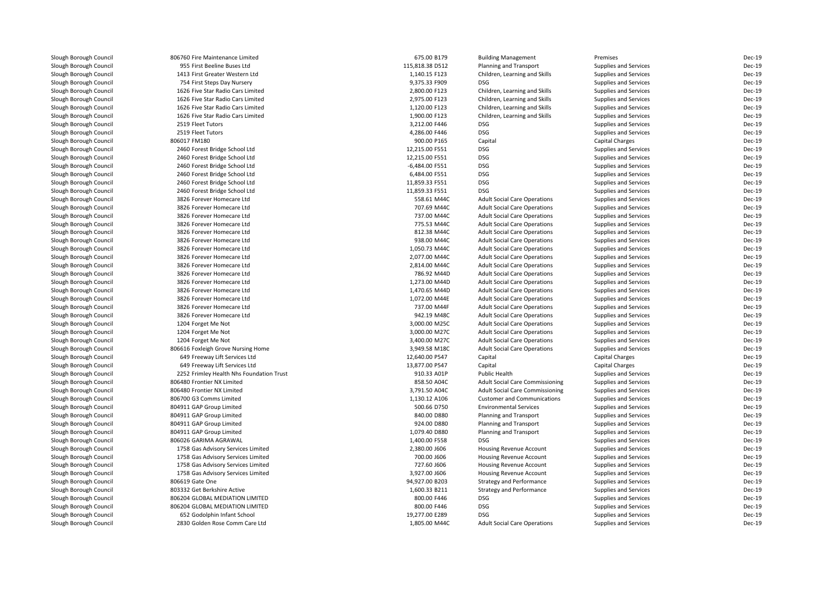| Slough Borough Council | 806760 Fire Maintenance Limited          | 675.00 B179     | <b>Building Management</b>             | Premises                     | Dec-19 |
|------------------------|------------------------------------------|-----------------|----------------------------------------|------------------------------|--------|
| Slough Borough Council | 955 First Beeline Buses Ltd              | 115,818.38 D512 | Planning and Transport                 | Supplies and Services        | Dec-19 |
| Slough Borough Council | 1413 First Greater Western Ltd           | 1,140.15 F123   | Children, Learning and Skills          | Supplies and Services        | Dec-19 |
| Slough Borough Council | 754 First Steps Day Nursery              | 9,375.33 F909   | <b>DSG</b>                             | <b>Supplies and Services</b> | Dec-19 |
| Slough Borough Council | 1626 Five Star Radio Cars Limited        | 2,800.00 F123   | Children, Learning and Skills          | Supplies and Services        | Dec-19 |
| Slough Borough Council | 1626 Five Star Radio Cars Limited        | 2,975.00 F123   | Children, Learning and Skills          | Supplies and Services        | Dec-19 |
| Slough Borough Council | 1626 Five Star Radio Cars Limited        | 1,120.00 F123   | Children, Learning and Skills          | Supplies and Services        | Dec-19 |
| Slough Borough Council | 1626 Five Star Radio Cars Limited        | 1,900.00 F123   | Children, Learning and Skills          | Supplies and Services        | Dec-19 |
| Slough Borough Council | 2519 Fleet Tutors                        | 3,212.00 F446   | <b>DSG</b>                             | Supplies and Services        | Dec-19 |
| Slough Borough Council | 2519 Fleet Tutors                        | 4,286.00 F446   | <b>DSG</b>                             | Supplies and Services        | Dec-19 |
| Slough Borough Council | 806017 FM180                             | 900.00 P165     | Capital                                | <b>Capital Charges</b>       | Dec-19 |
| Slough Borough Council | 2460 Forest Bridge School Ltd            | 12,215.00 F551  | <b>DSG</b>                             | Supplies and Services        | Dec-19 |
| Slough Borough Council | 2460 Forest Bridge School Ltd            | 12,215.00 F551  | <b>DSG</b>                             | Supplies and Services        | Dec-19 |
| Slough Borough Council | 2460 Forest Bridge School Ltd            | -6,484.00 F551  | <b>DSG</b>                             | Supplies and Services        | Dec-19 |
| Slough Borough Council | 2460 Forest Bridge School Ltd            | 6,484.00 F551   | <b>DSG</b>                             | Supplies and Services        | Dec-19 |
| Slough Borough Council | 2460 Forest Bridge School Ltd            | 11,859.33 F551  | <b>DSG</b>                             | Supplies and Services        | Dec-19 |
| Slough Borough Council | 2460 Forest Bridge School Ltd            | 11,859.33 F551  | <b>DSG</b>                             | Supplies and Services        | Dec-19 |
| Slough Borough Council | 3826 Forever Homecare Ltd                | 558.61 M44C     | <b>Adult Social Care Operations</b>    | Supplies and Services        | Dec-19 |
| Slough Borough Council | 3826 Forever Homecare Ltd                | 707.69 M44C     | <b>Adult Social Care Operations</b>    | Supplies and Services        | Dec-19 |
| Slough Borough Council | 3826 Forever Homecare Ltd                | 737.00 M44C     | <b>Adult Social Care Operations</b>    | Supplies and Services        | Dec-19 |
| Slough Borough Council | 3826 Forever Homecare Ltd                | 775.53 M44C     | <b>Adult Social Care Operations</b>    | Supplies and Services        | Dec-19 |
| Slough Borough Council | 3826 Forever Homecare Ltd                | 812.38 M44C     | <b>Adult Social Care Operations</b>    | Supplies and Services        | Dec-19 |
| Slough Borough Council | 3826 Forever Homecare Ltd                | 938.00 M44C     | <b>Adult Social Care Operations</b>    | Supplies and Services        | Dec-19 |
| Slough Borough Council | 3826 Forever Homecare Ltd                | 1,050.73 M44C   | <b>Adult Social Care Operations</b>    | Supplies and Services        | Dec-19 |
| Slough Borough Council | 3826 Forever Homecare Ltd                | 2,077.00 M44C   | <b>Adult Social Care Operations</b>    | Supplies and Services        | Dec-19 |
| Slough Borough Council | 3826 Forever Homecare Ltd                | 2,814.00 M44C   | <b>Adult Social Care Operations</b>    | Supplies and Services        | Dec-19 |
| Slough Borough Council | 3826 Forever Homecare Ltd                | 786.92 M44D     | <b>Adult Social Care Operations</b>    | Supplies and Services        | Dec-19 |
| Slough Borough Council | 3826 Forever Homecare Ltd                | 1,273.00 M44D   | <b>Adult Social Care Operations</b>    | Supplies and Services        | Dec-19 |
| Slough Borough Council | 3826 Forever Homecare Ltd                | 1,470.65 M44D   | <b>Adult Social Care Operations</b>    | Supplies and Services        | Dec-19 |
| Slough Borough Council | 3826 Forever Homecare Ltd                | 1,072.00 M44E   | <b>Adult Social Care Operations</b>    | Supplies and Services        | Dec-19 |
| Slough Borough Council | 3826 Forever Homecare Ltd                | 737.00 M44F     | <b>Adult Social Care Operations</b>    | Supplies and Services        | Dec-19 |
| Slough Borough Council | 3826 Forever Homecare Ltd                | 942.19 M48C     | <b>Adult Social Care Operations</b>    | Supplies and Services        | Dec-19 |
| Slough Borough Council | 1204 Forget Me Not                       | 3,000.00 M25C   | <b>Adult Social Care Operations</b>    | Supplies and Services        | Dec-19 |
| Slough Borough Council | 1204 Forget Me Not                       | 3,000.00 M27C   | <b>Adult Social Care Operations</b>    | Supplies and Services        | Dec-19 |
| Slough Borough Council | 1204 Forget Me Not                       | 3,400.00 M27C   | <b>Adult Social Care Operations</b>    | Supplies and Services        | Dec-19 |
| Slough Borough Council | 806616 Foxleigh Grove Nursing Home       | 3,949.58 M18C   | <b>Adult Social Care Operations</b>    | Supplies and Services        | Dec-19 |
|                        | 649 Freeway Lift Services Ltd            | 12,640.00 P547  |                                        | <b>Capital Charges</b>       | Dec-19 |
| Slough Borough Council |                                          |                 | Capital                                |                              | Dec-19 |
| Slough Borough Council | 649 Freeway Lift Services Ltd            | 13,877.00 P547  | Capital                                | <b>Capital Charges</b>       |        |
| Slough Borough Council | 2252 Frimley Health Nhs Foundation Trust | 910.33 A01P     | Public Health                          | Supplies and Services        | Dec-19 |
| Slough Borough Council | 806480 Frontier NX Limited               | 858.50 A04C     | <b>Adult Social Care Commissioning</b> | Supplies and Services        | Dec-19 |
| Slough Borough Council | 806480 Frontier NX Limited               | 3,791.50 A04C   | <b>Adult Social Care Commissioning</b> | Supplies and Services        | Dec-19 |
| Slough Borough Council | 806700 G3 Comms Limited                  | 1,130.12 A106   | <b>Customer and Communications</b>     | Supplies and Services        | Dec-19 |
| Slough Borough Council | 804911 GAP Group Limited                 | 500.66 D750     | <b>Environmental Services</b>          | Supplies and Services        | Dec-19 |
| Slough Borough Council | 804911 GAP Group Limited                 | 840.00 D880     | Planning and Transport                 | Supplies and Services        | Dec-19 |
| Slough Borough Council | 804911 GAP Group Limited                 | 924.00 D880     | Planning and Transport                 | Supplies and Services        | Dec-19 |
| Slough Borough Council | 804911 GAP Group Limited                 | 1,079.40 D880   | Planning and Transport                 | Supplies and Services        | Dec-19 |
| Slough Borough Council | 806026 GARIMA AGRAWAL                    | 1,400.00 F558   | <b>DSG</b>                             | Supplies and Services        | Dec-19 |
| Slough Borough Council | 1758 Gas Advisory Services Limited       | 2,380.00 J606   | Housing Revenue Account                | Supplies and Services        | Dec-19 |
| Slough Borough Council | 1758 Gas Advisory Services Limited       | 700.00 J606     | <b>Housing Revenue Account</b>         | Supplies and Services        | Dec-19 |
| Slough Borough Council | 1758 Gas Advisory Services Limited       | 727.60 J606     | Housing Revenue Account                | Supplies and Services        | Dec-19 |
| Slough Borough Council | 1758 Gas Advisory Services Limited       | 3,927.00 J606   | Housing Revenue Account                | Supplies and Services        | Dec-19 |
| Slough Borough Council | 806619 Gate One                          | 94,927.00 B203  | <b>Strategy and Performance</b>        | Supplies and Services        | Dec-19 |
| Slough Borough Council | 803332 Get Berkshire Active              | 1,600.33 B211   | <b>Strategy and Performance</b>        | Supplies and Services        | Dec-19 |
| Slough Borough Council | 806204 GLOBAL MEDIATION LIMITED          | 800.00 F446     | <b>DSG</b>                             | Supplies and Services        | Dec-19 |
| Slough Borough Council | 806204 GLOBAL MEDIATION LIMITED          | 800.00 F446     | <b>DSG</b>                             | Supplies and Services        | Dec-19 |
| Slough Borough Council | 652 Godolphin Infant School              | 19,277.00 E289  | <b>DSG</b>                             | Supplies and Services        | Dec-19 |
| Slough Borough Council | 2830 Golden Rose Comm Care Ltd           | 1,805.00 M44C   | <b>Adult Social Care Operations</b>    | Supplies and Services        | Dec-19 |
|                        |                                          |                 |                                        |                              |        |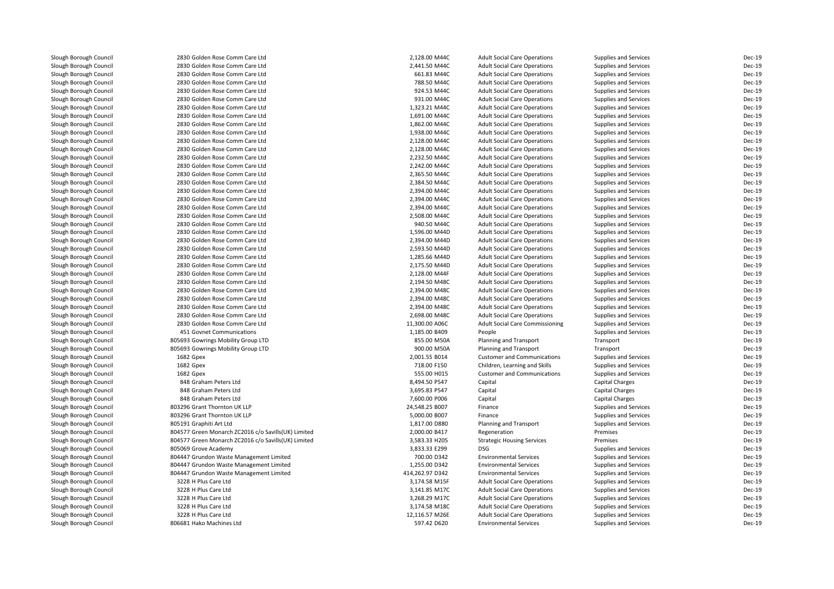| Slough Borough Council | 2830 Golden Rose Comm Care Ltd                      | 2,128.00 M44C   | <b>Adult Social Care Operations</b>                                        | Supplies and Services  | Dec-19        |
|------------------------|-----------------------------------------------------|-----------------|----------------------------------------------------------------------------|------------------------|---------------|
| Slough Borough Council | 2830 Golden Rose Comm Care Ltd                      | 2,441.50 M44C   | <b>Adult Social Care Operations</b>                                        | Supplies and Services  | Dec-19        |
| Slough Borough Council | 2830 Golden Rose Comm Care Ltd                      | 661.83 M44C     | <b>Adult Social Care Operations</b>                                        | Supplies and Services  | Dec-19        |
| Slough Borough Council | 2830 Golden Rose Comm Care Ltd                      | 788.50 M44C     | <b>Adult Social Care Operations</b>                                        | Supplies and Services  | Dec-19        |
| Slough Borough Council | 2830 Golden Rose Comm Care Ltd                      | 924.53 M44C     | <b>Adult Social Care Operations</b>                                        | Supplies and Services  | Dec-19        |
| Slough Borough Council | 2830 Golden Rose Comm Care Ltd                      | 931.00 M44C     | <b>Adult Social Care Operations</b>                                        | Supplies and Services  | Dec-19        |
| Slough Borough Council | 2830 Golden Rose Comm Care Ltd                      | 1,323.21 M44C   | <b>Adult Social Care Operations</b>                                        | Supplies and Services  | Dec-19        |
| Slough Borough Council | 2830 Golden Rose Comm Care Ltd                      | 1,691.00 M44C   | <b>Adult Social Care Operations</b>                                        | Supplies and Services  | Dec-19        |
| Slough Borough Council | 2830 Golden Rose Comm Care Ltd                      | 1,862.00 M44C   | <b>Adult Social Care Operations</b>                                        | Supplies and Services  | Dec-19        |
| Slough Borough Council | 2830 Golden Rose Comm Care Ltd                      | 1,938.00 M44C   | <b>Adult Social Care Operations</b>                                        | Supplies and Services  | Dec-19        |
| Slough Borough Council | 2830 Golden Rose Comm Care Ltd                      | 2,128.00 M44C   | <b>Adult Social Care Operations</b>                                        | Supplies and Services  | Dec-19        |
| Slough Borough Council | 2830 Golden Rose Comm Care Ltd                      | 2,128.00 M44C   | <b>Adult Social Care Operations</b>                                        | Supplies and Services  | Dec-19        |
| Slough Borough Council | 2830 Golden Rose Comm Care Ltd                      | 2,232.50 M44C   | <b>Adult Social Care Operations</b>                                        | Supplies and Services  | Dec-19        |
| Slough Borough Council | 2830 Golden Rose Comm Care Ltd                      | 2,242.00 M44C   | <b>Adult Social Care Operations</b>                                        | Supplies and Services  | Dec-19        |
| Slough Borough Council | 2830 Golden Rose Comm Care Ltd                      | 2,365.50 M44C   | <b>Adult Social Care Operations</b>                                        | Supplies and Services  | Dec-19        |
| Slough Borough Council | 2830 Golden Rose Comm Care Ltd                      | 2,384.50 M44C   | <b>Adult Social Care Operations</b>                                        | Supplies and Services  | Dec-19        |
| Slough Borough Council | 2830 Golden Rose Comm Care Ltd                      | 2,394.00 M44C   | <b>Adult Social Care Operations</b>                                        | Supplies and Services  | Dec-19        |
| Slough Borough Council | 2830 Golden Rose Comm Care Ltd                      | 2,394.00 M44C   | <b>Adult Social Care Operations</b>                                        | Supplies and Services  | Dec-19        |
| Slough Borough Council | 2830 Golden Rose Comm Care Ltd                      | 2,394.00 M44C   | <b>Adult Social Care Operations</b>                                        | Supplies and Services  | Dec-19        |
| Slough Borough Council | 2830 Golden Rose Comm Care Ltd                      | 2,508.00 M44C   | <b>Adult Social Care Operations</b>                                        | Supplies and Services  | Dec-19        |
| Slough Borough Council | 2830 Golden Rose Comm Care Ltd                      | 940.50 M44C     | <b>Adult Social Care Operations</b>                                        | Supplies and Services  | Dec-19        |
| Slough Borough Council | 2830 Golden Rose Comm Care Ltd                      | 1,596.00 M44D   | <b>Adult Social Care Operations</b>                                        | Supplies and Services  | Dec-19        |
| Slough Borough Council | 2830 Golden Rose Comm Care Ltd                      | 2,394.00 M44D   | <b>Adult Social Care Operations</b>                                        | Supplies and Services  | Dec-19        |
| Slough Borough Council | 2830 Golden Rose Comm Care Ltd                      | 2,593.50 M44D   |                                                                            | Supplies and Services  | Dec-19        |
| Slough Borough Council | 2830 Golden Rose Comm Care Ltd                      | 1,285.66 M44D   | <b>Adult Social Care Operations</b><br><b>Adult Social Care Operations</b> | Supplies and Services  | Dec-19        |
| Slough Borough Council | 2830 Golden Rose Comm Care Ltd                      | 2,175.50 M44D   |                                                                            | Supplies and Services  | Dec-19        |
|                        | 2830 Golden Rose Comm Care Ltd                      | 2,128.00 M44F   | <b>Adult Social Care Operations</b><br><b>Adult Social Care Operations</b> |                        | Dec-19        |
| Slough Borough Council | 2830 Golden Rose Comm Care Ltd                      |                 |                                                                            | Supplies and Services  | Dec-19        |
| Slough Borough Council |                                                     | 2,194.50 M48C   | <b>Adult Social Care Operations</b>                                        | Supplies and Services  |               |
| Slough Borough Council | 2830 Golden Rose Comm Care Ltd                      | 2,394.00 M48C   | <b>Adult Social Care Operations</b>                                        | Supplies and Services  | Dec-19        |
| Slough Borough Council | 2830 Golden Rose Comm Care Ltd                      | 2,394.00 M48C   | <b>Adult Social Care Operations</b>                                        | Supplies and Services  | Dec-19        |
| Slough Borough Council | 2830 Golden Rose Comm Care Ltd                      | 2,394.00 M48C   | <b>Adult Social Care Operations</b>                                        | Supplies and Services  | Dec-19        |
| Slough Borough Council | 2830 Golden Rose Comm Care Ltd                      | 2,698.00 M48C   | <b>Adult Social Care Operations</b>                                        | Supplies and Services  | Dec-19        |
| Slough Borough Council | 2830 Golden Rose Comm Care Ltd                      | 11,300.00 A06C  | <b>Adult Social Care Commissioning</b>                                     | Supplies and Services  | <b>Dec-19</b> |
| Slough Borough Council | 451 Govnet Communications                           | 1,185.00 B409   | People                                                                     | Supplies and Services  | Dec-19        |
| Slough Borough Council | 805693 Gowrings Mobility Group LTD                  | 855.00 M50A     | Planning and Transport                                                     | Transport              | Dec-19        |
| Slough Borough Council | 805693 Gowrings Mobility Group LTD                  | 900.00 M50A     | Planning and Transport                                                     | Transport              | Dec-19        |
| Slough Borough Council | 1682 Gpex                                           | 2,001.55 B014   | <b>Customer and Communications</b>                                         | Supplies and Services  | Dec-19        |
| Slough Borough Council | 1682 Gpex                                           | 718.00 F150     | Children, Learning and Skills                                              | Supplies and Services  | Dec-19        |
| Slough Borough Council | 1682 Gpex                                           | 555.00 H015     | <b>Customer and Communications</b>                                         | Supplies and Services  | Dec-19        |
| Slough Borough Council | 848 Graham Peters Ltd                               | 8,494.50 P547   | Capital                                                                    | Capital Charges        | Dec-19        |
| Slough Borough Council | 848 Graham Peters Ltd                               | 3,695.83 P547   | Capital                                                                    | <b>Capital Charges</b> | Dec-19        |
| Slough Borough Council | 848 Graham Peters Ltd                               | 7,600.00 P006   | Capital                                                                    | <b>Capital Charges</b> | Dec-19        |
| Slough Borough Council | 803296 Grant Thornton UK LLP                        | 24,548.25 B007  | Finance                                                                    | Supplies and Services  | Dec-19        |
| Slough Borough Council | 803296 Grant Thornton UK LLP                        | 5,000.00 B007   | Finance                                                                    | Supplies and Services  | Dec-19        |
| Slough Borough Council | 805191 Graphiti Art Ltd                             | 1,817.00 D880   | Planning and Transport                                                     | Supplies and Services  | Dec-19        |
| Slough Borough Council | 804577 Green Monarch ZC2016 c/o Savills(UK) Limited | 2,000.00 B417   | Regeneration                                                               | Premises               | Dec-19        |
| Slough Borough Council | 804577 Green Monarch ZC2016 c/o Savills(UK) Limited | 3,583.33 H205   | <b>Strategic Housing Services</b>                                          | Premises               | Dec-19        |
| Slough Borough Council | 805069 Grove Academy                                | 3,833.33 E299   | <b>DSG</b>                                                                 | Supplies and Services  | Dec-19        |
| Slough Borough Council | 804447 Grundon Waste Management Limited             | 700.00 D342     | <b>Environmental Services</b>                                              | Supplies and Services  | Dec-19        |
| Slough Borough Council | 804447 Grundon Waste Management Limited             | 1,255.00 D342   | <b>Environmental Services</b>                                              | Supplies and Services  | Dec-19        |
| Slough Borough Council | 804447 Grundon Waste Management Limited             | 414,262.97 D342 | <b>Environmental Services</b>                                              | Supplies and Services  | Dec-19        |
| Slough Borough Council | 3228 H Plus Care Ltd                                | 3,174.58 M15F   | <b>Adult Social Care Operations</b>                                        | Supplies and Services  | Dec-19        |
| Slough Borough Council | 3228 H Plus Care Ltd                                | 3,141.85 M17C   | <b>Adult Social Care Operations</b>                                        | Supplies and Services  | Dec-19        |
| Slough Borough Council | 3228 H Plus Care Ltd                                | 3,268.29 M17C   | <b>Adult Social Care Operations</b>                                        | Supplies and Services  | Dec-19        |
| Slough Borough Council | 3228 H Plus Care Ltd                                | 3,174.58 M18C   | <b>Adult Social Care Operations</b>                                        | Supplies and Services  | Dec-19        |
| Slough Borough Council | 3228 H Plus Care Ltd                                | 12,116.57 M26E  | <b>Adult Social Care Operations</b>                                        | Supplies and Services  | Dec-19        |
| Slough Borough Council | 806681 Hako Machines Ltd                            | 597.42 D620     | <b>Environmental Services</b>                                              | Supplies and Services  | Dec-19        |
|                        |                                                     |                 |                                                                            |                        |               |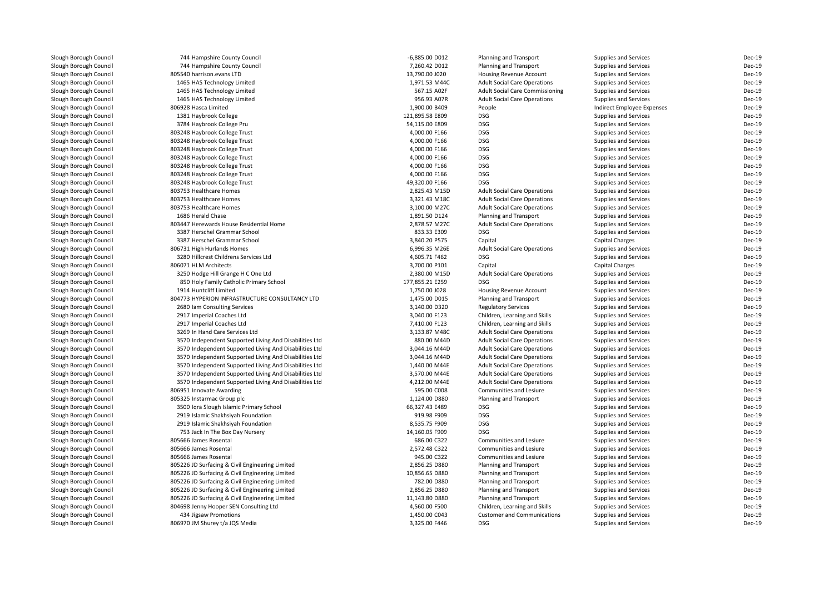| Slough Borough Council | 744 Hampshire County Council                           | -6,885.00 D012  | Planning and Transport                            | Supplies and Services        | Dec-19           |
|------------------------|--------------------------------------------------------|-----------------|---------------------------------------------------|------------------------------|------------------|
| Slough Borough Council | 744 Hampshire County Council                           | 7,260.42 D012   | Planning and Transport                            | Supplies and Services        | Dec-19           |
| Slough Borough Council | 805540 harrison.evans LTD                              | 13,790.00 J020  | <b>Housing Revenue Account</b>                    | Supplies and Services        | Dec-19           |
| Slough Borough Council | 1465 HAS Technology Limited                            | 1,971.53 M44C   | <b>Adult Social Care Operations</b>               | Supplies and Services        | Dec-19           |
| Slough Borough Council | 1465 HAS Technology Limited                            | 567.15 A02F     | <b>Adult Social Care Commissioning</b>            | Supplies and Services        | Dec-19           |
| Slough Borough Council | 1465 HAS Technology Limited                            | 956.93 A07R     | <b>Adult Social Care Operations</b>               | Supplies and Services        | Dec-19           |
| Slough Borough Council | 806928 Hasca Limited                                   | 1,900.00 B409   | People                                            | Indirect Employee Expenses   | Dec-19           |
| Slough Borough Council | 1381 Haybrook College                                  | 121,895.58 E809 | <b>DSG</b>                                        | Supplies and Services        | Dec-19           |
| Slough Borough Council | 3784 Haybrook College Pru                              | 54,115.00 E809  | <b>DSG</b>                                        | Supplies and Services        | Dec-19           |
| Slough Borough Council | 803248 Haybrook College Trust                          | 4,000.00 F166   | <b>DSG</b>                                        | Supplies and Services        | Dec-19           |
| Slough Borough Council | 803248 Haybrook College Trust                          | 4,000.00 F166   | <b>DSG</b>                                        | Supplies and Services        | Dec-19           |
| Slough Borough Council | 803248 Haybrook College Trust                          | 4,000.00 F166   | <b>DSG</b>                                        | Supplies and Services        | Dec-19           |
| Slough Borough Council | 803248 Haybrook College Trust                          | 4,000.00 F166   | <b>DSG</b>                                        | Supplies and Services        | Dec-19           |
| Slough Borough Council | 803248 Haybrook College Trust                          | 4,000.00 F166   | <b>DSG</b>                                        | Supplies and Services        | Dec-19           |
| Slough Borough Council | 803248 Haybrook College Trust                          | 4,000.00 F166   | <b>DSG</b>                                        | Supplies and Services        | Dec-19           |
| Slough Borough Council | 803248 Haybrook College Trust                          | 49,320.00 F166  | <b>DSG</b>                                        | Supplies and Services        | Dec-19           |
| Slough Borough Council | 803753 Healthcare Homes                                | 2,825.43 M15D   | <b>Adult Social Care Operations</b>               | Supplies and Services        | Dec-19           |
| Slough Borough Council | 803753 Healthcare Homes                                | 3,321.43 M18C   | <b>Adult Social Care Operations</b>               | Supplies and Services        | Dec-19           |
| Slough Borough Council | 803753 Healthcare Homes                                | 3,100.00 M27C   | <b>Adult Social Care Operations</b>               | Supplies and Services        | Dec-19           |
| Slough Borough Council | 1686 Herald Chase                                      | 1,891.50 D124   | Planning and Transport                            | Supplies and Services        | Dec-19           |
| Slough Borough Council | 803447 Herewards House Residential Home                | 2,878.57 M27C   | <b>Adult Social Care Operations</b>               | Supplies and Services        | Dec-19           |
| Slough Borough Council | 3387 Herschel Grammar School                           | 833.33 E309     | <b>DSG</b>                                        | Supplies and Services        | Dec-19           |
| Slough Borough Council | 3387 Herschel Grammar School                           | 3,840.20 P575   | Capital                                           | <b>Capital Charges</b>       | Dec-19           |
| Slough Borough Council | 806731 High Hurlands Homes                             | 6,996.35 M26E   | <b>Adult Social Care Operations</b>               | <b>Supplies and Services</b> | Dec-19           |
| Slough Borough Council | 3280 Hillcrest Childrens Services Ltd                  | 4,605.71 F462   | <b>DSG</b>                                        | Supplies and Services        | Dec-19           |
| Slough Borough Council | 806071 HLM Architects                                  | 3,700.00 P101   | Capital                                           | <b>Capital Charges</b>       | Dec-19           |
| Slough Borough Council | 3250 Hodge Hill Grange H C One Ltd                     | 2,380.00 M15D   | <b>Adult Social Care Operations</b>               | Supplies and Services        | Dec-19           |
| Slough Borough Council | 850 Holy Family Catholic Primary School                | 177,855.21 E259 | <b>DSG</b>                                        | Supplies and Services        | Dec-19           |
| Slough Borough Council | 1914 Huntcliff Limited                                 | 1,750.00 J028   |                                                   | Supplies and Services        | Dec-19           |
| Slough Borough Council | 804773 HYPERION INFRASTRUCTURE CONSULTANCY LTD         | 1,475.00 D015   | Housing Revenue Account<br>Planning and Transport | Supplies and Services        | Dec-19           |
| Slough Borough Council | 2680 Iam Consulting Services                           | 3,140.00 D320   | <b>Regulatory Services</b>                        | Supplies and Services        | Dec-19           |
| Slough Borough Council |                                                        | 3,040.00 F123   |                                                   |                              | Dec-19           |
| Slough Borough Council | 2917 Imperial Coaches Ltd                              | 7,410.00 F123   | Children, Learning and Skills                     | Supplies and Services        | Dec-19           |
|                        | 2917 Imperial Coaches Ltd                              |                 | Children, Learning and Skills                     | Supplies and Services        |                  |
| Slough Borough Council | 3269 In Hand Care Services Ltd                         | 3,133.87 M48C   | <b>Adult Social Care Operations</b>               | Supplies and Services        | Dec-19<br>Dec-19 |
| Slough Borough Council | 3570 Independent Supported Living And Disabilities Ltd | 880.00 M44D     | <b>Adult Social Care Operations</b>               | Supplies and Services        |                  |
| Slough Borough Council | 3570 Independent Supported Living And Disabilities Ltd | 3,044.16 M44D   | <b>Adult Social Care Operations</b>               | Supplies and Services        | Dec-19           |
| Slough Borough Council | 3570 Independent Supported Living And Disabilities Ltd | 3,044.16 M44D   | <b>Adult Social Care Operations</b>               | Supplies and Services        | Dec-19           |
| Slough Borough Council | 3570 Independent Supported Living And Disabilities Ltd | 1,440.00 M44E   | <b>Adult Social Care Operations</b>               | Supplies and Services        | Dec-19           |
| Slough Borough Council | 3570 Independent Supported Living And Disabilities Ltd | 3,570.00 M44E   | <b>Adult Social Care Operations</b>               | Supplies and Services        | Dec-19           |
| Slough Borough Council | 3570 Independent Supported Living And Disabilities Ltd | 4,212.00 M44E   | <b>Adult Social Care Operations</b>               | Supplies and Services        | Dec-19           |
| Slough Borough Council | 806951 Innovate Awarding                               | 595.00 C008     | Communities and Lesiure                           | Supplies and Services        | Dec-19           |
| Slough Borough Council | 805325 Instarmac Group plc                             | 1,124.00 D880   | Planning and Transport                            | Supplies and Services        | Dec-19           |
| Slough Borough Council | 3500 Iqra Slough Islamic Primary School                | 66,327.43 E489  | <b>DSG</b>                                        | Supplies and Services        | Dec-19           |
| Slough Borough Council | 2919 Islamic Shakhsiyah Foundation                     | 919.98 F909     | <b>DSG</b>                                        | Supplies and Services        | Dec-19           |
| Slough Borough Council | 2919 Islamic Shakhsiyah Foundation                     | 8,535.75 F909   | <b>DSG</b>                                        | Supplies and Services        | Dec-19           |
| Slough Borough Council | 753 Jack In The Box Day Nursery                        | 14,160.05 F909  | <b>DSG</b>                                        | Supplies and Services        | Dec-19           |
| Slough Borough Council | 805666 James Rosental                                  | 686.00 C322     | <b>Communities and Lesiure</b>                    | Supplies and Services        | Dec-19           |
| Slough Borough Council | 805666 James Rosental                                  | 2,572.48 C322   | Communities and Lesiure                           | Supplies and Services        | Dec-19           |
| Slough Borough Council | 805666 James Rosental                                  | 945.00 C322     | Communities and Lesiure                           | Supplies and Services        | Dec-19           |
| Slough Borough Council | 805226 JD Surfacing & Civil Engineering Limited        | 2,856.25 D880   | Planning and Transport                            | Supplies and Services        | Dec-19           |
| Slough Borough Council | 805226 JD Surfacing & Civil Engineering Limited        | 10,856.65 D880  | Planning and Transport                            | Supplies and Services        | Dec-19           |
| Slough Borough Council | 805226 JD Surfacing & Civil Engineering Limited        | 782.00 D880     | Planning and Transport                            | Supplies and Services        | Dec-19           |
| Slough Borough Council | 805226 JD Surfacing & Civil Engineering Limited        | 2,856.25 D880   | Planning and Transport                            | Supplies and Services        | Dec-19           |
| Slough Borough Council | 805226 JD Surfacing & Civil Engineering Limited        | 11,143.80 D880  | Planning and Transport                            | Supplies and Services        | Dec-19           |
| Slough Borough Council | 804698 Jenny Hooper SEN Consulting Ltd                 | 4,560.00 F500   | Children, Learning and Skills                     | Supplies and Services        | Dec-19           |
| Slough Borough Council | 434 Jigsaw Promotions                                  | 1,450.00 C043   | <b>Customer and Communications</b>                | Supplies and Services        | Dec-19           |
| Slough Borough Council | 806970 JM Shurey t/a JQS Media                         | 3,325.00 F446   | <b>DSG</b>                                        | Supplies and Services        | Dec-19           |
|                        |                                                        |                 |                                                   |                              |                  |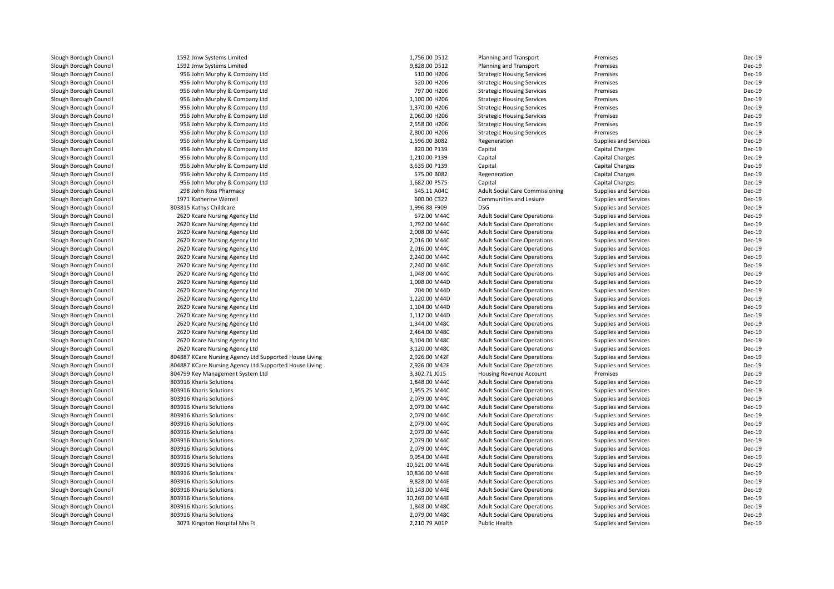| Slough Borough Council | 1592 Jmw Systems Limited                               | 1,756.00 D512  | Planning and Transport                 | Premises                     | Dec-19                  |
|------------------------|--------------------------------------------------------|----------------|----------------------------------------|------------------------------|-------------------------|
| Slough Borough Council | 1592 Jmw Systems Limited                               | 9,828.00 D512  | Planning and Transport                 | Premises                     | <b>Dec-19</b>           |
| Slough Borough Council | 956 John Murphy & Company Ltd                          | 510.00 H206    | <b>Strategic Housing Services</b>      | Premises                     | Dec-19                  |
| Slough Borough Council | 956 John Murphy & Company Ltd                          | 520.00 H206    | <b>Strategic Housing Services</b>      | Premises                     | Dec-19                  |
| Slough Borough Council | 956 John Murphy & Company Ltd                          | 797.00 H206    | <b>Strategic Housing Services</b>      | Premises                     | <b>Dec-19</b>           |
| Slough Borough Council | 956 John Murphy & Company Ltd                          | 1,100.00 H206  | <b>Strategic Housing Services</b>      | Premises                     | <b>Dec-19</b>           |
| Slough Borough Council | 956 John Murphy & Company Ltd                          | 1,370.00 H206  | <b>Strategic Housing Services</b>      | Premises                     | Dec-19                  |
| Slough Borough Council | 956 John Murphy & Company Ltd                          | 2,060.00 H206  | <b>Strategic Housing Services</b>      | Premises                     | Dec-19                  |
| Slough Borough Council | 956 John Murphy & Company Ltd                          | 2,558.00 H206  | <b>Strategic Housing Services</b>      | Premises                     | <b>Dec-19</b>           |
| Slough Borough Council | 956 John Murphy & Company Ltd                          | 2,800.00 H206  | <b>Strategic Housing Services</b>      | Premises                     | <b>Dec-19</b>           |
| Slough Borough Council | 956 John Murphy & Company Ltd                          | 1,596.00 B082  | Regeneration                           | Supplies and Services        | <b>Dec-19</b>           |
| Slough Borough Council | 956 John Murphy & Company Ltd                          | 820.00 P139    | Capital                                | Capital Charges              | Dec-19                  |
| Slough Borough Council | 956 John Murphy & Company Ltd                          | 1,210.00 P139  | Capital                                | Capital Charges              | Dec-19                  |
| Slough Borough Council | 956 John Murphy & Company Ltd                          | 3,535.00 P139  | Capital                                | Capital Charges              | Dec-19                  |
| Slough Borough Council | 956 John Murphy & Company Ltd                          | 575.00 B082    | Regeneration                           | Capital Charges              | <b>Dec-19</b>           |
| Slough Borough Council | 956 John Murphy & Company Ltd                          | 1,682.00 P575  | Capital                                | Capital Charges              | <b>Dec-19</b>           |
| Slough Borough Council | 298 John Ross Pharmacy                                 | 545.11 A04C    | <b>Adult Social Care Commissioning</b> | <b>Supplies and Services</b> | Dec-19                  |
| Slough Borough Council | 1971 Katherine Werrell                                 | 600.00 C322    | Communities and Lesiure                | <b>Supplies and Services</b> | Dec-19                  |
| Slough Borough Council | 803815 Kathys Childcare                                | 1,996.88 F909  | <b>DSG</b>                             | <b>Supplies and Services</b> | Dec-19                  |
| Slough Borough Council | 2620 Kcare Nursing Agency Ltd                          | 672.00 M44C    | <b>Adult Social Care Operations</b>    | <b>Supplies and Services</b> | Dec-19                  |
| Slough Borough Council | 2620 Kcare Nursing Agency Ltd                          | 1,792.00 M44C  | <b>Adult Social Care Operations</b>    | <b>Supplies and Services</b> | Dec-19                  |
| Slough Borough Council | 2620 Kcare Nursing Agency Ltd                          | 2,008.00 M44C  | <b>Adult Social Care Operations</b>    | <b>Supplies and Services</b> | Dec-19                  |
| Slough Borough Council | 2620 Kcare Nursing Agency Ltd                          | 2,016.00 M44C  | <b>Adult Social Care Operations</b>    | <b>Supplies and Services</b> | Dec-19                  |
| Slough Borough Council | 2620 Kcare Nursing Agency Ltd                          | 2,016.00 M44C  | <b>Adult Social Care Operations</b>    | Supplies and Services        | Dec-19                  |
| Slough Borough Council | 2620 Kcare Nursing Agency Ltd                          | 2,240.00 M44C  | <b>Adult Social Care Operations</b>    | <b>Supplies and Services</b> | Dec-19                  |
| Slough Borough Council | 2620 Kcare Nursing Agency Ltd                          | 2,240.00 M44C  | <b>Adult Social Care Operations</b>    | <b>Supplies and Services</b> | Dec-19                  |
| Slough Borough Council | 2620 Kcare Nursing Agency Ltd                          | 1,048.00 M44C  | <b>Adult Social Care Operations</b>    | <b>Supplies and Services</b> | Dec-19                  |
| Slough Borough Council | 2620 Kcare Nursing Agency Ltd                          | 1,008.00 M44D  | <b>Adult Social Care Operations</b>    | <b>Supplies and Services</b> | Dec-19                  |
|                        |                                                        |                |                                        |                              |                         |
| Slough Borough Council | 2620 Kcare Nursing Agency Ltd                          | 704.00 M44D    | <b>Adult Social Care Operations</b>    | <b>Supplies and Services</b> | <b>Dec-19</b><br>Dec-19 |
| Slough Borough Council | 2620 Kcare Nursing Agency Ltd                          | 1,220.00 M44D  | <b>Adult Social Care Operations</b>    | <b>Supplies and Services</b> | Dec-19                  |
| Slough Borough Council | 2620 Kcare Nursing Agency Ltd                          | 1,104.00 M44D  | <b>Adult Social Care Operations</b>    | <b>Supplies and Services</b> |                         |
| Slough Borough Council | 2620 Kcare Nursing Agency Ltd                          | 1,112.00 M44D  | <b>Adult Social Care Operations</b>    | <b>Supplies and Services</b> | Dec-19                  |
| Slough Borough Council | 2620 Kcare Nursing Agency Ltd                          | 1,344.00 M48C  | <b>Adult Social Care Operations</b>    | <b>Supplies and Services</b> | Dec-19                  |
| Slough Borough Council | 2620 Kcare Nursing Agency Ltd                          | 2,464.00 M48C  | <b>Adult Social Care Operations</b>    | <b>Supplies and Services</b> | Dec-19                  |
| Slough Borough Council | 2620 Kcare Nursing Agency Ltd                          | 3,104.00 M48C  | <b>Adult Social Care Operations</b>    | <b>Supplies and Services</b> | Dec-19                  |
| Slough Borough Council | 2620 Kcare Nursing Agency Ltd                          | 3,120.00 M48C  | <b>Adult Social Care Operations</b>    | <b>Supplies and Services</b> | Dec-19                  |
| Slough Borough Council | 804887 KCare Nursing Agency Ltd Supported House Living | 2,926.00 M42F  | <b>Adult Social Care Operations</b>    | <b>Supplies and Services</b> | Dec-19                  |
| Slough Borough Council | 804887 KCare Nursing Agency Ltd Supported House Living | 2,926.00 M42F  | <b>Adult Social Care Operations</b>    | <b>Supplies and Services</b> | Dec-19                  |
| Slough Borough Council | 804799 Key Management System Ltd                       | 3,302.71 J015  | <b>Housing Revenue Account</b>         | Premises                     | Dec-19                  |
| Slough Borough Council | 803916 Kharis Solutions                                | 1,848.00 M44C  | <b>Adult Social Care Operations</b>    | <b>Supplies and Services</b> | Dec-19                  |
| Slough Borough Council | 803916 Kharis Solutions                                | 1,955.25 M44C  | <b>Adult Social Care Operations</b>    | <b>Supplies and Services</b> | Dec-19                  |
| Slough Borough Council | 803916 Kharis Solutions                                | 2,079.00 M44C  | <b>Adult Social Care Operations</b>    | <b>Supplies and Services</b> | Dec-19                  |
| Slough Borough Council | 803916 Kharis Solutions                                | 2,079.00 M44C  | <b>Adult Social Care Operations</b>    | <b>Supplies and Services</b> | Dec-19                  |
| Slough Borough Council | 803916 Kharis Solutions                                | 2,079.00 M44C  | <b>Adult Social Care Operations</b>    | <b>Supplies and Services</b> | Dec-19                  |
| Slough Borough Council | 803916 Kharis Solutions                                | 2,079.00 M44C  | <b>Adult Social Care Operations</b>    | Supplies and Services        | Dec-19                  |
| Slough Borough Council | 803916 Kharis Solutions                                | 2,079.00 M44C  | <b>Adult Social Care Operations</b>    | <b>Supplies and Services</b> | Dec-19                  |
| Slough Borough Council | 803916 Kharis Solutions                                | 2,079.00 M44C  | <b>Adult Social Care Operations</b>    | <b>Supplies and Services</b> | Dec-19                  |
| Slough Borough Council | 803916 Kharis Solutions                                | 2,079.00 M44C  | <b>Adult Social Care Operations</b>    | <b>Supplies and Services</b> | Dec-19                  |
| Slough Borough Council | 803916 Kharis Solutions                                | 9,954.00 M44E  | <b>Adult Social Care Operations</b>    | <b>Supplies and Services</b> | Dec-19                  |
| Slough Borough Council | 803916 Kharis Solutions                                | 10,521.00 M44E | <b>Adult Social Care Operations</b>    | <b>Supplies and Services</b> | Dec-19                  |
| Slough Borough Council | 803916 Kharis Solutions                                | 10,836.00 M44E | <b>Adult Social Care Operations</b>    | <b>Supplies and Services</b> | <b>Dec-19</b>           |
| Slough Borough Council | 803916 Kharis Solutions                                | 9,828.00 M44E  | <b>Adult Social Care Operations</b>    | <b>Supplies and Services</b> | Dec-19                  |
| Slough Borough Council | 803916 Kharis Solutions                                | 10,143.00 M44E | <b>Adult Social Care Operations</b>    | <b>Supplies and Services</b> | Dec-19                  |
| Slough Borough Council | 803916 Kharis Solutions                                | 10,269.00 M44E | <b>Adult Social Care Operations</b>    | <b>Supplies and Services</b> | Dec-19                  |
| Slough Borough Council | 803916 Kharis Solutions                                | 1,848.00 M48C  | <b>Adult Social Care Operations</b>    | <b>Supplies and Services</b> | Dec-19                  |
| Slough Borough Council | 803916 Kharis Solutions                                | 2,079.00 M48C  | <b>Adult Social Care Operations</b>    | <b>Supplies and Services</b> | Dec-19                  |
| Slough Borough Council | 3073 Kingston Hospital Nhs Ft                          | 2,210.79 A01P  | Public Health                          | <b>Supplies and Services</b> | Dec-19                  |
|                        |                                                        |                |                                        |                              |                         |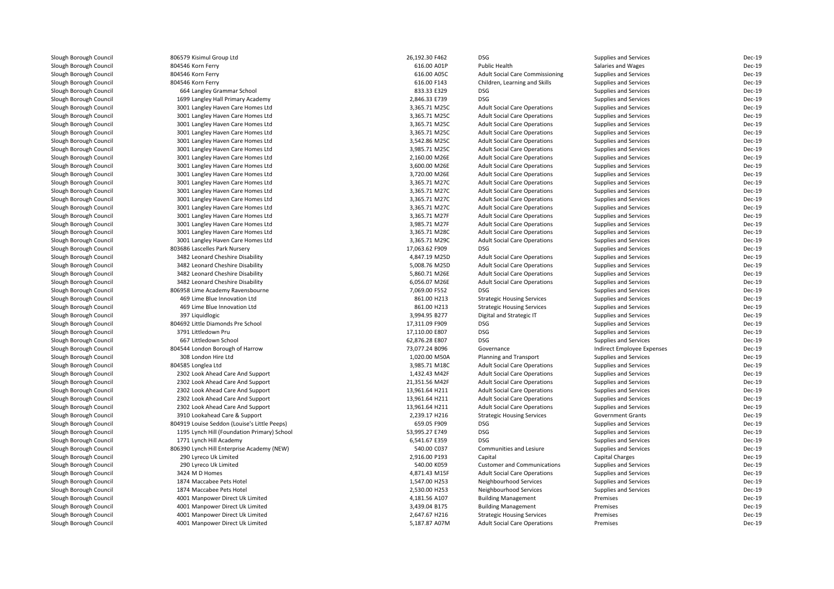| Slough Borough Council | 806579 Kisimul Group Ltd                     | 26,192.30 F462 | <b>DSG</b>                             | Supplies and Services      | Dec-19 |
|------------------------|----------------------------------------------|----------------|----------------------------------------|----------------------------|--------|
| Slough Borough Council | 804546 Korn Ferry                            | 616.00 A01P    | Public Health                          | Salaries and Wages         | Dec-19 |
| Slough Borough Council | 804546 Korn Ferry                            | 616.00 A05C    | <b>Adult Social Care Commissioning</b> | Supplies and Services      | Dec-19 |
| Slough Borough Council | 804546 Korn Ferry                            | 616.00 F143    | Children, Learning and Skills          | Supplies and Services      | Dec-19 |
| Slough Borough Council | 664 Langley Grammar School                   | 833.33 E329    | <b>DSG</b>                             | Supplies and Services      | Dec-19 |
| Slough Borough Council | 1699 Langley Hall Primary Academy            | 2,846.33 E739  | <b>DSG</b>                             | Supplies and Services      | Dec-19 |
| Slough Borough Council | 3001 Langley Haven Care Homes Ltd            | 3,365.71 M25C  | <b>Adult Social Care Operations</b>    | Supplies and Services      | Dec-19 |
| Slough Borough Council | 3001 Langley Haven Care Homes Ltd            | 3,365.71 M25C  | <b>Adult Social Care Operations</b>    | Supplies and Services      | Dec-19 |
| Slough Borough Council | 3001 Langley Haven Care Homes Ltd            | 3,365.71 M25C  | <b>Adult Social Care Operations</b>    | Supplies and Services      | Dec-19 |
| Slough Borough Council | 3001 Langley Haven Care Homes Ltd            | 3,365.71 M25C  | <b>Adult Social Care Operations</b>    | Supplies and Services      | Dec-19 |
| Slough Borough Council | 3001 Langley Haven Care Homes Ltd            | 3,542.86 M25C  | <b>Adult Social Care Operations</b>    | Supplies and Services      | Dec-19 |
| Slough Borough Council | 3001 Langley Haven Care Homes Ltd            | 3,985.71 M25C  | <b>Adult Social Care Operations</b>    | Supplies and Services      | Dec-19 |
| Slough Borough Council | 3001 Langley Haven Care Homes Ltd            | 2,160.00 M26E  | <b>Adult Social Care Operations</b>    | Supplies and Services      | Dec-19 |
| Slough Borough Council | 3001 Langley Haven Care Homes Ltd            | 3,600.00 M26E  | <b>Adult Social Care Operations</b>    | Supplies and Services      | Dec-19 |
| Slough Borough Council | 3001 Langley Haven Care Homes Ltd            | 3,720.00 M26E  | <b>Adult Social Care Operations</b>    | Supplies and Services      | Dec-19 |
| Slough Borough Council | 3001 Langley Haven Care Homes Ltd            | 3,365.71 M27C  | <b>Adult Social Care Operations</b>    | Supplies and Services      | Dec-19 |
| Slough Borough Council | 3001 Langley Haven Care Homes Ltd            | 3,365.71 M27C  | <b>Adult Social Care Operations</b>    | Supplies and Services      | Dec-19 |
|                        |                                              |                |                                        |                            | Dec-19 |
| Slough Borough Council | 3001 Langley Haven Care Homes Ltd            | 3,365.71 M27C  | <b>Adult Social Care Operations</b>    | Supplies and Services      |        |
| Slough Borough Council | 3001 Langley Haven Care Homes Ltd            | 3,365.71 M27C  | <b>Adult Social Care Operations</b>    | Supplies and Services      | Dec-19 |
| Slough Borough Council | 3001 Langley Haven Care Homes Ltd            | 3,365.71 M27F  | <b>Adult Social Care Operations</b>    | Supplies and Services      | Dec-19 |
| Slough Borough Council | 3001 Langley Haven Care Homes Ltd            | 3,985.71 M27F  | <b>Adult Social Care Operations</b>    | Supplies and Services      | Dec-19 |
| Slough Borough Council | 3001 Langley Haven Care Homes Ltd            | 3,365.71 M28C  | <b>Adult Social Care Operations</b>    | Supplies and Services      | Dec-19 |
| Slough Borough Council | 3001 Langley Haven Care Homes Ltd            | 3,365.71 M29C  | <b>Adult Social Care Operations</b>    | Supplies and Services      | Dec-19 |
| Slough Borough Council | 803686 Lascelles Park Nursery                | 17,063.62 F909 | <b>DSG</b>                             | Supplies and Services      | Dec-19 |
| Slough Borough Council | 3482 Leonard Cheshire Disability             | 4,847.19 M25D  | <b>Adult Social Care Operations</b>    | Supplies and Services      | Dec-19 |
| Slough Borough Council | 3482 Leonard Cheshire Disability             | 5,008.76 M25D  | <b>Adult Social Care Operations</b>    | Supplies and Services      | Dec-19 |
| Slough Borough Council | 3482 Leonard Cheshire Disability             | 5,860.71 M26E  | <b>Adult Social Care Operations</b>    | Supplies and Services      | Dec-19 |
| Slough Borough Council | 3482 Leonard Cheshire Disability             | 6,056.07 M26E  | <b>Adult Social Care Operations</b>    | Supplies and Services      | Dec-19 |
| Slough Borough Council | 806958 Lime Academy Ravensbourne             | 7,069.00 F552  | <b>DSG</b>                             | Supplies and Services      | Dec-19 |
| Slough Borough Council | 469 Lime Blue Innovation Ltd                 | 861.00 H213    | <b>Strategic Housing Services</b>      | Supplies and Services      | Dec-19 |
| Slough Borough Council | 469 Lime Blue Innovation Ltd                 | 861.00 H213    | <b>Strategic Housing Services</b>      | Supplies and Services      | Dec-19 |
| Slough Borough Council | 397 Liquidlogic                              | 3,994.95 B277  | Digital and Strategic IT               | Supplies and Services      | Dec-19 |
| Slough Borough Council | 804692 Little Diamonds Pre School            | 17,311.09 F909 | <b>DSG</b>                             | Supplies and Services      | Dec-19 |
| Slough Borough Council | 3791 Littledown Pru                          | 17,110.00 E807 | <b>DSG</b>                             | Supplies and Services      | Dec-19 |
| Slough Borough Council | 667 Littledown School                        | 62,876.28 E807 | <b>DSG</b>                             | Supplies and Services      | Dec-19 |
| Slough Borough Council | 804544 London Borough of Harrow              | 73,077.24 B096 | Governance                             | Indirect Employee Expenses | Dec-19 |
| Slough Borough Council | 308 London Hire Ltd                          | 1,020.00 M50A  | Planning and Transport                 | Supplies and Services      | Dec-19 |
| Slough Borough Council | 804585 Longlea Ltd                           | 3,985.71 M18C  | <b>Adult Social Care Operations</b>    | Supplies and Services      | Dec-19 |
| Slough Borough Council | 2302 Look Ahead Care And Support             | 1,432.43 M42F  | <b>Adult Social Care Operations</b>    | Supplies and Services      | Dec-19 |
| Slough Borough Council | 2302 Look Ahead Care And Support             | 21,351.56 M42F | <b>Adult Social Care Operations</b>    | Supplies and Services      | Dec-19 |
| Slough Borough Council | 2302 Look Ahead Care And Support             | 13,961.64 H211 | <b>Adult Social Care Operations</b>    | Supplies and Services      | Dec-19 |
| Slough Borough Council | 2302 Look Ahead Care And Support             | 13,961.64 H211 | <b>Adult Social Care Operations</b>    | Supplies and Services      | Dec-19 |
| Slough Borough Council | 2302 Look Ahead Care And Support             | 13,961.64 H211 | <b>Adult Social Care Operations</b>    | Supplies and Services      | Dec-19 |
| Slough Borough Council | 3910 Lookahead Care & Support                | 2,239.17 H216  | <b>Strategic Housing Services</b>      | Government Grants          | Dec-19 |
| Slough Borough Council | 804919 Louise Seddon (Louise's Little Peeps) | 659.05 F909    | <b>DSG</b>                             | Supplies and Services      | Dec-19 |
| Slough Borough Council | 1195 Lynch Hill (Foundation Primary) School  | 53,995.27 E749 | <b>DSG</b>                             | Supplies and Services      | Dec-19 |
| Slough Borough Council | 1771 Lynch Hill Academy                      | 6,541.67 E359  | <b>DSG</b>                             | Supplies and Services      | Dec-19 |
| Slough Borough Council | 806390 Lynch Hill Enterprise Academy (NEW)   | 540.00 C037    | Communities and Lesiure                | Supplies and Services      | Dec-19 |
| Slough Borough Council | 290 Lyreco Uk Limited                        | 2,916.00 P193  | Capital                                | <b>Capital Charges</b>     | Dec-19 |
| Slough Borough Council | 290 Lyreco Uk Limited                        | 540.00 K059    | <b>Customer and Communications</b>     | Supplies and Services      | Dec-19 |
| Slough Borough Council | 3424 M D Homes                               | 4,871.43 M15F  | <b>Adult Social Care Operations</b>    | Supplies and Services      | Dec-19 |
| Slough Borough Council | 1874 Maccabee Pets Hotel                     | 1,547.00 H253  | Neighbourhood Services                 | Supplies and Services      | Dec-19 |
| Slough Borough Council | 1874 Maccabee Pets Hotel                     | 2,530.00 H253  | Neighbourhood Services                 | Supplies and Services      | Dec-19 |
| Slough Borough Council | 4001 Manpower Direct Uk Limited              | 4,181.56 A107  | <b>Building Management</b>             | Premises                   | Dec-19 |
| Slough Borough Council | 4001 Manpower Direct Uk Limited              | 3,439.04 B175  | <b>Building Management</b>             | Premises                   | Dec-19 |
|                        | 4001 Manpower Direct Uk Limited              | 2,647.67 H216  |                                        | Premises                   | Dec-19 |
| Slough Borough Council |                                              |                | <b>Strategic Housing Services</b>      |                            |        |
| Slough Borough Council | 4001 Manpower Direct Uk Limited              | 5,187.87 A07M  | <b>Adult Social Care Operations</b>    | Premises                   | Dec-19 |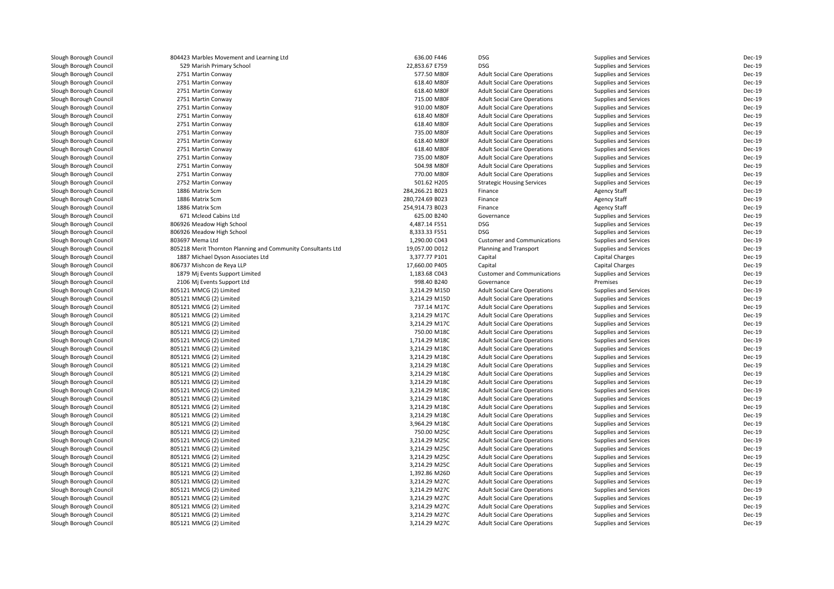| Slough Borough Council | 804423 Marbles Movement and Learning Ltd                     | 636.00 F446     | <b>DSG</b>                          | <b>Supplies and Services</b> | Dec-19        |
|------------------------|--------------------------------------------------------------|-----------------|-------------------------------------|------------------------------|---------------|
| Slough Borough Council | 529 Marish Primary School                                    | 22,853.67 E759  | <b>DSG</b>                          | <b>Supplies and Services</b> | Dec-19        |
| Slough Borough Council | 2751 Martin Conway                                           | 577.50 M80F     | <b>Adult Social Care Operations</b> | <b>Supplies and Services</b> | Dec-19        |
| Slough Borough Council | 2751 Martin Conway                                           | 618.40 M80F     | <b>Adult Social Care Operations</b> | <b>Supplies and Services</b> | Dec-19        |
| Slough Borough Council | 2751 Martin Conway                                           | 618.40 M80F     | <b>Adult Social Care Operations</b> | Supplies and Services        | Dec-19        |
| Slough Borough Council | 2751 Martin Conway                                           | 715.00 M80F     | <b>Adult Social Care Operations</b> | <b>Supplies and Services</b> | <b>Dec-19</b> |
| Slough Borough Council | 2751 Martin Conway                                           | 910.00 M80F     | <b>Adult Social Care Operations</b> | <b>Supplies and Services</b> | Dec-19        |
| Slough Borough Council | 2751 Martin Conway                                           | 618.40 M80F     | <b>Adult Social Care Operations</b> | <b>Supplies and Services</b> | Dec-19        |
| Slough Borough Council | 2751 Martin Conway                                           | 618.40 M80F     | <b>Adult Social Care Operations</b> | <b>Supplies and Services</b> | Dec-19        |
| Slough Borough Council | 2751 Martin Conway                                           | 735.00 M80F     | <b>Adult Social Care Operations</b> | Supplies and Services        | Dec-19        |
| Slough Borough Council | 2751 Martin Conway                                           | 618.40 M80F     | <b>Adult Social Care Operations</b> | <b>Supplies and Services</b> | Dec-19        |
| Slough Borough Council | 2751 Martin Conway                                           | 618.40 M80F     | <b>Adult Social Care Operations</b> | <b>Supplies and Services</b> | Dec-19        |
| Slough Borough Council | 2751 Martin Conway                                           | 735.00 M80F     | <b>Adult Social Care Operations</b> | <b>Supplies and Services</b> | Dec-19        |
| Slough Borough Council | 2751 Martin Conway                                           | 504.98 M80F     | <b>Adult Social Care Operations</b> | <b>Supplies and Services</b> | Dec-19        |
| Slough Borough Council | 2751 Martin Conway                                           | 770.00 M80F     | <b>Adult Social Care Operations</b> | Supplies and Services        | Dec-19        |
| Slough Borough Council | 2752 Martin Conway                                           | 501.62 H205     | <b>Strategic Housing Services</b>   | <b>Supplies and Services</b> | Dec-19        |
| Slough Borough Council | 1886 Matrix Scm                                              | 284,266.21 B023 | Finance                             |                              | Dec-19        |
|                        | 1886 Matrix Scm                                              | 280,724.69 B023 |                                     | <b>Agency Staff</b>          | Dec-19        |
| Slough Borough Council |                                                              |                 | Finance                             | <b>Agency Staff</b>          |               |
| Slough Borough Council | 1886 Matrix Scm                                              | 254,914.73 B023 | Finance                             | <b>Agency Staff</b>          | Dec-19        |
| Slough Borough Council | 671 Mcleod Cabins Ltd                                        | 625.00 B240     | Governance                          | Supplies and Services        | Dec-19        |
| Slough Borough Council | 806926 Meadow High School                                    | 4,487.14 F551   | <b>DSG</b>                          | Supplies and Services        | Dec-19        |
| Slough Borough Council | 806926 Meadow High School                                    | 8,333.33 F551   | <b>DSG</b>                          | Supplies and Services        | Dec-19        |
| Slough Borough Council | 803697 Mema Ltd                                              | 1,290.00 C043   | <b>Customer and Communications</b>  | <b>Supplies and Services</b> | Dec-19        |
| Slough Borough Council | 805218 Merit Thornton Planning and Community Consultants Ltd | 19,057.00 D012  | Planning and Transport              | <b>Supplies and Services</b> | Dec-19        |
| Slough Borough Council | 1887 Michael Dyson Associates Ltd                            | 3,377.77 P101   | Capital                             | Capital Charges              | <b>Dec-19</b> |
| Slough Borough Council | 806737 Mishcon de Reya LLP                                   | 17,660.00 P405  | Capital                             | Capital Charges              | Dec-19        |
| Slough Borough Council | 1879 Mi Events Support Limited                               | 1,183.68 C043   | <b>Customer and Communications</b>  | <b>Supplies and Services</b> | Dec-19        |
| Slough Borough Council | 2106 Mi Events Support Ltd                                   | 998.40 B240     | Governance                          | Premises                     | <b>Dec-19</b> |
| Slough Borough Council | 805121 MMCG (2) Limited                                      | 3,214.29 M15D   | <b>Adult Social Care Operations</b> | Supplies and Services        | Dec-19        |
| Slough Borough Council | 805121 MMCG (2) Limited                                      | 3,214.29 M15D   | <b>Adult Social Care Operations</b> | Supplies and Services        | Dec-19        |
| Slough Borough Council | 805121 MMCG (2) Limited                                      | 737.14 M17C     | <b>Adult Social Care Operations</b> | <b>Supplies and Services</b> | Dec-19        |
| Slough Borough Council | 805121 MMCG (2) Limited                                      | 3,214.29 M17C   | <b>Adult Social Care Operations</b> | <b>Supplies and Services</b> | Dec-19        |
| Slough Borough Council | 805121 MMCG (2) Limited                                      | 3,214.29 M17C   | <b>Adult Social Care Operations</b> | <b>Supplies and Services</b> | Dec-19        |
| Slough Borough Council | 805121 MMCG (2) Limited                                      | 750.00 M18C     | <b>Adult Social Care Operations</b> | <b>Supplies and Services</b> | Dec-19        |
| Slough Borough Council | 805121 MMCG (2) Limited                                      | 1,714.29 M18C   | <b>Adult Social Care Operations</b> | <b>Supplies and Services</b> | Dec-19        |
| Slough Borough Council | 805121 MMCG (2) Limited                                      | 3,214.29 M18C   | <b>Adult Social Care Operations</b> | <b>Supplies and Services</b> | Dec-19        |
| Slough Borough Council | 805121 MMCG (2) Limited                                      | 3,214.29 M18C   | <b>Adult Social Care Operations</b> | Supplies and Services        | Dec-19        |
| Slough Borough Council | 805121 MMCG (2) Limited                                      | 3,214.29 M18C   | <b>Adult Social Care Operations</b> | Supplies and Services        | Dec-19        |
| Slough Borough Council | 805121 MMCG (2) Limited                                      | 3,214.29 M18C   | <b>Adult Social Care Operations</b> | <b>Supplies and Services</b> | Dec-19        |
| Slough Borough Council | 805121 MMCG (2) Limited                                      | 3,214.29 M18C   | <b>Adult Social Care Operations</b> | Supplies and Services        | Dec-19        |
| Slough Borough Council | 805121 MMCG (2) Limited                                      | 3,214.29 M18C   | <b>Adult Social Care Operations</b> | <b>Supplies and Services</b> | <b>Dec-19</b> |
| Slough Borough Council | 805121 MMCG (2) Limited                                      | 3,214.29 M18C   | <b>Adult Social Care Operations</b> | <b>Supplies and Services</b> | Dec-19        |
| Slough Borough Council | 805121 MMCG (2) Limited                                      | 3,214.29 M18C   | <b>Adult Social Care Operations</b> | Supplies and Services        | Dec-19        |
| Slough Borough Council | 805121 MMCG (2) Limited                                      | 3,214.29 M18C   | <b>Adult Social Care Operations</b> | <b>Supplies and Services</b> | <b>Dec-19</b> |
| Slough Borough Council | 805121 MMCG (2) Limited                                      | 3,964.29 M18C   | <b>Adult Social Care Operations</b> | Supplies and Services        | Dec-19        |
| Slough Borough Council | 805121 MMCG (2) Limited                                      | 750.00 M25C     | <b>Adult Social Care Operations</b> | <b>Supplies and Services</b> | Dec-19        |
| Slough Borough Council | 805121 MMCG (2) Limited                                      | 3,214.29 M25C   | <b>Adult Social Care Operations</b> | <b>Supplies and Services</b> | <b>Dec-19</b> |
| Slough Borough Council | 805121 MMCG (2) Limited                                      | 3,214.29 M25C   | <b>Adult Social Care Operations</b> | <b>Supplies and Services</b> | Dec-19        |
| Slough Borough Council | 805121 MMCG (2) Limited                                      | 3,214.29 M25C   | <b>Adult Social Care Operations</b> | Supplies and Services        | Dec-19        |
| Slough Borough Council | 805121 MMCG (2) Limited                                      | 3,214.29 M25C   | <b>Adult Social Care Operations</b> | <b>Supplies and Services</b> | Dec-19        |
| Slough Borough Council |                                                              | 1,392.86 M26D   |                                     |                              | Dec-19        |
|                        | 805121 MMCG (2) Limited                                      |                 | <b>Adult Social Care Operations</b> | <b>Supplies and Services</b> | Dec-19        |
| Slough Borough Council | 805121 MMCG (2) Limited                                      | 3,214.29 M27C   | <b>Adult Social Care Operations</b> | <b>Supplies and Services</b> |               |
| Slough Borough Council | 805121 MMCG (2) Limited                                      | 3,214.29 M27C   | <b>Adult Social Care Operations</b> | Supplies and Services        | Dec-19        |
| Slough Borough Council | 805121 MMCG (2) Limited                                      | 3,214.29 M27C   | <b>Adult Social Care Operations</b> | <b>Supplies and Services</b> | Dec-19        |
| Slough Borough Council | 805121 MMCG (2) Limited                                      | 3,214.29 M27C   | <b>Adult Social Care Operations</b> | <b>Supplies and Services</b> | Dec-19        |
| Slough Borough Council | 805121 MMCG (2) Limited                                      | 3,214.29 M27C   | <b>Adult Social Care Operations</b> | <b>Supplies and Services</b> | Dec-19        |
| Slough Borough Council | 805121 MMCG (2) Limited                                      | 3,214.29 M27C   | <b>Adult Social Care Operations</b> | Supplies and Services        | Dec-19        |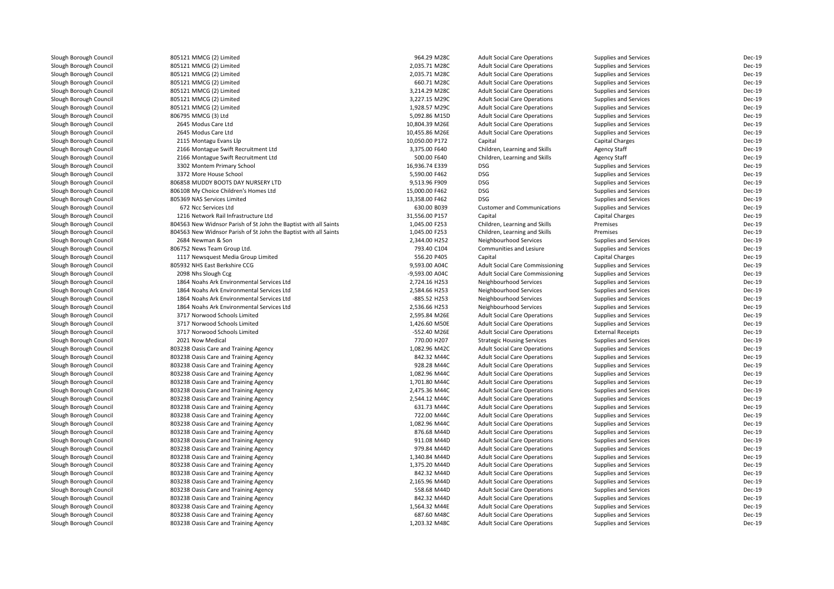| Slough Borough Council | 805121 MMCG (2) Limited                                          | 964.29 M28C    | <b>Adult Social Care Operations</b>    | Supplies and Services    | Dec-19        |
|------------------------|------------------------------------------------------------------|----------------|----------------------------------------|--------------------------|---------------|
| Slough Borough Council | 805121 MMCG (2) Limited                                          | 2,035.71 M28C  | <b>Adult Social Care Operations</b>    | Supplies and Services    | Dec-19        |
| Slough Borough Council | 805121 MMCG (2) Limited                                          | 2,035.71 M28C  | <b>Adult Social Care Operations</b>    | Supplies and Services    | Dec-19        |
| Slough Borough Council | 805121 MMCG (2) Limited                                          | 660.71 M28C    | <b>Adult Social Care Operations</b>    | Supplies and Services    | Dec-19        |
| Slough Borough Council | 805121 MMCG (2) Limited                                          | 3,214.29 M28C  | <b>Adult Social Care Operations</b>    | Supplies and Services    | Dec-19        |
| Slough Borough Council | 805121 MMCG (2) Limited                                          | 3,227.15 M29C  | <b>Adult Social Care Operations</b>    | Supplies and Services    | Dec-19        |
| Slough Borough Council | 805121 MMCG (2) Limited                                          | 1,928.57 M29C  | <b>Adult Social Care Operations</b>    | Supplies and Services    | Dec-19        |
| Slough Borough Council | 806795 MMCG (3) Ltd                                              | 5,092.86 M15D  | <b>Adult Social Care Operations</b>    | Supplies and Services    | Dec-19        |
| Slough Borough Council | 2645 Modus Care Ltd                                              | 10,804.39 M26E | <b>Adult Social Care Operations</b>    | Supplies and Services    | Dec-19        |
| Slough Borough Council | 2645 Modus Care Ltd                                              | 10,455.86 M26E | <b>Adult Social Care Operations</b>    | Supplies and Services    | Dec-19        |
| Slough Borough Council | 2115 Montagu Evans Llp                                           | 10,050.00 P172 | Capital                                | <b>Capital Charges</b>   | Dec-19        |
| Slough Borough Council | 2166 Montague Swift Recruitment Ltd                              | 3,375.00 F640  | Children, Learning and Skills          | <b>Agency Staff</b>      | Dec-19        |
| Slough Borough Council | 2166 Montague Swift Recruitment Ltd                              | 500.00 F640    | Children, Learning and Skills          | <b>Agency Staff</b>      | Dec-19        |
| Slough Borough Council | 3302 Montem Primary School                                       | 16,936.74 E339 | <b>DSG</b>                             | Supplies and Services    | Dec-19        |
| Slough Borough Council | 3372 More House School                                           | 5,590.00 F462  | <b>DSG</b>                             | Supplies and Services    | Dec-19        |
| Slough Borough Council | 806858 MUDDY BOOTS DAY NURSERY LTD                               | 9,513.96 F909  | <b>DSG</b>                             | Supplies and Services    | Dec-19        |
| Slough Borough Council | 806108 My Choice Children's Homes Ltd                            | 15,000.00 F462 | <b>DSG</b>                             | Supplies and Services    | Dec-19        |
| Slough Borough Council | 805369 NAS Services Limited                                      | 13,358.00 F462 | <b>DSG</b>                             | Supplies and Services    | Dec-19        |
| Slough Borough Council | 672 Ncc Services Ltd                                             | 630.00 B039    | <b>Customer and Communications</b>     | Supplies and Services    | <b>Dec-19</b> |
| Slough Borough Council | 1216 Network Rail Infrastructure Ltd                             | 31,556.00 P157 | Capital                                | Capital Charges          | Dec-19        |
| Slough Borough Council | 804563 New Widnsor Parish of St John the Baptist with all Saints | 1,045.00 F253  | Children, Learning and Skills          | Premises                 | Dec-19        |
| Slough Borough Council | 804563 New Widnsor Parish of St John the Baptist with all Saints | 1,045.00 F253  | Children, Learning and Skills          | Premises                 | Dec-19        |
| Slough Borough Council | 2684 Newman & Son                                                | 2,344.00 H252  | Neighbourhood Services                 | Supplies and Services    | Dec-19        |
| Slough Borough Council | 806752 News Team Group Ltd.                                      | 793.40 C104    | Communities and Lesiure                | Supplies and Services    | Dec-19        |
| Slough Borough Council | 1117 Newsquest Media Group Limited                               | 556.20 P405    | Capital                                | <b>Capital Charges</b>   | Dec-19        |
| Slough Borough Council | 805932 NHS East Berkshire CCG                                    | 9,593.00 A04C  | <b>Adult Social Care Commissioning</b> | Supplies and Services    | Dec-19        |
| Slough Borough Council | 2098 Nhs Slough Ccg                                              | -9,593.00 A04C | <b>Adult Social Care Commissioning</b> | Supplies and Services    | Dec-19        |
| Slough Borough Council | 1864 Noahs Ark Environmental Services Ltd                        | 2,724.16 H253  | Neighbourhood Services                 | Supplies and Services    | Dec-19        |
| Slough Borough Council | 1864 Noahs Ark Environmental Services Ltd                        | 2,584.66 H253  | Neighbourhood Services                 | Supplies and Services    | Dec-19        |
| Slough Borough Council | 1864 Noahs Ark Environmental Services Ltd                        | -885.52 H253   | Neighbourhood Services                 | Supplies and Services    | Dec-19        |
| Slough Borough Council | 1864 Noahs Ark Environmental Services Ltd                        | 2,536.66 H253  | Neighbourhood Services                 | Supplies and Services    | Dec-19        |
| Slough Borough Council | 3717 Norwood Schools Limited                                     | 2,595.84 M26E  | <b>Adult Social Care Operations</b>    | Supplies and Services    | Dec-19        |
| Slough Borough Council | 3717 Norwood Schools Limited                                     | 1,426.60 M50E  | <b>Adult Social Care Operations</b>    | Supplies and Services    | Dec-19        |
| Slough Borough Council | 3717 Norwood Schools Limited                                     | -552.40 M26E   | <b>Adult Social Care Operations</b>    | <b>External Receipts</b> | Dec-19        |
| Slough Borough Council | 2021 Now Medical                                                 | 770.00 H207    | <b>Strategic Housing Services</b>      | Supplies and Services    | Dec-19        |
| Slough Borough Council | 803238 Oasis Care and Training Agency                            | 1,082.96 M42C  | <b>Adult Social Care Operations</b>    | Supplies and Services    | Dec-19        |
| Slough Borough Council | 803238 Oasis Care and Training Agency                            | 842.32 M44C    | <b>Adult Social Care Operations</b>    | Supplies and Services    | <b>Dec-19</b> |
| Slough Borough Council | 803238 Oasis Care and Training Agency                            | 928.28 M44C    | <b>Adult Social Care Operations</b>    | Supplies and Services    | <b>Dec-19</b> |
| Slough Borough Council | 803238 Oasis Care and Training Agency                            | 1,082.96 M44C  | <b>Adult Social Care Operations</b>    | Supplies and Services    | Dec-19        |
| Slough Borough Council | 803238 Oasis Care and Training Agency                            | 1,701.80 M44C  | <b>Adult Social Care Operations</b>    | Supplies and Services    | Dec-19        |
| Slough Borough Council | 803238 Oasis Care and Training Agency                            | 2,475.36 M44C  | <b>Adult Social Care Operations</b>    | Supplies and Services    | Dec-19        |
| Slough Borough Council | 803238 Oasis Care and Training Agency                            | 2,544.12 M44C  | <b>Adult Social Care Operations</b>    | Supplies and Services    | Dec-19        |
| Slough Borough Council | 803238 Oasis Care and Training Agency                            | 631.73 M44C    | <b>Adult Social Care Operations</b>    | Supplies and Services    | <b>Dec-19</b> |
| Slough Borough Council | 803238 Oasis Care and Training Agency                            | 722.00 M44C    | <b>Adult Social Care Operations</b>    | Supplies and Services    | <b>Dec-19</b> |
| Slough Borough Council | 803238 Oasis Care and Training Agency                            | 1,082.96 M44C  | <b>Adult Social Care Operations</b>    | Supplies and Services    | Dec-19        |
| Slough Borough Council | 803238 Oasis Care and Training Agency                            | 876.68 M44D    | <b>Adult Social Care Operations</b>    | Supplies and Services    | <b>Dec-19</b> |
| Slough Borough Council | 803238 Oasis Care and Training Agency                            | 911.08 M44D    | <b>Adult Social Care Operations</b>    | Supplies and Services    | Dec-19        |
| Slough Borough Council | 803238 Oasis Care and Training Agency                            | 979.84 M44D    | <b>Adult Social Care Operations</b>    | Supplies and Services    | Dec-19        |
| Slough Borough Council | 803238 Oasis Care and Training Agency                            | 1,340.84 M44D  | <b>Adult Social Care Operations</b>    | Supplies and Services    | Dec-19        |
| Slough Borough Council | 803238 Oasis Care and Training Agency                            | 1,375.20 M44D  | <b>Adult Social Care Operations</b>    | Supplies and Services    | Dec-19        |
| Slough Borough Council | 803238 Oasis Care and Training Agency                            | 842.32 M44D    | <b>Adult Social Care Operations</b>    | Supplies and Services    | Dec-19        |
| Slough Borough Council | 803238 Oasis Care and Training Agency                            | 2,165.96 M44D  | <b>Adult Social Care Operations</b>    | Supplies and Services    | Dec-19        |
| Slough Borough Council | 803238 Oasis Care and Training Agency                            | 558.68 M44D    | <b>Adult Social Care Operations</b>    | Supplies and Services    | Dec-19        |
| Slough Borough Council | 803238 Oasis Care and Training Agency                            | 842.32 M44D    | <b>Adult Social Care Operations</b>    | Supplies and Services    | Dec-19        |
| Slough Borough Council | 803238 Oasis Care and Training Agency                            | 1,564.32 M44E  | <b>Adult Social Care Operations</b>    | Supplies and Services    | Dec-19        |
| Slough Borough Council | 803238 Oasis Care and Training Agency                            | 687.60 M48C    | <b>Adult Social Care Operations</b>    | Supplies and Services    | Dec-19        |
| Slough Borough Council | 803238 Oasis Care and Training Agency                            | 1,203.32 M48C  | <b>Adult Social Care Operations</b>    | Supplies and Services    | Dec-19        |
|                        |                                                                  |                |                                        |                          |               |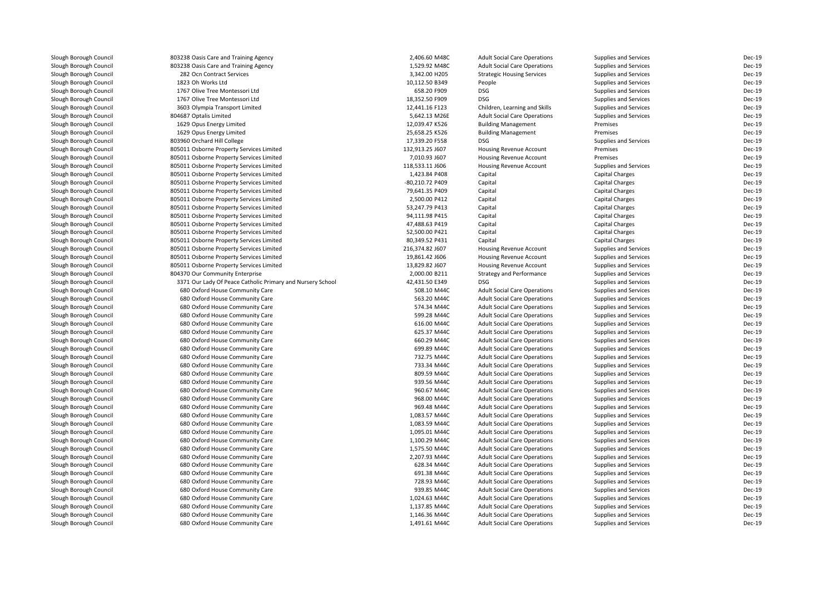| Slough Borough Council                           | 803238 Oasis Care and Training Agency                                                         | 2,406.60 M48C                   | <b>Adult Social Care Operations</b>           | Supplies and Services                                        | Dec-19           |
|--------------------------------------------------|-----------------------------------------------------------------------------------------------|---------------------------------|-----------------------------------------------|--------------------------------------------------------------|------------------|
| Slough Borough Council                           | 803238 Oasis Care and Training Agency                                                         | 1,529.92 M48C                   | <b>Adult Social Care Operations</b>           | <b>Supplies and Services</b>                                 | Dec-19           |
| Slough Borough Council                           | 282 Ocn Contract Services                                                                     | 3,342.00 H205                   | <b>Strategic Housing Services</b>             | <b>Supplies and Services</b>                                 | Dec-19           |
| Slough Borough Council                           | 1823 Oh Works Ltd                                                                             | 10,112.50 B349                  | People                                        | <b>Supplies and Services</b>                                 | <b>Dec-19</b>    |
| Slough Borough Council                           | 1767 Olive Tree Montessori Ltd                                                                | 658.20 F909                     | <b>DSG</b>                                    | <b>Supplies and Services</b>                                 | Dec-19           |
| Slough Borough Council                           | 1767 Olive Tree Montessori Ltd                                                                | 18,352.50 F909                  | <b>DSG</b>                                    | <b>Supplies and Services</b>                                 | Dec-19           |
| Slough Borough Council                           | 3603 Olympia Transport Limited                                                                | 12,441.16 F123                  | Children, Learning and Skills                 | <b>Supplies and Services</b>                                 | <b>Dec-19</b>    |
| Slough Borough Council                           | 804687 Optalis Limited                                                                        | 5,642.13 M26E                   | <b>Adult Social Care Operations</b>           | Supplies and Services                                        | Dec-19           |
| Slough Borough Council                           | 1629 Opus Energy Limited                                                                      | 12,039.47 K526                  | <b>Building Management</b>                    | Premises                                                     | Dec-19           |
| Slough Borough Council                           | 1629 Opus Energy Limited                                                                      | 25,658.25 K526                  | <b>Building Management</b>                    | Premises                                                     | Dec-19           |
| Slough Borough Council                           | 803960 Orchard Hill College                                                                   | 17,339.20 F558                  | <b>DSG</b>                                    | Supplies and Services                                        | Dec-19           |
| Slough Borough Council                           | 805011 Osborne Property Services Limited                                                      | 132,913.25 J607                 | <b>Housing Revenue Account</b>                | Premises                                                     | Dec-19           |
| Slough Borough Council                           | 805011 Osborne Property Services Limited                                                      | 7,010.93 J607                   | Housing Revenue Account                       | Premises                                                     | Dec-19           |
| Slough Borough Council                           | 805011 Osborne Property Services Limited                                                      | 118,533.11 J606                 | <b>Housing Revenue Account</b>                | Supplies and Services                                        | Dec-19           |
| Slough Borough Council                           | 805011 Osborne Property Services Limited                                                      | 1,423.84 P408                   | Capital                                       | Capital Charges                                              | Dec-19           |
| Slough Borough Council                           | 805011 Osborne Property Services Limited                                                      | -80,210.72 P409                 | Capital                                       | Capital Charges                                              | Dec-19           |
| Slough Borough Council                           | 805011 Osborne Property Services Limited                                                      | 79,641.35 P409                  | Capital                                       | Capital Charges                                              | Dec-19           |
| Slough Borough Council                           | 805011 Osborne Property Services Limited                                                      | 2,500.00 P412                   | Capital                                       | Capital Charges                                              | <b>Dec-19</b>    |
| Slough Borough Council                           | 805011 Osborne Property Services Limited                                                      | 53,247.79 P413                  | Capital                                       | Capital Charges                                              | Dec-19           |
| Slough Borough Council                           | 805011 Osborne Property Services Limited                                                      | 94,111.98 P415                  | Capital                                       | Capital Charges                                              | Dec-19           |
| Slough Borough Council                           | 805011 Osborne Property Services Limited                                                      | 47,488.63 P419                  | Capital                                       | Capital Charges                                              | Dec-19           |
| Slough Borough Council                           | 805011 Osborne Property Services Limited                                                      | 52,500.00 P421                  | Capital                                       | Capital Charges                                              | <b>Dec-19</b>    |
| Slough Borough Council                           | 805011 Osborne Property Services Limited                                                      | 80,349.52 P431                  | Capital                                       | Capital Charges                                              | <b>Dec-19</b>    |
| Slough Borough Council                           | 805011 Osborne Property Services Limited                                                      | 216,374.82 J607                 | <b>Housing Revenue Account</b>                | <b>Supplies and Services</b>                                 | Dec-19           |
| Slough Borough Council                           | 805011 Osborne Property Services Limited                                                      | 19,861.42 J606                  | <b>Housing Revenue Account</b>                | <b>Supplies and Services</b>                                 | Dec-19           |
| Slough Borough Council                           | 805011 Osborne Property Services Limited                                                      | 13,829.82 J607                  | <b>Housing Revenue Account</b>                | <b>Supplies and Services</b>                                 | Dec-19           |
|                                                  |                                                                                               |                                 |                                               |                                                              | Dec-19           |
| Slough Borough Council<br>Slough Borough Council | 804370 Our Community Enterprise<br>3371 Our Lady Of Peace Catholic Primary and Nursery School | 2,000.00 B211<br>42,431.50 E349 | <b>Strategy and Performance</b><br><b>DSG</b> | <b>Supplies and Services</b><br><b>Supplies and Services</b> | <b>Dec-19</b>    |
|                                                  |                                                                                               |                                 |                                               |                                                              | Dec-19           |
| Slough Borough Council                           | 680 Oxford House Community Care                                                               | 508.10 M44C                     | <b>Adult Social Care Operations</b>           | <b>Supplies and Services</b>                                 | Dec-19           |
| Slough Borough Council                           | 680 Oxford House Community Care                                                               | 563.20 M44C<br>574.34 M44C      | <b>Adult Social Care Operations</b>           | <b>Supplies and Services</b>                                 | Dec-19           |
| Slough Borough Council                           | 680 Oxford House Community Care                                                               |                                 | <b>Adult Social Care Operations</b>           | <b>Supplies and Services</b>                                 |                  |
| Slough Borough Council                           | 680 Oxford House Community Care                                                               | 599.28 M44C                     | <b>Adult Social Care Operations</b>           | <b>Supplies and Services</b>                                 | Dec-19           |
| Slough Borough Council                           | 680 Oxford House Community Care                                                               | 616.00 M44C                     | <b>Adult Social Care Operations</b>           | <b>Supplies and Services</b>                                 | Dec-19           |
| Slough Borough Council                           | 680 Oxford House Community Care                                                               | 625.37 M44C                     | <b>Adult Social Care Operations</b>           | <b>Supplies and Services</b>                                 | Dec-19           |
| Slough Borough Council                           | 680 Oxford House Community Care                                                               | 660.29 M44C                     | <b>Adult Social Care Operations</b>           | <b>Supplies and Services</b>                                 | Dec-19<br>Dec-19 |
| Slough Borough Council                           | 680 Oxford House Community Care                                                               | 699.89 M44C                     | <b>Adult Social Care Operations</b>           | <b>Supplies and Services</b>                                 |                  |
| Slough Borough Council                           | 680 Oxford House Community Care                                                               | 732.75 M44C                     | <b>Adult Social Care Operations</b>           | <b>Supplies and Services</b>                                 | Dec-19           |
| Slough Borough Council                           | 680 Oxford House Community Care                                                               | 733.34 M44C                     | <b>Adult Social Care Operations</b>           | <b>Supplies and Services</b>                                 | Dec-19           |
| Slough Borough Council                           | 680 Oxford House Community Care                                                               | 809.59 M44C                     | <b>Adult Social Care Operations</b>           | <b>Supplies and Services</b>                                 | Dec-19           |
| Slough Borough Council                           | 680 Oxford House Community Care                                                               | 939.56 M44C                     | <b>Adult Social Care Operations</b>           | <b>Supplies and Services</b>                                 | Dec-19           |
| Slough Borough Council                           | 680 Oxford House Community Care                                                               | 960.67 M44C                     | <b>Adult Social Care Operations</b>           | <b>Supplies and Services</b>                                 | Dec-19           |
| Slough Borough Council                           | 680 Oxford House Community Care                                                               | 968.00 M44C                     | <b>Adult Social Care Operations</b>           | <b>Supplies and Services</b>                                 | Dec-19           |
| Slough Borough Council                           | 680 Oxford House Community Care                                                               | 969.48 M44C                     | <b>Adult Social Care Operations</b>           | <b>Supplies and Services</b>                                 | Dec-19           |
| Slough Borough Council                           | 680 Oxford House Community Care                                                               | 1,083.57 M44C                   | <b>Adult Social Care Operations</b>           | <b>Supplies and Services</b>                                 | Dec-19           |
| Slough Borough Council                           | 680 Oxford House Community Care                                                               | 1,083.59 M44C                   | <b>Adult Social Care Operations</b>           | <b>Supplies and Services</b>                                 | Dec-19           |
| Slough Borough Council                           | 680 Oxford House Community Care                                                               | 1,095.01 M44C                   | <b>Adult Social Care Operations</b>           | <b>Supplies and Services</b>                                 | <b>Dec-19</b>    |
| Slough Borough Council                           | 680 Oxford House Community Care                                                               | 1,100.29 M44C                   | <b>Adult Social Care Operations</b>           | <b>Supplies and Services</b>                                 | Dec-19           |
| Slough Borough Council                           | 680 Oxford House Community Care                                                               | 1,575.50 M44C                   | <b>Adult Social Care Operations</b>           | <b>Supplies and Services</b>                                 | Dec-19           |
| Slough Borough Council                           | 680 Oxford House Community Care                                                               | 2,207.93 M44C                   | <b>Adult Social Care Operations</b>           | Supplies and Services                                        | Dec-19           |
| Slough Borough Council                           | 680 Oxford House Community Care                                                               | 628.34 M44C                     | <b>Adult Social Care Operations</b>           | <b>Supplies and Services</b>                                 | Dec-19           |
| Slough Borough Council                           | 680 Oxford House Community Care                                                               | 691.38 M44C                     | <b>Adult Social Care Operations</b>           | <b>Supplies and Services</b>                                 | Dec-19           |
| Slough Borough Council                           | 680 Oxford House Community Care                                                               | 728.93 M44C                     | <b>Adult Social Care Operations</b>           | <b>Supplies and Services</b>                                 | Dec-19           |
| Slough Borough Council                           | 680 Oxford House Community Care                                                               | 939.85 M44C                     | <b>Adult Social Care Operations</b>           | <b>Supplies and Services</b>                                 | Dec-19           |
| Slough Borough Council                           | 680 Oxford House Community Care                                                               | 1,024.63 M44C                   | <b>Adult Social Care Operations</b>           | <b>Supplies and Services</b>                                 | Dec-19           |
| Slough Borough Council                           | 680 Oxford House Community Care                                                               | 1,137.85 M44C                   | <b>Adult Social Care Operations</b>           | <b>Supplies and Services</b>                                 | Dec-19           |
| Slough Borough Council                           | 680 Oxford House Community Care                                                               | 1,146.36 M44C                   | <b>Adult Social Care Operations</b>           | <b>Supplies and Services</b>                                 | Dec-19           |
| Slough Borough Council                           | 680 Oxford House Community Care                                                               | 1,491.61 M44C                   | <b>Adult Social Care Operations</b>           | <b>Supplies and Services</b>                                 | Dec-19           |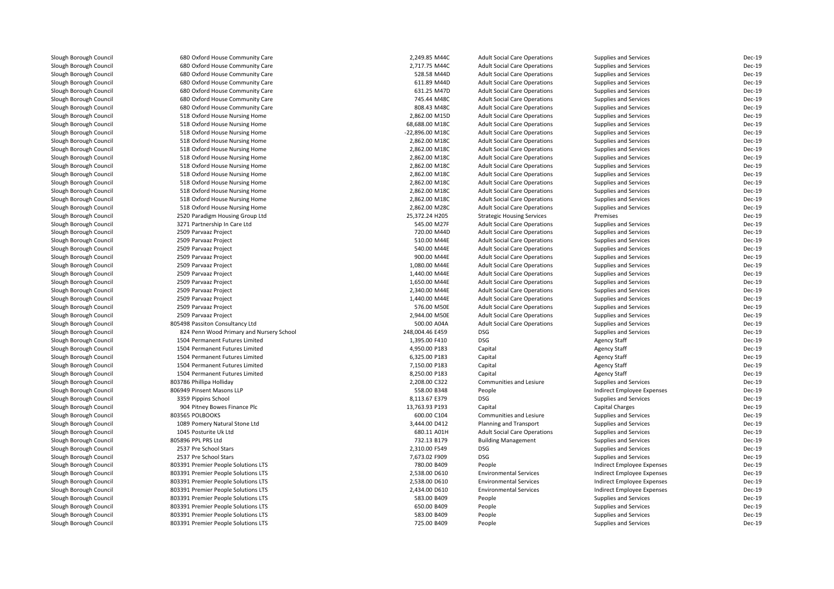| Slough Borough Council | 680 Oxford House Community Care                                 | 2,249.85 M44C   | <b>Adult Social Care Operations</b> | Supplies and Services        | Dec-19        |
|------------------------|-----------------------------------------------------------------|-----------------|-------------------------------------|------------------------------|---------------|
| Slough Borough Council | 680 Oxford House Community Care                                 | 2,717.75 M44C   | <b>Adult Social Care Operations</b> | Supplies and Services        | <b>Dec-19</b> |
| Slough Borough Council | 680 Oxford House Community Care                                 | 528.58 M44D     | <b>Adult Social Care Operations</b> | Supplies and Services        | $Dec-19$      |
| Slough Borough Council | 680 Oxford House Community Care                                 | 611.89 M44D     | <b>Adult Social Care Operations</b> | <b>Supplies and Services</b> | Dec-19        |
| Slough Borough Council | 680 Oxford House Community Care                                 | 631.25 M47D     | <b>Adult Social Care Operations</b> | Supplies and Services        | <b>Dec-19</b> |
| Slough Borough Council | 680 Oxford House Community Care                                 | 745.44 M48C     | <b>Adult Social Care Operations</b> | Supplies and Services        | Dec-19        |
| Slough Borough Council | 680 Oxford House Community Care                                 | 808.43 M48C     | <b>Adult Social Care Operations</b> | <b>Supplies and Services</b> | <b>Dec-19</b> |
| Slough Borough Council | 518 Oxford House Nursing Home                                   | 2,862.00 M15D   | <b>Adult Social Care Operations</b> | Supplies and Services        | <b>Dec-19</b> |
| Slough Borough Council | 518 Oxford House Nursing Home                                   | 68,688.00 M18C  | <b>Adult Social Care Operations</b> | Supplies and Services        | Dec-19        |
| Slough Borough Council | 518 Oxford House Nursing Home                                   | -22,896.00 M18C | <b>Adult Social Care Operations</b> | Supplies and Services        | Dec-19        |
| Slough Borough Council | 518 Oxford House Nursing Home                                   | 2,862.00 M18C   | <b>Adult Social Care Operations</b> | Supplies and Services        | Dec-19        |
| Slough Borough Council | 518 Oxford House Nursing Home                                   | 2,862.00 M18C   | <b>Adult Social Care Operations</b> | Supplies and Services        | Dec-19        |
| Slough Borough Council | 518 Oxford House Nursing Home                                   | 2,862.00 M18C   | <b>Adult Social Care Operations</b> | Supplies and Services        | <b>Dec-19</b> |
| Slough Borough Council | 518 Oxford House Nursing Home                                   | 2,862.00 M18C   | <b>Adult Social Care Operations</b> | Supplies and Services        | Dec-19        |
| Slough Borough Council | 518 Oxford House Nursing Home                                   | 2,862.00 M18C   | <b>Adult Social Care Operations</b> | Supplies and Services        | Dec-19        |
| Slough Borough Council | 518 Oxford House Nursing Home                                   | 2,862.00 M18C   | <b>Adult Social Care Operations</b> | Supplies and Services        | <b>Dec-19</b> |
| Slough Borough Council | 518 Oxford House Nursing Home                                   | 2,862.00 M18C   | <b>Adult Social Care Operations</b> | Supplies and Services        | Dec-19        |
| Slough Borough Council | 518 Oxford House Nursing Home                                   | 2,862.00 M18C   | <b>Adult Social Care Operations</b> | Supplies and Services        | Dec-19        |
| Slough Borough Council | 518 Oxford House Nursing Home                                   | 2.862.00 M28C   | <b>Adult Social Care Operations</b> | Supplies and Services        | $Dec-19$      |
| Slough Borough Council |                                                                 | 25,372.24 H205  |                                     | Premises                     | Dec-19        |
|                        | 2520 Paradigm Housing Group Ltd<br>3271 Partnership In Care Ltd | 545.00 M27F     | <b>Strategic Housing Services</b>   |                              | Dec-19        |
| Slough Borough Council |                                                                 |                 | <b>Adult Social Care Operations</b> | Supplies and Services        |               |
| Slough Borough Council | 2509 Parvaaz Project                                            | 720.00 M44D     | <b>Adult Social Care Operations</b> | Supplies and Services        | Dec-19        |
| Slough Borough Council | 2509 Parvaaz Project                                            | 510.00 M44E     | <b>Adult Social Care Operations</b> | Supplies and Services        | Dec-19        |
| Slough Borough Council | 2509 Parvaaz Project                                            | 540.00 M44E     | <b>Adult Social Care Operations</b> | Supplies and Services        | Dec-19        |
| Slough Borough Council | 2509 Parvaaz Project                                            | 900.00 M44E     | <b>Adult Social Care Operations</b> | Supplies and Services        | Dec-19        |
| Slough Borough Council | 2509 Parvaaz Project                                            | 1,080.00 M44E   | <b>Adult Social Care Operations</b> | Supplies and Services        | <b>Dec-19</b> |
| Slough Borough Council | 2509 Parvaaz Project                                            | 1,440.00 M44E   | <b>Adult Social Care Operations</b> | Supplies and Services        | Dec-19        |
| Slough Borough Council | 2509 Parvaaz Project                                            | 1,650.00 M44E   | <b>Adult Social Care Operations</b> | <b>Supplies and Services</b> | <b>Dec-19</b> |
| Slough Borough Council | 2509 Parvaaz Project                                            | 2,340.00 M44E   | <b>Adult Social Care Operations</b> | Supplies and Services        | Dec-19        |
| Slough Borough Council | 2509 Parvaaz Project                                            | 1,440.00 M44E   | <b>Adult Social Care Operations</b> | Supplies and Services        | Dec-19        |
| Slough Borough Council | 2509 Parvaaz Project                                            | 576.00 M50E     | <b>Adult Social Care Operations</b> | Supplies and Services        | Dec-19        |
| Slough Borough Council | 2509 Parvaaz Project                                            | 2,944.00 M50E   | <b>Adult Social Care Operations</b> | Supplies and Services        | Dec-19        |
| Slough Borough Council | 805498 Passiton Consultancy Ltd                                 | 500.00 A04A     | <b>Adult Social Care Operations</b> | Supplies and Services        | <b>Dec-19</b> |
| Slough Borough Council | 824 Penn Wood Primary and Nursery School                        | 248,004.46 E459 | <b>DSG</b>                          | Supplies and Services        | Dec-19        |
| Slough Borough Council | 1504 Permanent Futures Limited                                  | 1,395.00 F410   | <b>DSG</b>                          | <b>Agency Staff</b>          | Dec-19        |
| Slough Borough Council | 1504 Permanent Futures Limited                                  | 4,950.00 P183   | Capital                             | <b>Agency Staff</b>          | Dec-19        |
| Slough Borough Council | 1504 Permanent Futures Limited                                  | 6,325.00 P183   | Capital                             | <b>Agency Staff</b>          | <b>Dec-19</b> |
| Slough Borough Council | 1504 Permanent Futures Limited                                  | 7,150.00 P183   | Capital                             | <b>Agency Staff</b>          | Dec-19        |
| Slough Borough Council | 1504 Permanent Futures Limited                                  | 8,250.00 P183   | Capital                             | <b>Agency Staff</b>          | Dec-19        |
| Slough Borough Council | 803786 Phillipa Holliday                                        | 2,208.00 C322   | Communities and Lesiure             | Supplies and Services        | $Dec-19$      |
| Slough Borough Council | 806949 Pinsent Masons LLP                                       | 558.00 B348     | People                              | Indirect Employee Expenses   | Dec-19        |
| Slough Borough Council | 3359 Pippins School                                             | 8,113.67 E379   | <b>DSG</b>                          | Supplies and Services        | <b>Dec-19</b> |
| Slough Borough Council | 904 Pitney Bowes Finance Plc                                    | 13,763.93 P193  | Capital                             | Capital Charges              | Dec-19        |
| Slough Borough Council | 803565 POLBOOKS                                                 | 600.00 C104     | Communities and Lesiure             | <b>Supplies and Services</b> | <b>Dec-19</b> |
| Slough Borough Council | 1089 Pomery Natural Stone Ltd                                   | 3,444.00 D412   | Planning and Transport              | Supplies and Services        | Dec-19        |
| Slough Borough Council | 1045 Posturite Uk Ltd                                           | 680.11 A01H     | <b>Adult Social Care Operations</b> | Supplies and Services        | Dec-19        |
| Slough Borough Council | 805896 PPL PRS Ltd                                              | 732.13 B179     | <b>Building Management</b>          | Supplies and Services        | Dec-19        |
| Slough Borough Council | 2537 Pre School Stars                                           | 2,310.00 F549   | <b>DSG</b>                          | Supplies and Services        | Dec-19        |
| Slough Borough Council | 2537 Pre School Stars                                           | 7,673.02 F909   | <b>DSG</b>                          | Supplies and Services        | Dec-19        |
| Slough Borough Council | 803391 Premier People Solutions LTS                             | 780.00 B409     | People                              | Indirect Employee Expenses   | Dec-19        |
| Slough Borough Council | 803391 Premier People Solutions LTS                             | 2,538.00 D610   | <b>Environmental Services</b>       | Indirect Employee Expenses   | Dec-19        |
| Slough Borough Council | 803391 Premier People Solutions LTS                             | 2,538.00 D610   | <b>Environmental Services</b>       | Indirect Employee Expenses   | Dec-19        |
| Slough Borough Council | 803391 Premier People Solutions LTS                             | 2,434.00 D610   | <b>Environmental Services</b>       | Indirect Employee Expenses   | Dec-19        |
| Slough Borough Council | 803391 Premier People Solutions LTS                             | 583.00 B409     | People                              | Supplies and Services        | Dec-19        |
| Slough Borough Council | 803391 Premier People Solutions LTS                             | 650.00 B409     | People                              | Supplies and Services        | Dec-19        |
| Slough Borough Council | 803391 Premier People Solutions LTS                             | 583.00 B409     | People                              | Supplies and Services        | $Dec-19$      |
| Slough Borough Council | 803391 Premier People Solutions LTS                             | 725.00 B409     | People                              | Supplies and Services        | Dec-19        |
|                        |                                                                 |                 |                                     |                              |               |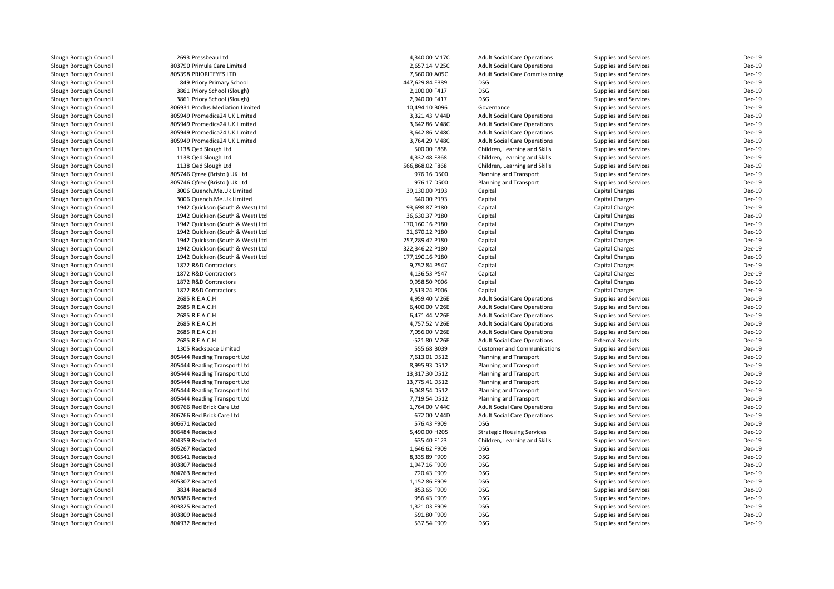| Slough Borough Council | 2693 Pressbeau Ltd               | 4,340.00 M17C   | <b>Adult Social Care Operations</b>    | Supplies and Services        | Dec-19        |
|------------------------|----------------------------------|-----------------|----------------------------------------|------------------------------|---------------|
| Slough Borough Council | 803790 Primula Care Limited      | 2,657.14 M25C   | <b>Adult Social Care Operations</b>    | <b>Supplies and Services</b> | $Dec-19$      |
| Slough Borough Council | 805398 PRIORITEYES LTD           | 7,560.00 A05C   | <b>Adult Social Care Commissioning</b> | Supplies and Services        | Dec-19        |
| Slough Borough Council | 849 Priory Primary School        | 447,629.84 E389 | <b>DSG</b>                             | Supplies and Services        | Dec-19        |
| Slough Borough Council | 3861 Priory School (Slough)      | 2,100.00 F417   | <b>DSG</b>                             | Supplies and Services        | Dec-19        |
| Slough Borough Council | 3861 Priory School (Slough)      | 2,940.00 F417   | <b>DSG</b>                             | <b>Supplies and Services</b> | <b>Dec-19</b> |
| Slough Borough Council | 806931 Proclus Mediation Limited | 10,494.10 B096  | Governance                             | Supplies and Services        | Dec-19        |
| Slough Borough Council | 805949 Promedica24 UK Limited    | 3,321.43 M44D   | <b>Adult Social Care Operations</b>    | Supplies and Services        | Dec-19        |
| Slough Borough Council | 805949 Promedica24 UK Limited    | 3,642.86 M48C   | <b>Adult Social Care Operations</b>    | <b>Supplies and Services</b> | Dec-19        |
| Slough Borough Council | 805949 Promedica24 UK Limited    | 3,642.86 M48C   | <b>Adult Social Care Operations</b>    | Supplies and Services        | Dec-19        |
| Slough Borough Council | 805949 Promedica24 UK Limited    | 3,764.29 M48C   | <b>Adult Social Care Operations</b>    | Supplies and Services        | Dec-19        |
| Slough Borough Council | 1138 Qed Slough Ltd              | 500.00 F868     | Children, Learning and Skills          | Supplies and Services        | Dec-19        |
| Slough Borough Council | 1138 Qed Slough Ltd              | 4,332.48 F868   | Children, Learning and Skills          | Supplies and Services        | Dec-19        |
| Slough Borough Council | 1138 Qed Slough Ltd              | 566,868.02 F868 | Children, Learning and Skills          | Supplies and Services        | Dec-19        |
| Slough Borough Council | 805746 Qfree (Bristol) UK Ltd    | 976.16 D500     | Planning and Transport                 | Supplies and Services        | Dec-19        |
| Slough Borough Council | 805746 Qfree (Bristol) UK Ltd    | 976.17 D500     | Planning and Transport                 | Supplies and Services        | Dec-19        |
| Slough Borough Council | 3006 Quench.Me.Uk Limited        | 39,130.00 P193  | Capital                                | <b>Capital Charges</b>       | Dec-19        |
| Slough Borough Council | 3006 Quench.Me.Uk Limited        | 640.00 P193     | Capital                                | <b>Capital Charges</b>       | Dec-19        |
| Slough Borough Council | 1942 Quickson (South & West) Ltd | 93.698.87 P180  | Capital                                | <b>Capital Charges</b>       | Dec-19        |
| Slough Borough Council | 1942 Quickson (South & West) Ltd | 36,630.37 P180  | Capital                                | <b>Capital Charges</b>       | Dec-19        |
| Slough Borough Council | 1942 Quickson (South & West) Ltd | 170,160.16 P180 | Capital                                | <b>Capital Charges</b>       | Dec-19        |
|                        |                                  |                 |                                        |                              | Dec-19        |
| Slough Borough Council | 1942 Quickson (South & West) Ltd | 31,670.12 P180  | Capital                                | <b>Capital Charges</b>       |               |
| Slough Borough Council | 1942 Quickson (South & West) Ltd | 257,289.42 P180 | Capital                                | <b>Capital Charges</b>       | Dec-19        |
| Slough Borough Council | 1942 Quickson (South & West) Ltd | 322,346.22 P180 | Capital                                | <b>Capital Charges</b>       | Dec-19        |
| Slough Borough Council | 1942 Quickson (South & West) Ltd | 177,190.16 P180 | Capital                                | <b>Capital Charges</b>       | Dec-19        |
| Slough Borough Council | 1872 R&D Contractors             | 9,752.84 P547   | Capital                                | <b>Capital Charges</b>       | Dec-19        |
| Slough Borough Council | 1872 R&D Contractors             | 4,136.53 P547   | Capital                                | <b>Capital Charges</b>       | Dec-19        |
| Slough Borough Council | 1872 R&D Contractors             | 9,958.50 P006   | Capital                                | <b>Capital Charges</b>       | Dec-19        |
| Slough Borough Council | 1872 R&D Contractors             | 2,513.24 P006   | Capital                                | <b>Capital Charges</b>       | Dec-19        |
| Slough Borough Council | 2685 R.E.A.C.H                   | 4,959.40 M26E   | <b>Adult Social Care Operations</b>    | Supplies and Services        | Dec-19        |
| Slough Borough Council | 2685 R.E.A.C.H                   | 6,400.00 M26E   | <b>Adult Social Care Operations</b>    | Supplies and Services        | Dec-19        |
| Slough Borough Council | 2685 R.E.A.C.H                   | 6,471.44 M26E   | <b>Adult Social Care Operations</b>    | <b>Supplies and Services</b> | Dec-19        |
| Slough Borough Council | 2685 R.E.A.C.H                   | 4,757.52 M26E   | <b>Adult Social Care Operations</b>    | <b>Supplies and Services</b> | <b>Dec-19</b> |
| Slough Borough Council | 2685 R.E.A.C.H                   | 7,056.00 M26E   | <b>Adult Social Care Operations</b>    | Supplies and Services        | Dec-19        |
| Slough Borough Council | 2685 R.E.A.C.H                   | -521.80 M26E    | <b>Adult Social Care Operations</b>    | <b>External Receipts</b>     | Dec-19        |
| Slough Borough Council | 1305 Rackspace Limited           | 555.68 B039     | <b>Customer and Communications</b>     | Supplies and Services        | Dec-19        |
| Slough Borough Council | 805444 Reading Transport Ltd     | 7,613.01 D512   | Planning and Transport                 | <b>Supplies and Services</b> | <b>Dec-19</b> |
| Slough Borough Council | 805444 Reading Transport Ltd     | 8,995.93 D512   | Planning and Transport                 | Supplies and Services        | Dec-19        |
| Slough Borough Council | 805444 Reading Transport Ltd     | 13,317.30 D512  | Planning and Transport                 | Supplies and Services        | Dec-19        |
| Slough Borough Council | 805444 Reading Transport Ltd     | 13,775.41 D512  | Planning and Transport                 | Supplies and Services        | Dec-19        |
| Slough Borough Council | 805444 Reading Transport Ltd     | 6,048.54 D512   | Planning and Transport                 | <b>Supplies and Services</b> | <b>Dec-19</b> |
| Slough Borough Council | 805444 Reading Transport Ltd     | 7,719.54 D512   | Planning and Transport                 | Supplies and Services        | Dec-19        |
| Slough Borough Council | 806766 Red Brick Care Ltd        | 1,764.00 M44C   | <b>Adult Social Care Operations</b>    | Supplies and Services        | Dec-19        |
| Slough Borough Council | 806766 Red Brick Care Ltd        | 672.00 M44D     | <b>Adult Social Care Operations</b>    | <b>Supplies and Services</b> | Dec-19        |
| Slough Borough Council | 806671 Redacted                  | 576.43 F909     | DSG                                    | Supplies and Services        | Dec-19        |
| Slough Borough Council | 806484 Redacted                  | 5,490.00 H205   | <b>Strategic Housing Services</b>      | Supplies and Services        | Dec-19        |
| Slough Borough Council | 804359 Redacted                  | 635.40 F123     | Children, Learning and Skills          | Supplies and Services        | Dec-19        |
| Slough Borough Council | 805267 Redacted                  | 1,646.62 F909   | <b>DSG</b>                             | Supplies and Services        | Dec-19        |
| Slough Borough Council | 806541 Redacted                  | 8,335.89 F909   | DSG                                    | Supplies and Services        | Dec-19        |
| Slough Borough Council | 803807 Redacted                  | 1,947.16 F909   | <b>DSG</b>                             | Supplies and Services        | Dec-19        |
| Slough Borough Council | 804763 Redacted                  | 720.43 F909     | DSG                                    | Supplies and Services        | Dec-19        |
| Slough Borough Council | 805307 Redacted                  | 1,152.86 F909   | <b>DSG</b>                             | Supplies and Services        | Dec-19        |
| Slough Borough Council | 3834 Redacted                    | 853.65 F909     | DSG                                    | Supplies and Services        | Dec-19        |
| Slough Borough Council | 803886 Redacted                  | 956.43 F909     | <b>DSG</b>                             | Supplies and Services        | Dec-19        |
| Slough Borough Council | 803825 Redacted                  | 1,321.03 F909   | DSG                                    | Supplies and Services        | Dec-19        |
| Slough Borough Council | 803809 Redacted                  | 591.80 F909     | <b>DSG</b>                             | <b>Supplies and Services</b> | Dec-19        |
| Slough Borough Council | 804932 Redacted                  | 537.54 F909     | DSG                                    | Supplies and Services        | Dec-19        |
|                        |                                  |                 |                                        |                              |               |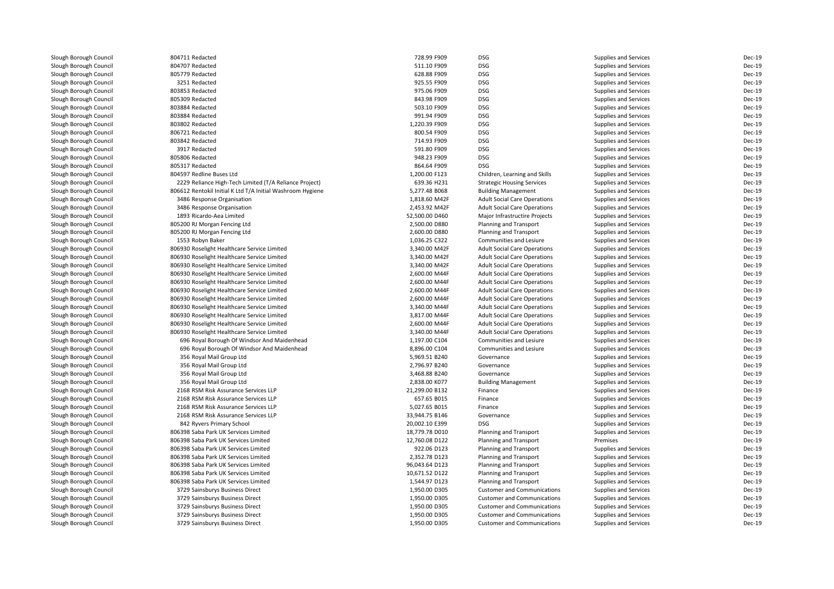| Slough Borough Council | 804711 Redacted                                            | 728.99 F909                     | <b>DSG</b>                          | Supplies and Services        | Dec-19                  |
|------------------------|------------------------------------------------------------|---------------------------------|-------------------------------------|------------------------------|-------------------------|
| Slough Borough Council | 804707 Redacted                                            | 511.10 F909                     | <b>DSG</b>                          | Supplies and Services        | Dec-19                  |
| Slough Borough Council | 805779 Redacted                                            | 628.88 F909                     | <b>DSG</b>                          | Supplies and Services        | Dec-19                  |
| Slough Borough Council | 3251 Redacted                                              | 925.55 F909                     | <b>DSG</b>                          | Supplies and Services        | Dec-19                  |
| Slough Borough Council | 803853 Redacted                                            | 975.06 F909                     | <b>DSG</b>                          | Supplies and Services        | Dec-19                  |
| Slough Borough Council | 805309 Redacted                                            | 843.98 F909                     | <b>DSG</b>                          | Supplies and Services        | <b>Dec-19</b>           |
| Slough Borough Council | 803884 Redacted                                            | 503.10 F909                     | <b>DSG</b>                          | Supplies and Services        | <b>Dec-19</b>           |
| Slough Borough Council | 803884 Redacted                                            | 991.94 F909                     | <b>DSG</b>                          | Supplies and Services        | Dec-19                  |
| Slough Borough Council | 803802 Redacted                                            | 1,220.39 F909                   | <b>DSG</b>                          | Supplies and Services        | <b>Dec-19</b>           |
| Slough Borough Council | 806721 Redacted                                            | 800.54 F909                     | <b>DSG</b>                          | Supplies and Services        | Dec-19                  |
| Slough Borough Council | 803842 Redacted                                            | 714.93 F909                     | <b>DSG</b>                          | Supplies and Services        | Dec-19                  |
| Slough Borough Council | 3917 Redacted                                              | 591.80 F909                     | <b>DSG</b>                          | Supplies and Services        | Dec-19                  |
| Slough Borough Council | 805806 Redacted                                            | 948.23 F909                     | <b>DSG</b>                          | Supplies and Services        | Dec-19                  |
| Slough Borough Council | 805317 Redacted                                            | 864.64 F909                     | <b>DSG</b>                          | Supplies and Services        | Dec-19                  |
| Slough Borough Council | 804597 Redline Buses Ltd                                   | 1,200.00 F123                   | Children, Learning and Skills       | Supplies and Services        | Dec-19                  |
| Slough Borough Council | 2229 Reliance High-Tech Limited (T/A Reliance Project)     | 639.36 H231                     | <b>Strategic Housing Services</b>   | Supplies and Services        | Dec-19                  |
| Slough Borough Council | 806612 Rentokil Initial K Ltd T/A Initial Washroom Hygiene | 5,277.48 B068                   | <b>Building Management</b>          | Supplies and Services        | <b>Dec-19</b>           |
| Slough Borough Council | 3486 Response Organisation                                 | 1,818.60 M42F                   | <b>Adult Social Care Operations</b> | Supplies and Services        | <b>Dec-19</b>           |
|                        |                                                            |                                 |                                     |                              |                         |
| Slough Borough Council | 3486 Response Organisation                                 | 2,453.92 M42F                   | <b>Adult Social Care Operations</b> | Supplies and Services        | <b>Dec-19</b>           |
| Slough Borough Council | 1893 Ricardo-Aea Limited                                   | 52,500.00 D460                  | Major Infrastructire Projects       | Supplies and Services        | Dec-19                  |
| Slough Borough Council | 805200 RJ Morgan Fencing Ltd                               | 2,500.00 D880                   | Planning and Transport              | Supplies and Services        | <b>Dec-19</b>           |
| Slough Borough Council | 805200 RJ Morgan Fencing Ltd                               | 2,600.00 D880                   | <b>Planning and Transport</b>       | Supplies and Services        | <b>Dec-19</b>           |
| Slough Borough Council | 1553 Robyn Baker                                           | 1,036.25 C322                   | Communities and Lesiure             | Supplies and Services        | <b>Dec-19</b>           |
| Slough Borough Council | 806930 Roselight Healthcare Service Limited                | 3,340.00 M42F                   | <b>Adult Social Care Operations</b> | Supplies and Services        | <b>Dec-19</b>           |
| Slough Borough Council | 806930 Roselight Healthcare Service Limited                | 3,340.00 M42F                   | <b>Adult Social Care Operations</b> | Supplies and Services        | <b>Dec-19</b>           |
| Slough Borough Council | 806930 Roselight Healthcare Service Limited                | 3,340.00 M42F                   | <b>Adult Social Care Operations</b> | Supplies and Services        | <b>Dec-19</b>           |
| Slough Borough Council | 806930 Roselight Healthcare Service Limited                | 2,600.00 M44F                   | <b>Adult Social Care Operations</b> | Supplies and Services        | Dec-19                  |
| Slough Borough Council | 806930 Roselight Healthcare Service Limited                | 2,600.00 M44F                   | <b>Adult Social Care Operations</b> | Supplies and Services        | <b>Dec-19</b>           |
| Slough Borough Council | 806930 Roselight Healthcare Service Limited                | 2,600.00 M44F                   | <b>Adult Social Care Operations</b> | Supplies and Services        | <b>Dec-19</b>           |
| Slough Borough Council | 806930 Roselight Healthcare Service Limited                | 2,600.00 M44F                   | <b>Adult Social Care Operations</b> | Supplies and Services        | Dec-19                  |
| Slough Borough Council | 806930 Roselight Healthcare Service Limited                | 3,340.00 M44F                   | <b>Adult Social Care Operations</b> | Supplies and Services        | <b>Dec-19</b>           |
| Slough Borough Council | 806930 Roselight Healthcare Service Limited                | 3,817.00 M44F                   | <b>Adult Social Care Operations</b> | <b>Supplies and Services</b> | <b>Dec-19</b>           |
| Slough Borough Council | 806930 Roselight Healthcare Service Limited                | 2,600.00 M44F                   | <b>Adult Social Care Operations</b> | Supplies and Services        | <b>Dec-19</b>           |
| Slough Borough Council | 806930 Roselight Healthcare Service Limited                | 3,340.00 M44F                   | <b>Adult Social Care Operations</b> | Supplies and Services        | <b>Dec-19</b>           |
| Slough Borough Council | 696 Royal Borough Of Windsor And Maidenhead                | 1,197.00 C104                   | Communities and Lesiure             | Supplies and Services        | Dec-19                  |
| Slough Borough Council | 696 Royal Borough Of Windsor And Maidenhead                | 8,896.00 C104                   | Communities and Lesiure             | Supplies and Services        | Dec-19                  |
| Slough Borough Council | 356 Royal Mail Group Ltd                                   | 5,969.51 B240                   | Governance                          | Supplies and Services        | Dec-19                  |
| Slough Borough Council | 356 Royal Mail Group Ltd                                   | 2,796.97 B240                   | Governance                          | Supplies and Services        | Dec-19                  |
| Slough Borough Council | 356 Royal Mail Group Ltd                                   | 3,468.88 B240                   | Governance                          | Supplies and Services        | Dec-19                  |
| Slough Borough Council | 356 Royal Mail Group Ltd                                   | 2,838.00 K077                   | <b>Building Management</b>          | Supplies and Services        | Dec-19                  |
| Slough Borough Council | 2168 RSM Risk Assurance Services LLP                       | 21,299.00 B132                  | Finance                             | Supplies and Services        | <b>Dec-19</b>           |
| Slough Borough Council | 2168 RSM Risk Assurance Services LLP                       | 657.65 B015                     | Finance                             | Supplies and Services        | Dec-19                  |
| Slough Borough Council | 2168 RSM Risk Assurance Services LLP                       | 5,027.65 B015                   | Finance                             | Supplies and Services        | <b>Dec-19</b>           |
| Slough Borough Council | 2168 RSM Risk Assurance Services LLP                       | 33,944.75 B146                  | Governance                          | Supplies and Services        | <b>Dec-19</b>           |
| Slough Borough Council | 842 Ryvers Primary School                                  | 20,002.10 E399                  | <b>DSG</b>                          | Supplies and Services        | Dec-19                  |
| Slough Borough Council | 806398 Saba Park UK Services Limited                       | 18,779.78 D010                  | Planning and Transport              | Supplies and Services        | Dec-19                  |
| Slough Borough Council | 806398 Saba Park UK Services Limited                       | 12,760.08 D122                  | <b>Planning and Transport</b>       | Premises                     | Dec-19                  |
| Slough Borough Council | 806398 Saba Park UK Services Limited                       | 922.06 D123                     | Planning and Transport              | Supplies and Services        | Dec-19                  |
| Slough Borough Council | 806398 Saba Park UK Services Limited                       | 2,352.78 D123                   | Planning and Transport              | Supplies and Services        | <b>Dec-19</b>           |
| Slough Borough Council | 806398 Saba Park UK Services Limited                       | 96,043.64 D123                  | <b>Planning and Transport</b>       | Supplies and Services        | <b>Dec-19</b>           |
|                        | 806398 Saba Park UK Services Limited                       |                                 |                                     |                              |                         |
| Slough Borough Council | 806398 Saba Park UK Services Limited                       | 10,671.52 D122<br>1,544.97 D123 | Planning and Transport              | Supplies and Services        | Dec-19<br><b>Dec-19</b> |
| Slough Borough Council |                                                            |                                 | Planning and Transport              | Supplies and Services        |                         |
| Slough Borough Council | 3729 Sainsburys Business Direct                            | 1,950.00 D305                   | <b>Customer and Communications</b>  | Supplies and Services        | Dec-19                  |
| Slough Borough Council | 3729 Sainsburys Business Direct                            | 1,950.00 D305                   | <b>Customer and Communications</b>  | Supplies and Services        | Dec-19                  |
| Slough Borough Council | 3729 Sainsburys Business Direct                            | 1,950.00 D305                   | <b>Customer and Communications</b>  | Supplies and Services        | Dec-19                  |
| Slough Borough Council | 3729 Sainsburys Business Direct                            | 1,950.00 D305                   | <b>Customer and Communications</b>  | Supplies and Services        | Dec-19                  |
| Slough Borough Council | 3729 Sainsburys Business Direct                            | 1,950.00 D305                   | <b>Customer and Communications</b>  | Supplies and Services        | Dec-19                  |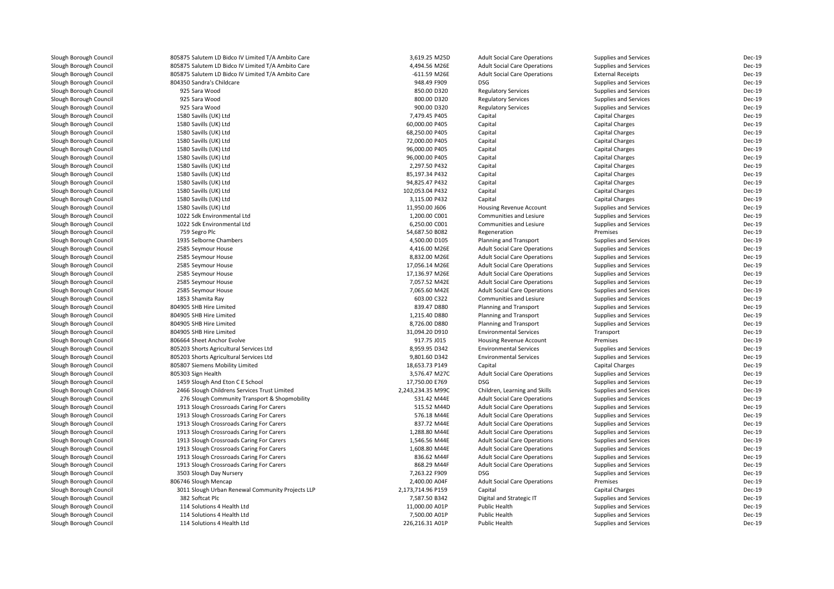| Slough Borough Council | 805875 Salutem LD Bidco IV Limited T/A Ambito Care | 3,619.25 M25D     | <b>Adult Social Care Operations</b> | Supplies and Services        | Dec-19        |
|------------------------|----------------------------------------------------|-------------------|-------------------------------------|------------------------------|---------------|
| Slough Borough Council | 805875 Salutem LD Bidco IV Limited T/A Ambito Care | 4,494.56 M26E     | <b>Adult Social Care Operations</b> | Supplies and Services        | Dec-19        |
| Slough Borough Council | 805875 Salutem LD Bidco IV Limited T/A Ambito Care | $-611.59$ M26E    | <b>Adult Social Care Operations</b> | <b>External Receipts</b>     | Dec-19        |
| Slough Borough Council | 804350 Sandra's Childcare                          | 948.49 F909       | <b>DSG</b>                          | Supplies and Services        | Dec-19        |
| Slough Borough Council | 925 Sara Wood                                      | 850.00 D320       | <b>Regulatory Services</b>          | Supplies and Services        | Dec-19        |
| Slough Borough Council | 925 Sara Wood                                      | 800.00 D320       | <b>Regulatory Services</b>          | Supplies and Services        | Dec-19        |
| Slough Borough Council | 925 Sara Wood                                      | 900.00 D320       | <b>Regulatory Services</b>          | Supplies and Services        | Dec-19        |
| Slough Borough Council | 1580 Savills (UK) Ltd                              | 7,479.45 P405     | Capital                             | <b>Capital Charges</b>       | Dec-19        |
| Slough Borough Council | 1580 Savills (UK) Ltd                              | 60,000.00 P405    | Capital                             | <b>Capital Charges</b>       | Dec-19        |
| Slough Borough Council | 1580 Savills (UK) Ltd                              | 68,250.00 P405    | Capital                             | <b>Capital Charges</b>       | Dec-19        |
| Slough Borough Council | 1580 Savills (UK) Ltd                              | 72,000.00 P405    | Capital                             | <b>Capital Charges</b>       | Dec-19        |
| Slough Borough Council | 1580 Savills (UK) Ltd                              | 96,000.00 P405    | Capital                             | <b>Capital Charges</b>       | Dec-19        |
| Slough Borough Council | 1580 Savills (UK) Ltd                              | 96,000.00 P405    | Capital                             | Capital Charges              | Dec-19        |
| Slough Borough Council | 1580 Savills (UK) Ltd                              | 2,297.50 P432     | Capital                             | <b>Capital Charges</b>       | Dec-19        |
| Slough Borough Council | 1580 Savills (UK) Ltd                              | 85,197.34 P432    | Capital                             | <b>Capital Charges</b>       | <b>Dec-19</b> |
| Slough Borough Council | 1580 Savills (UK) Ltd                              | 94,825.47 P432    | Capital                             | <b>Capital Charges</b>       | Dec-19        |
| Slough Borough Council | 1580 Savills (UK) Ltd                              | 102,053.04 P432   | Capital                             | <b>Capital Charges</b>       | Dec-19        |
| Slough Borough Council | 1580 Savills (UK) Ltd                              | 3,115.00 P432     | Capital                             | <b>Capital Charges</b>       | Dec-19        |
|                        |                                                    | 11,950.00 J606    |                                     |                              | Dec-19        |
| Slough Borough Council | 1580 Savills (UK) Ltd                              |                   | Housing Revenue Account             | Supplies and Services        | Dec-19        |
| Slough Borough Council | 1022 Sdk Environmental Ltd                         | 1,200.00 C001     | Communities and Lesiure             | <b>Supplies and Services</b> |               |
| Slough Borough Council | 1022 Sdk Environmental Ltd                         | 6,250.00 C001     | Communities and Lesiure             | Supplies and Services        | Dec-19        |
| Slough Borough Council | 759 Segro Plc                                      | 54,687.50 B082    | Regeneration                        | Premises                     | Dec-19        |
| Slough Borough Council | 1935 Selborne Chambers                             | 4,500.00 D105     | Planning and Transport              | Supplies and Services        | Dec-19        |
| Slough Borough Council | 2585 Seymour House                                 | 4,416.00 M26E     | <b>Adult Social Care Operations</b> | Supplies and Services        | Dec-19        |
| Slough Borough Council | 2585 Seymour House                                 | 8,832.00 M26E     | <b>Adult Social Care Operations</b> | Supplies and Services        | Dec-19        |
| Slough Borough Council | 2585 Seymour House                                 | 17,056.14 M26E    | <b>Adult Social Care Operations</b> | Supplies and Services        | Dec-19        |
| Slough Borough Council | 2585 Seymour House                                 | 17,136.97 M26E    | <b>Adult Social Care Operations</b> | Supplies and Services        | Dec-19        |
| Slough Borough Council | 2585 Seymour House                                 | 7,057.52 M42E     | <b>Adult Social Care Operations</b> | Supplies and Services        | Dec-19        |
| Slough Borough Council | 2585 Seymour House                                 | 7,065.60 M42E     | <b>Adult Social Care Operations</b> | Supplies and Services        | Dec-19        |
| Slough Borough Council | 1853 Shamita Ray                                   | 603.00 C322       | Communities and Lesiure             | Supplies and Services        | Dec-19        |
| Slough Borough Council | 804905 SHB Hire Limited                            | 839.47 D880       | Planning and Transport              | Supplies and Services        | Dec-19        |
| Slough Borough Council | 804905 SHB Hire Limited                            | 1,215.40 D880     | <b>Planning and Transport</b>       | Supplies and Services        | Dec-19        |
| Slough Borough Council | 804905 SHB Hire Limited                            | 8,726.00 D880     | Planning and Transport              | Supplies and Services        | Dec-19        |
| Slough Borough Council | 804905 SHB Hire Limited                            | 31,094.20 D910    | <b>Environmental Services</b>       | Transport                    | Dec-19        |
| Slough Borough Council | 806664 Sheet Anchor Evolve                         | 917.75 J015       | Housing Revenue Account             | Premises                     | <b>Dec-19</b> |
| Slough Borough Council | 805203 Shorts Agricultural Services Ltd            | 8,959.95 D342     | <b>Environmental Services</b>       | Supplies and Services        | Dec-19        |
| Slough Borough Council | 805203 Shorts Agricultural Services Ltd            | 9,801.60 D342     | <b>Environmental Services</b>       | Supplies and Services        | Dec-19        |
| Slough Borough Council | 805807 Siemens Mobility Limited                    | 18,653.73 P149    | Capital                             | <b>Capital Charges</b>       | Dec-19        |
| Slough Borough Council | 805303 Sign Health                                 | 3,576.47 M27C     | <b>Adult Social Care Operations</b> | Supplies and Services        | Dec-19        |
| Slough Borough Council | 1459 Slough And Eton C E School                    | 17,750.00 E769    | <b>DSG</b>                          | <b>Supplies and Services</b> | Dec-19        |
| Slough Borough Council | 2466 Slough Childrens Services Trust Limited       | 2,243,234.35 M99C | Children, Learning and Skills       | Supplies and Services        | Dec-19        |
| Slough Borough Council | 276 Slough Community Transport & Shopmobility      | 531.42 M44E       | <b>Adult Social Care Operations</b> | Supplies and Services        | Dec-19        |
| Slough Borough Council | 1913 Slough Crossroads Caring For Carers           | 515.52 M44D       | <b>Adult Social Care Operations</b> | Supplies and Services        | Dec-19        |
| Slough Borough Council | 1913 Slough Crossroads Caring For Carers           | 576.18 M44E       | <b>Adult Social Care Operations</b> | Supplies and Services        | Dec-19        |
| Slough Borough Council | 1913 Slough Crossroads Caring For Carers           | 837.72 M44E       | <b>Adult Social Care Operations</b> | Supplies and Services        | Dec-19        |
| Slough Borough Council | 1913 Slough Crossroads Caring For Carers           | 1,288.80 M44E     | <b>Adult Social Care Operations</b> | Supplies and Services        | Dec-19        |
| Slough Borough Council | 1913 Slough Crossroads Caring For Carers           | 1,546.56 M44E     | <b>Adult Social Care Operations</b> | Supplies and Services        | Dec-19        |
| Slough Borough Council | 1913 Slough Crossroads Caring For Carers           | 1,608.80 M44E     | <b>Adult Social Care Operations</b> | Supplies and Services        | Dec-19        |
| Slough Borough Council | 1913 Slough Crossroads Caring For Carers           | 836.62 M44F       | <b>Adult Social Care Operations</b> | Supplies and Services        | Dec-19        |
| Slough Borough Council | 1913 Slough Crossroads Caring For Carers           | 868.29 M44F       | <b>Adult Social Care Operations</b> | Supplies and Services        | Dec-19        |
| Slough Borough Council | 3503 Slough Day Nursery                            | 7,263.22 F909     | <b>DSG</b>                          | Supplies and Services        | Dec-19        |
| Slough Borough Council | 806746 Slough Mencap                               | 2,400.00 A04F     | <b>Adult Social Care Operations</b> | Premises                     | Dec-19        |
| Slough Borough Council | 3011 Slough Urban Renewal Community Projects LLP   | 2,173,714.96 P159 | Capital                             | Capital Charges              | Dec-19        |
| Slough Borough Council | 382 Softcat Plc                                    | 7,587.50 B342     | Digital and Strategic IT            | Supplies and Services        | Dec-19        |
| Slough Borough Council | 114 Solutions 4 Health Ltd                         | 11,000.00 A01P    | Public Health                       | Supplies and Services        | Dec-19        |
| Slough Borough Council | 114 Solutions 4 Health Ltd                         | 7,500.00 A01P     | Public Health                       | Supplies and Services        | Dec-19        |
| Slough Borough Council | 114 Solutions 4 Health Ltd                         | 226,216.31 A01P   | <b>Public Health</b>                | Supplies and Services        | Dec-19        |
|                        |                                                    |                   |                                     |                              |               |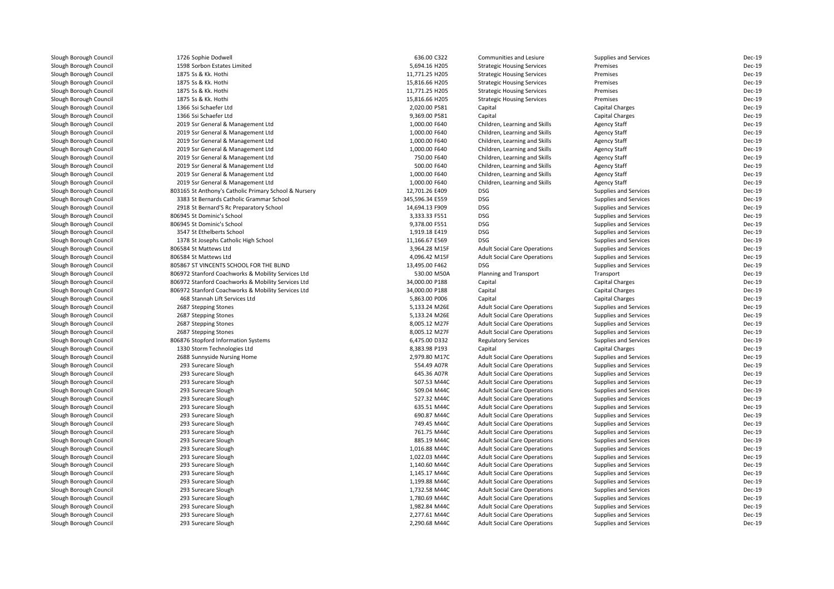| Slough Borough Council | 1726 Sophie Dodwell                                   | 636.00 C322     | Communities and Lesiure             | Supplies and Services        | Dec-19        |
|------------------------|-------------------------------------------------------|-----------------|-------------------------------------|------------------------------|---------------|
| Slough Borough Council | 1598 Sorbon Estates Limited                           | 5,694.16 H205   | <b>Strategic Housing Services</b>   | Premises                     | Dec-19        |
| Slough Borough Council | 1875 Ss & Kk. Hothi                                   | 11,771.25 H205  | <b>Strategic Housing Services</b>   | Premises                     | <b>Dec-19</b> |
| Slough Borough Council | 1875 Ss & Kk. Hothi                                   | 15,816.66 H205  | <b>Strategic Housing Services</b>   | Premises                     | Dec-19        |
| Slough Borough Council | 1875 Ss & Kk. Hothi                                   | 11,771.25 H205  | <b>Strategic Housing Services</b>   | Premises                     | Dec-19        |
| Slough Borough Council | 1875 Ss & Kk. Hothi                                   | 15,816.66 H205  | <b>Strategic Housing Services</b>   | Premises                     | Dec-19        |
| Slough Borough Council | 1366 Ssi Schaefer Ltd                                 | 2,020.00 P581   | Capital                             | <b>Capital Charges</b>       | Dec-19        |
| Slough Borough Council | 1366 Ssi Schaefer Ltd                                 | 9,369.00 P581   | Capital                             | Capital Charges              | <b>Dec-19</b> |
| Slough Borough Council | 2019 Ssr General & Management Ltd                     | 1,000.00 F640   | Children, Learning and Skills       | <b>Agency Staff</b>          | Dec-19        |
| Slough Borough Council | 2019 Ssr General & Management Ltd                     | 1,000.00 F640   | Children, Learning and Skills       | <b>Agency Staff</b>          | <b>Dec-19</b> |
| Slough Borough Council | 2019 Ssr General & Management Ltd                     | 1,000.00 F640   | Children, Learning and Skills       | <b>Agency Staff</b>          | <b>Dec-19</b> |
| Slough Borough Council | 2019 Ssr General & Management Ltd                     | 1,000.00 F640   | Children, Learning and Skills       | <b>Agency Staff</b>          | Dec-19        |
| Slough Borough Council | 2019 Ssr General & Management Ltd                     | 750.00 F640     | Children, Learning and Skills       | <b>Agency Staff</b>          | Dec-19        |
| Slough Borough Council | 2019 Ssr General & Management Ltd                     | 500.00 F640     | Children, Learning and Skills       | <b>Agency Staff</b>          | <b>Dec-19</b> |
| Slough Borough Council | 2019 Ssr General & Management Ltd                     | 1,000.00 F640   | Children, Learning and Skills       | <b>Agency Staff</b>          | <b>Dec-19</b> |
| Slough Borough Council | 2019 Ssr General & Management Ltd                     | 1,000.00 F640   | Children, Learning and Skills       | <b>Agency Staff</b>          | Dec-19        |
| Slough Borough Council | 803165 St Anthony's Catholic Primary School & Nursery | 12,701.26 E409  | <b>DSG</b>                          | Supplies and Services        | <b>Dec-19</b> |
| Slough Borough Council | 3383 St Bernards Catholic Grammar School              | 345,596.34 E559 | <b>DSG</b>                          | Supplies and Services        | <b>Dec-19</b> |
| Slough Borough Council | 2918 St Bernard'S Rc Preparatory School               | 14,694.13 F909  | <b>DSG</b>                          | Supplies and Services        | <b>Dec-19</b> |
| Slough Borough Council | 806945 St Dominic's School                            | 3,333.33 F551   | <b>DSG</b>                          | Supplies and Services        | Dec-19        |
| Slough Borough Council | 806945 St Dominic's School                            | 9,378.00 F551   | <b>DSG</b>                          | Supplies and Services        | Dec-19        |
| Slough Borough Council | 3547 St Ethelberts School                             | 1,919.18 E419   | <b>DSG</b>                          | Supplies and Services        | <b>Dec-19</b> |
| Slough Borough Council | 1378 St Josephs Catholic High School                  | 11,166.67 E569  | <b>DSG</b>                          | Supplies and Services        | Dec-19        |
| Slough Borough Council | 806584 St Mattews Ltd                                 | 3,964.28 M15F   | <b>Adult Social Care Operations</b> | Supplies and Services        | Dec-19        |
| Slough Borough Council | 806584 St Mattews Ltd                                 | 4,096.42 M15F   | <b>Adult Social Care Operations</b> | <b>Supplies and Services</b> | <b>Dec-19</b> |
|                        | 805867 ST VINCENTS SCHOOL FOR THE BLIND               | 13,495.00 F462  | <b>DSG</b>                          | Supplies and Services        | Dec-19        |
| Slough Borough Council |                                                       |                 |                                     |                              | <b>Dec-19</b> |
| Slough Borough Council | 806972 Stanford Coachworks & Mobility Services Ltd    | 530.00 M50A     | Planning and Transport              | Transport                    | <b>Dec-19</b> |
| Slough Borough Council | 806972 Stanford Coachworks & Mobility Services Ltd    | 34,000.00 P188  | Capital                             | Capital Charges              |               |
| Slough Borough Council | 806972 Stanford Coachworks & Mobility Services Ltd    | 34,000.00 P188  | Capital                             | <b>Capital Charges</b>       | Dec-19        |
| Slough Borough Council | 468 Stannah Lift Services Ltd                         | 5,863.00 P006   | Capital                             | Capital Charges              | Dec-19        |
| Slough Borough Council | 2687 Stepping Stones                                  | 5,133.24 M26E   | <b>Adult Social Care Operations</b> | Supplies and Services        | <b>Dec-19</b> |
| Slough Borough Council | 2687 Stepping Stones                                  | 5,133.24 M26E   | <b>Adult Social Care Operations</b> | Supplies and Services        | Dec-19        |
| Slough Borough Council | 2687 Stepping Stones                                  | 8,005.12 M27F   | <b>Adult Social Care Operations</b> | Supplies and Services        | Dec-19        |
| Slough Borough Council | 2687 Stepping Stones                                  | 8,005.12 M27F   | <b>Adult Social Care Operations</b> | Supplies and Services        | <b>Dec-19</b> |
| Slough Borough Council | 806876 Stopford Information Systems                   | 6,475.00 D332   | <b>Regulatory Services</b>          | Supplies and Services        | Dec-19        |
| Slough Borough Council | 1330 Storm Technologies Ltd                           | 8,383.98 P193   | Capital                             | <b>Capital Charges</b>       | Dec-19        |
| Slough Borough Council | 2688 Sunnyside Nursing Home                           | 2,979.80 M17C   | <b>Adult Social Care Operations</b> | Supplies and Services        | <b>Dec-19</b> |
| Slough Borough Council | 293 Surecare Slough                                   | 554.49 A07R     | <b>Adult Social Care Operations</b> | Supplies and Services        | <b>Dec-19</b> |
| Slough Borough Council | 293 Surecare Slough                                   | 645.36 A07R     | <b>Adult Social Care Operations</b> | Supplies and Services        | <b>Dec-19</b> |
| Slough Borough Council | 293 Surecare Slough                                   | 507.53 M44C     | <b>Adult Social Care Operations</b> | Supplies and Services        | Dec-19        |
| Slough Borough Council | 293 Surecare Slough                                   | 509.04 M44C     | <b>Adult Social Care Operations</b> | Supplies and Services        | Dec-19        |
| Slough Borough Council | 293 Surecare Slough                                   | 527.32 M44C     | <b>Adult Social Care Operations</b> | Supplies and Services        | Dec-19        |
| Slough Borough Council | 293 Surecare Slough                                   | 635.51 M44C     | <b>Adult Social Care Operations</b> | Supplies and Services        | Dec-19        |
| Slough Borough Council | 293 Surecare Slough                                   | 690.87 M44C     | <b>Adult Social Care Operations</b> | Supplies and Services        | Dec-19        |
| Slough Borough Council | 293 Surecare Slough                                   | 749.45 M44C     | <b>Adult Social Care Operations</b> | Supplies and Services        | Dec-19        |
| Slough Borough Council | 293 Surecare Slough                                   | 761.75 M44C     | <b>Adult Social Care Operations</b> | Supplies and Services        | Dec-19        |
| Slough Borough Council | 293 Surecare Slough                                   | 885.19 M44C     | <b>Adult Social Care Operations</b> | Supplies and Services        | <b>Dec-19</b> |
| Slough Borough Council | 293 Surecare Slough                                   | 1,016.88 M44C   | <b>Adult Social Care Operations</b> | Supplies and Services        | <b>Dec-19</b> |
| Slough Borough Council | 293 Surecare Slough                                   | 1,022.03 M44C   | <b>Adult Social Care Operations</b> | Supplies and Services        | <b>Dec-19</b> |
| Slough Borough Council | 293 Surecare Slough                                   | 1,140.60 M44C   | <b>Adult Social Care Operations</b> | Supplies and Services        | Dec-19        |
| Slough Borough Council | 293 Surecare Slough                                   | 1,145.17 M44C   | <b>Adult Social Care Operations</b> | Supplies and Services        | <b>Dec-19</b> |
| Slough Borough Council | 293 Surecare Slough                                   | 1,199.88 M44C   | <b>Adult Social Care Operations</b> | Supplies and Services        | <b>Dec-19</b> |
| Slough Borough Council | 293 Surecare Slough                                   | 1,732.58 M44C   | <b>Adult Social Care Operations</b> | Supplies and Services        | Dec-19        |
| Slough Borough Council | 293 Surecare Slough                                   | 1,780.69 M44C   | <b>Adult Social Care Operations</b> | Supplies and Services        | Dec-19        |
| Slough Borough Council | 293 Surecare Slough                                   | 1,982.84 M44C   | <b>Adult Social Care Operations</b> | Supplies and Services        | <b>Dec-19</b> |
| Slough Borough Council | 293 Surecare Slough                                   | 2,277.61 M44C   | <b>Adult Social Care Operations</b> | Supplies and Services        | <b>Dec-19</b> |
| Slough Borough Council | 293 Surecare Slough                                   | 2,290.68 M44C   | <b>Adult Social Care Operations</b> | Supplies and Services        | <b>Dec-19</b> |
|                        |                                                       |                 |                                     |                              |               |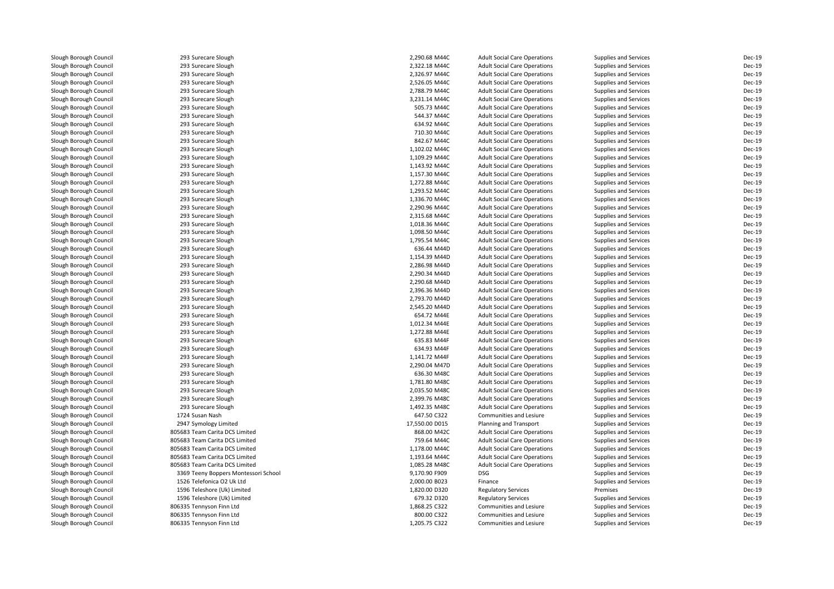Slough Borough Council 293 Surecare Slough<br>
Slough Borough Council 293 Surecare Slough Slough Borough Council 293 Surecare Slough<br>
293 Surecare Slough Council 293 Surecare Slough Slough Borough Council 293 Surecare Slough<br>
Slough Borough Council 293 Surecare Slough Slough Borough Council 293 Surecare Slough<br>
293 Surecare Slough Council 293 Surecare Slough Slough Borough Council 293 Surecare Slough<br>
293 Surecare Slough Council 293 Surecare Slough Slough Borough Council 293 Surecare Slough<br>
Slough Borough Council 293 Surecare Slough Slough Borough Council 293 Surecare Slough<br>
293 Surecare Slough Council 293 Surecare Slough Slough Borough Council 293 Surecare Slough<br>
Slough Borough Council 293 Surecare Slough Slough Borough Council 293 Surecare Slough<br>
293 Surecare Slough Council 293 Surecare Slough Slough Borough Council 293 Surecare Slough<br>
293 Surecare Slough Council 293 Surecare Slough Slough Borough Council 293 Surecare Slough<br>
Slough Borough Council 293 Surecare Slough Slough Borough Council **293 Surecare Slough Council** 293 Surecare Slough Slough Slough Borough Council 293 Surecare Slough<br>
Slough Borough Council 293 Surecare Slough Slough Borough Council 293 Surecare Slough<br>
293 Surecare Slough Council 293 Surecare Slough Slough Borough Council 293 Surecare Slough<br>
293 Surecare Slough Council 293 Surecare Slough Slough Borough Council **293 Surecare Slough Council** 293 Surecare Slough Slough Slough Borough Council **293 Surecare Slough Council** 293 Surecare Slough Slough Slough Borough Council 293 Surecare Slough<br>
Slough Borough Council 293 Surecare Slough Slough Borough Council 293 Surecare Slough<br>
Slough Borough Council 293 Surecare Slough Slough Borough Council **293 Surecare Slough Council** 2014 293 Surecare Slough Slough Borough Council **293 Surecare Slough Council** 293 Surecare Slough Slough Slough Borough Council 293 Surecare Slough<br>
293 Surecare Slough Council 293 Surecare Slough Slough Borough Council 293 Surecare Slough<br>
293 Surecare Slough Council 293 Surecare Slough Slough Borough Council **293 Surecare Slough Council** 2014 293 Surecare Slough Slough Borough Council **293 Surecare Slough Council** 2014 293 Surecare Slough Slough Borough Council 293 Surecare Slough<br>
Slough Borough Council 293 Surecare Slough Slough Borough Council 293 Surecare Slough<br>
293 Surecare Slough Council 293 Surecare Slough Slough Borough Council 293 Surecare Slough<br>
Slough Borough Council 293 Surecare Slough Slough Borough Council **293 Surecare Slough Council** 293 Surecare Slough Slough Borough Council 293 Surecare Slough<br>
293 Surecare Slough Council 293 Surecare Slough Slough Borough Council 293 Surecare Slough<br>
Slough Borough Council 293 Surecare Slough Slough Borough Council 293 Surecare Slough<br>
293 Surecare Slough Council 293 Surecare Slough Slough Borough Council 293 Surecare Slough<br>
Slough Borough Council 293 Surecare Slough Slough Borough Council 293 Surecare Slough<br>
293 Surecare Slough Council 293 Surecare Slough Slough Borough Council 293 Surecare Slough<br>
Slough Borough Council 293 Surecare Slough Slough Borough Council 293 Surecare Slough<br>
Slough Borough Council 293 Surecare Slough Slough Borough Council 293 Surecare Slough<br>
293 Surecare Slough Council 293 Surecare Slough Slough Borough Council 293 Surecare Slough<br>
293 Surecare Slough Council 293 Surecare Slough Slough Borough Council 293 Surecare Slough<br>
293 Surecare Slough Council 293 Surecare Slough Slough Borough Council 293 Surecare Slough<br>
Slough Borough Council 293 Surecare Slough Slough Borough Council 293 Surecare Slough<br>
293 Surecare Slough Council 293 Surecare Slough Slough Borough Council 293 Surecare Slough<br>
293 Surecare Slough Council 293 Surecare Slough Slough Borough Council 293 Surecare Sloven Borough Council 2012 203 Surecare Slo<br>2021 2724 Susan Nash Slough Borough Council<br>Slough Borough Council Slough Borough Council 2947 Symology Limited<br>205683 Team Carita DCS L 2005683 Team Carita DCS L Slough Borough Council **805683 Team Carita DCS Limited**<br>Slough Borough Council **805683 Team Carita DCS Limited** Slough Borough Council **805683 Team Carita DCS Limited**<br>805683 Team Carita DCS Limited Slough Borough Council **805683 Team Carita DCS Limited**<br>805683 Team Carita DCS Limited Slough Borough Council **805683 Team Carita DCS Limited**<br>805683 Team Carita DCS Limited Slough Borough Council <sup>805683</sup> Team Carita DCS LimitedSlough Borough Council<br>Slough Borough Council Slough Borough Council 1596 Teleshore (Uk) Limited<br>1596 Teleshore (Uk) Limited Slough Borough Council 1596 Teleshore (Uk) Limited<br>1596 Teleshore (Uk) Limited<br>169335 Tennyson Finn Ltd Slough Borough Council <sup>806335</sup> Tennyson Finn LtdSlough Borough Council <sup>806335</sup> Tennyson Finn Ltd

3369 Teeny Boppers Montessori School<br>1526 Telefonica O2 Uk Ltd 806335 Tennyson Finn Ltd

| ilough                              | 2,290.68 M44C  | <b>Adult Social Care Operations</b> | <b>Supplies and Services</b> | Dec-19        |
|-------------------------------------|----------------|-------------------------------------|------------------------------|---------------|
| ilough                              | 2,322.18 M44C  | <b>Adult Social Care Operations</b> | Supplies and Services        | <b>Dec-19</b> |
| ilough                              | 2,326.97 M44C  | <b>Adult Social Care Operations</b> | Supplies and Services        | Dec-19        |
| ilough                              | 2,526.05 M44C  | <b>Adult Social Care Operations</b> | Supplies and Services        | <b>Dec-19</b> |
| ilough                              | 2,788.79 M44C  | <b>Adult Social Care Operations</b> | Supplies and Services        | Dec-19        |
| ilough                              | 3,231.14 M44C  | <b>Adult Social Care Operations</b> | Supplies and Services        | <b>Dec-19</b> |
| ilough                              | 505.73 M44C    | <b>Adult Social Care Operations</b> | Supplies and Services        | Dec-19        |
| ilough                              | 544.37 M44C    | <b>Adult Social Care Operations</b> | Supplies and Services        | Dec-19        |
| ilough                              | 634.92 M44C    | <b>Adult Social Care Operations</b> | <b>Supplies and Services</b> | Dec-19        |
| ilough                              | 710.30 M44C    | <b>Adult Social Care Operations</b> | Supplies and Services        | <b>Dec-19</b> |
| ilough                              | 842.67 M44C    | <b>Adult Social Care Operations</b> | Supplies and Services        | Dec-19        |
|                                     | 1.102.02 M44C  | <b>Adult Social Care Operations</b> | Supplies and Services        | <b>Dec-19</b> |
| ilough                              |                |                                     |                              | Dec-19        |
| ilough                              | 1,109.29 M44C  | <b>Adult Social Care Operations</b> | Supplies and Services        |               |
| ilough                              | 1,143.92 M44C  | <b>Adult Social Care Operations</b> | Supplies and Services        | <b>Dec-19</b> |
| ilough                              | 1,157.30 M44C  | <b>Adult Social Care Operations</b> | Supplies and Services        | Dec-19        |
| ilough                              | 1,272.88 M44C  | <b>Adult Social Care Operations</b> | Supplies and Services        | Dec-19        |
| ilough                              | 1,293.52 M44C  | <b>Adult Social Care Operations</b> | <b>Supplies and Services</b> | Dec-19        |
| ilough                              | 1,336.70 M44C  | <b>Adult Social Care Operations</b> | Supplies and Services        | <b>Dec-19</b> |
| ilough                              | 2,290.96 M44C  | <b>Adult Social Care Operations</b> | Supplies and Services        | Dec-19        |
| ilough                              | 2,315.68 M44C  | <b>Adult Social Care Operations</b> | Supplies and Services        | $Dec-19$      |
| ilough                              | 1,018.36 M44C  | <b>Adult Social Care Operations</b> | Supplies and Services        | Dec-19        |
| ilough                              | 1,098.50 M44C  | <b>Adult Social Care Operations</b> | Supplies and Services        | <b>Dec-19</b> |
| ilough                              | 1,795.54 M44C  | <b>Adult Social Care Operations</b> | Supplies and Services        | Dec-19        |
| ilough                              | 636.44 M44D    | <b>Adult Social Care Operations</b> | Supplies and Services        | $Dec-19$      |
| ilough                              | 1,154.39 M44D  | <b>Adult Social Care Operations</b> | Supplies and Services        | Dec-19        |
| ilough                              | 2,286.98 M44D  | <b>Adult Social Care Operations</b> | <b>Supplies and Services</b> | Dec-19        |
| ilough                              | 2,290.34 M44D  | <b>Adult Social Care Operations</b> | Supplies and Services        | Dec-19        |
| ilough                              | 2,290.68 M44D  | <b>Adult Social Care Operations</b> | <b>Supplies and Services</b> | <b>Dec-19</b> |
| ilough                              | 2,396.36 M44D  | <b>Adult Social Care Operations</b> | Supplies and Services        | Dec-19        |
| ilough                              | 2,793.70 M44D  | <b>Adult Social Care Operations</b> | Supplies and Services        | Dec-19        |
| ilough                              | 2,545.20 M44D  | <b>Adult Social Care Operations</b> | Supplies and Services        | Dec-19        |
|                                     | 654.72 M44E    | <b>Adult Social Care Operations</b> | Supplies and Services        | <b>Dec-19</b> |
| ilough                              |                |                                     |                              | Dec-19        |
| ilough                              | 1,012.34 M44E  | <b>Adult Social Care Operations</b> | Supplies and Services        |               |
| ilough                              | 1,272.88 M44E  | <b>Adult Social Care Operations</b> | Supplies and Services        | Dec-19        |
| ilough                              | 635.83 M44F    | <b>Adult Social Care Operations</b> | Supplies and Services        | Dec-19        |
| ilough                              | 634.93 M44F    | <b>Adult Social Care Operations</b> | <b>Supplies and Services</b> | Dec-19        |
| ilough                              | 1,141.72 M44F  | <b>Adult Social Care Operations</b> | Supplies and Services        | Dec-19        |
| ilough                              | 2,290.04 M47D  | <b>Adult Social Care Operations</b> | <b>Supplies and Services</b> | <b>Dec-19</b> |
| ilough                              | 636.30 M48C    | <b>Adult Social Care Operations</b> | Supplies and Services        | Dec-19        |
| ilough                              | 1,781.80 M48C  | <b>Adult Social Care Operations</b> | <b>Supplies and Services</b> | <b>Dec-19</b> |
| ilough                              | 2,035.50 M48C  | <b>Adult Social Care Operations</b> | Supplies and Services        | Dec-19        |
| ilough                              | 2,399.76 M48C  | <b>Adult Social Care Operations</b> | <b>Supplies and Services</b> | Dec-19        |
| ilough                              | 1,492.35 M48C  | <b>Adult Social Care Operations</b> | Supplies and Services        | Dec-19        |
|                                     | 647.50 C322    | Communities and Lesiure             | Supplies and Services        | <b>Dec-19</b> |
| Limited                             | 17,550.00 D015 | Planning and Transport              | Supplies and Services        | Dec-19        |
| ta DCS Limited                      | 868.00 M42C    | <b>Adult Social Care Operations</b> | Supplies and Services        | Dec-19        |
| ta DCS Limited                      | 759.64 M44C    | <b>Adult Social Care Operations</b> | Supplies and Services        | Dec-19        |
| ta DCS Limited                      | 1,178.00 M44C  | <b>Adult Social Care Operations</b> | <b>Supplies and Services</b> | Dec-19        |
| ta DCS Limited                      | 1,193.64 M44C  | <b>Adult Social Care Operations</b> | Supplies and Services        | Dec-19        |
| ta DCS Limited                      | 1,085.28 M48C  | <b>Adult Social Care Operations</b> | <b>Supplies and Services</b> | <b>Dec-19</b> |
|                                     | 9,170.90 F909  | <b>DSG</b>                          |                              | Dec-19        |
| pers Montessori School<br>O2 Uk Ltd | 2,000.00 B023  |                                     | Supplies and Services        | Dec-19        |
|                                     |                | Finance                             | <b>Supplies and Services</b> |               |
| (Uk) Limited                        | 1,820.00 D320  | <b>Regulatory Services</b>          | Premises                     | <b>Dec-19</b> |
| (Uk) Limited                        | 679.32 D320    | <b>Regulatory Services</b>          | Supplies and Services        | <b>Dec-19</b> |
| Finn Ltd                            | 1,868.25 C322  | Communities and Lesiure             | Supplies and Services        | Dec-19        |
| Finn Ltd                            | 800.00 C322    | <b>Communities and Lesiure</b>      | <b>Supplies and Services</b> | <b>Dec-19</b> |
| Finn Ltd                            | 1,205.75 C322  | Communities and Lesiure             | <b>Supplies and Services</b> | Dec-19        |
|                                     |                |                                     |                              |               |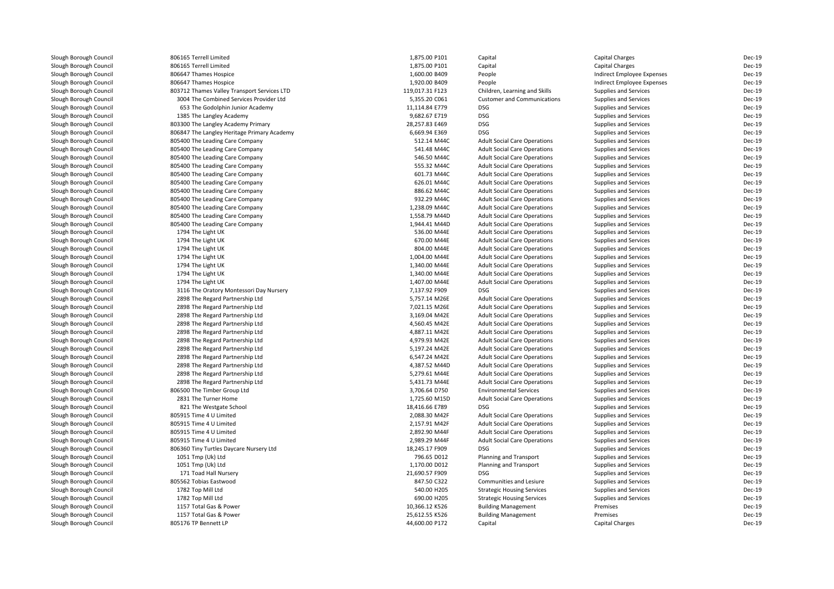| Slough Borough Council | 806165 Terrell Limited                      | 1,875.00 P101   | Capital                             | Capital Charges            | Dec-19        |
|------------------------|---------------------------------------------|-----------------|-------------------------------------|----------------------------|---------------|
| Slough Borough Council | 806165 Terrell Limited                      | 1,875.00 P101   | Capital                             | <b>Capital Charges</b>     | Dec-19        |
| Slough Borough Council | 806647 Thames Hospice                       | 1,600.00 B409   | People                              | Indirect Employee Expenses | Dec-19        |
| Slough Borough Council | 806647 Thames Hospice                       | 1,920.00 B409   | People                              | Indirect Employee Expenses | Dec-19        |
| Slough Borough Council | 803712 Thames Valley Transport Services LTD | 119,017.31 F123 | Children, Learning and Skills       | Supplies and Services      | Dec-19        |
| Slough Borough Council | 3004 The Combined Services Provider Ltd     | 5,355.20 C061   | <b>Customer and Communications</b>  | Supplies and Services      | Dec-19        |
| Slough Borough Council | 653 The Godolphin Junior Academy            | 11,114.84 E779  | <b>DSG</b>                          | Supplies and Services      | Dec-19        |
| Slough Borough Council | 1385 The Langley Academy                    | 9,682.67 E719   | <b>DSG</b>                          | Supplies and Services      | Dec-19        |
| Slough Borough Council | 803300 The Langley Academy Primary          | 28,257.83 E469  | <b>DSG</b>                          | Supplies and Services      | Dec-19        |
| Slough Borough Council | 806847 The Langley Heritage Primary Academy | 6,669.94 E369   | <b>DSG</b>                          | Supplies and Services      | Dec-19        |
| Slough Borough Council | 805400 The Leading Care Company             | 512.14 M44C     | <b>Adult Social Care Operations</b> | Supplies and Services      | Dec-19        |
| Slough Borough Council | 805400 The Leading Care Company             | 541.48 M44C     | <b>Adult Social Care Operations</b> | Supplies and Services      | Dec-19        |
| Slough Borough Council | 805400 The Leading Care Company             | 546.50 M44C     | <b>Adult Social Care Operations</b> | Supplies and Services      | <b>Dec-19</b> |
| Slough Borough Council | 805400 The Leading Care Company             | 555.32 M44C     | <b>Adult Social Care Operations</b> | Supplies and Services      | Dec-19        |
| Slough Borough Council | 805400 The Leading Care Company             | 601.73 M44C     | <b>Adult Social Care Operations</b> | Supplies and Services      | Dec-19        |
| Slough Borough Council | 805400 The Leading Care Company             | 626.01 M44C     | <b>Adult Social Care Operations</b> | Supplies and Services      | Dec-19        |
| Slough Borough Council | 805400 The Leading Care Company             | 886.62 M44C     | <b>Adult Social Care Operations</b> | Supplies and Services      | Dec-19        |
| Slough Borough Council | 805400 The Leading Care Company             | 932.29 M44C     | <b>Adult Social Care Operations</b> | Supplies and Services      | Dec-19        |
| Slough Borough Council | 805400 The Leading Care Company             | 1,238.09 M44C   | <b>Adult Social Care Operations</b> | Supplies and Services      | Dec-19        |
| Slough Borough Council | 805400 The Leading Care Company             | 1,558.79 M44D   | <b>Adult Social Care Operations</b> | Supplies and Services      | Dec-19        |
| Slough Borough Council | 805400 The Leading Care Company             | 1,944.41 M44D   | <b>Adult Social Care Operations</b> | Supplies and Services      | Dec-19        |
| Slough Borough Council | 1794 The Light UK                           | 536.00 M44E     | <b>Adult Social Care Operations</b> | Supplies and Services      | Dec-19        |
| Slough Borough Council | 1794 The Light UK                           | 670.00 M44E     | <b>Adult Social Care Operations</b> | Supplies and Services      | Dec-19        |
| Slough Borough Council | 1794 The Light UK                           | 804.00 M44E     | <b>Adult Social Care Operations</b> | Supplies and Services      | Dec-19        |
| Slough Borough Council | 1794 The Light UK                           | 1,004.00 M44E   | <b>Adult Social Care Operations</b> | Supplies and Services      | Dec-19        |
| Slough Borough Council | 1794 The Light UK                           | 1,340.00 M44E   | <b>Adult Social Care Operations</b> | Supplies and Services      | Dec-19        |
| Slough Borough Council | 1794 The Light UK                           | 1,340.00 M44E   | <b>Adult Social Care Operations</b> | Supplies and Services      | Dec-19        |
| Slough Borough Council | 1794 The Light UK                           | 1,407.00 M44E   | <b>Adult Social Care Operations</b> | Supplies and Services      | Dec-19        |
| Slough Borough Council | 3116 The Oratory Montessori Day Nursery     | 7,137.92 F909   | <b>DSG</b>                          | Supplies and Services      | Dec-19        |
| Slough Borough Council | 2898 The Regard Partnership Ltd             | 5,757.14 M26E   | <b>Adult Social Care Operations</b> | Supplies and Services      | Dec-19        |
| Slough Borough Council | 2898 The Regard Partnership Ltd             | 7,021.15 M26E   | <b>Adult Social Care Operations</b> | Supplies and Services      | Dec-19        |
| Slough Borough Council | 2898 The Regard Partnership Ltd             | 3,169.04 M42E   | <b>Adult Social Care Operations</b> | Supplies and Services      | Dec-19        |
| Slough Borough Council | 2898 The Regard Partnership Ltd             | 4,560.45 M42E   | <b>Adult Social Care Operations</b> | Supplies and Services      | Dec-19        |
| Slough Borough Council | 2898 The Regard Partnership Ltd             | 4,887.11 M42E   | <b>Adult Social Care Operations</b> | Supplies and Services      | Dec-19        |
| Slough Borough Council | 2898 The Regard Partnership Ltd             | 4,979.93 M42E   | <b>Adult Social Care Operations</b> | Supplies and Services      | Dec-19        |
| Slough Borough Council | 2898 The Regard Partnership Ltd             | 5,197.24 M42E   | <b>Adult Social Care Operations</b> | Supplies and Services      | Dec-19        |
| Slough Borough Council | 2898 The Regard Partnership Ltd             | 6,547.24 M42E   | <b>Adult Social Care Operations</b> | Supplies and Services      | Dec-19        |
| Slough Borough Council | 2898 The Regard Partnership Ltd             | 4,387.52 M44D   | <b>Adult Social Care Operations</b> | Supplies and Services      | Dec-19        |
| Slough Borough Council | 2898 The Regard Partnership Ltd             | 5,279.61 M44E   | <b>Adult Social Care Operations</b> | Supplies and Services      | Dec-19        |
| Slough Borough Council | 2898 The Regard Partnership Ltd             | 5,431.73 M44E   | <b>Adult Social Care Operations</b> | Supplies and Services      | Dec-19        |
| Slough Borough Council | 806500 The Timber Group Ltd                 | 3,706.64 D750   | <b>Environmental Services</b>       | Supplies and Services      | Dec-19        |
| Slough Borough Council | 2831 The Turner Home                        | 1,725.60 M15D   | <b>Adult Social Care Operations</b> | Supplies and Services      | Dec-19        |
| Slough Borough Council | 821 The Westgate School                     | 18,416.66 E789  | <b>DSG</b>                          | Supplies and Services      | Dec-19        |
| Slough Borough Council | 805915 Time 4 U Limited                     | 2,088.30 M42F   | <b>Adult Social Care Operations</b> | Supplies and Services      | Dec-19        |
| Slough Borough Council | 805915 Time 4 U Limited                     | 2,157.91 M42F   | <b>Adult Social Care Operations</b> | Supplies and Services      | Dec-19        |
| Slough Borough Council | 805915 Time 4 U Limited                     | 2,892.90 M44F   | <b>Adult Social Care Operations</b> | Supplies and Services      | Dec-19        |
| Slough Borough Council | 805915 Time 4 U Limited                     | 2,989.29 M44F   | <b>Adult Social Care Operations</b> | Supplies and Services      | Dec-19        |
| Slough Borough Council | 806360 Tiny Turtles Daycare Nursery Ltd     | 18,245.17 F909  | <b>DSG</b>                          | Supplies and Services      | Dec-19        |
| Slough Borough Council | 1051 Tmp (Uk) Ltd                           | 796.65 D012     | Planning and Transport              | Supplies and Services      | Dec-19        |
| Slough Borough Council | 1051 Tmp (Uk) Ltd                           | 1,170.00 D012   | Planning and Transport              | Supplies and Services      | Dec-19        |
| Slough Borough Council | 171 Toad Hall Nursery                       | 21,690.57 F909  | <b>DSG</b>                          | Supplies and Services      | Dec-19        |
| Slough Borough Council | 805562 Tobias Eastwood                      | 847.50 C322     | Communities and Lesiure             | Supplies and Services      | Dec-19        |
| Slough Borough Council | 1782 Top Mill Ltd                           | 540.00 H205     | <b>Strategic Housing Services</b>   | Supplies and Services      | Dec-19        |
| Slough Borough Council | 1782 Top Mill Ltd                           | 690.00 H205     | <b>Strategic Housing Services</b>   | Supplies and Services      | Dec-19        |
| Slough Borough Council | 1157 Total Gas & Power                      | 10,366.12 K526  | <b>Building Management</b>          | Premises                   | Dec-19        |
| Slough Borough Council | 1157 Total Gas & Power                      | 25,612.55 K526  | <b>Building Management</b>          | Premises                   | Dec-19        |
| Slough Borough Council | 805176 TP Bennett LP                        | 44,600.00 P172  | Capital                             | Capital Charges            | Dec-19        |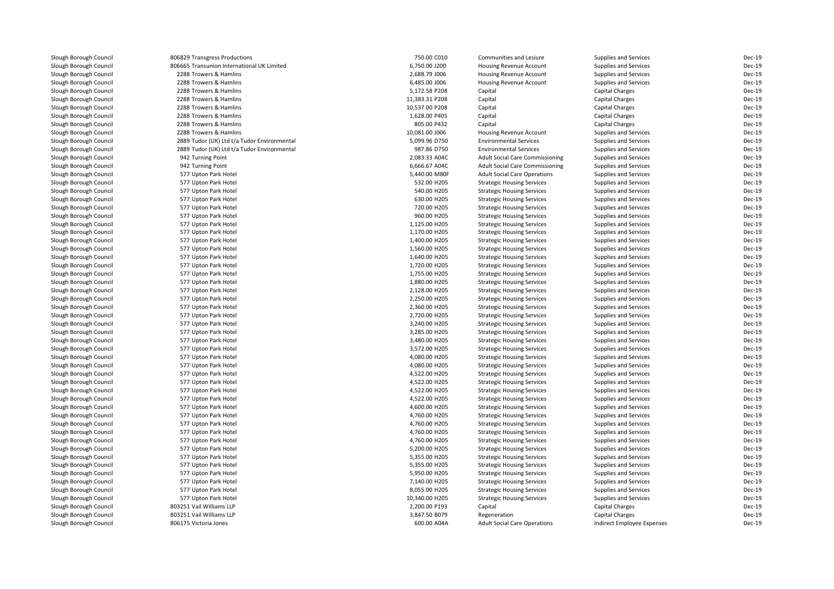| Slough Borough Council | 806829 Transgress Productions               | 750.00 C010    | Communities and Lesiure                | Supplies and Services      | Dec-19        |
|------------------------|---------------------------------------------|----------------|----------------------------------------|----------------------------|---------------|
| Slough Borough Council | 806665 Transunion International UK Limited  | 6,750.00 J200  | Housing Revenue Account                | Supplies and Services      | Dec-19        |
| Slough Borough Council | 2288 Trowers & Hamlins                      | 2,688.79 J006  | Housing Revenue Account                | Supplies and Services      | Dec-19        |
| Slough Borough Council | 2288 Trowers & Hamlins                      | 6,485.00 J006  | <b>Housing Revenue Account</b>         | Supplies and Services      | Dec-19        |
| Slough Borough Council | 2288 Trowers & Hamlins                      | 5,172.58 P208  | Capital                                | <b>Capital Charges</b>     | Dec-19        |
| Slough Borough Council | 2288 Trowers & Hamlins                      | 11,383.31 P208 | Capital                                | <b>Capital Charges</b>     | Dec-19        |
| Slough Borough Council | 2288 Trowers & Hamlins                      | 10,537.00 P208 | Capital                                | Capital Charges            | Dec-19        |
| Slough Borough Council | 2288 Trowers & Hamlins                      | 1,628.00 P405  | Capital                                | <b>Capital Charges</b>     | Dec-19        |
| Slough Borough Council | 2288 Trowers & Hamlins                      | 805.00 P432    | Capital                                | <b>Capital Charges</b>     | Dec-19        |
| Slough Borough Council | 2288 Trowers & Hamlins                      | 10,081.00 J006 | Housing Revenue Account                | Supplies and Services      | Dec-19        |
| Slough Borough Council | 2889 Tudor (UK) Ltd t/a Tudor Environmental | 5,099.96 D750  | <b>Environmental Services</b>          | Supplies and Services      | Dec-19        |
| Slough Borough Council | 2889 Tudor (UK) Ltd t/a Tudor Environmental | 987.86 D750    | <b>Environmental Services</b>          | Supplies and Services      | Dec-19        |
| Slough Borough Council | 942 Turning Point                           | 2,083.33 A04C  | <b>Adult Social Care Commissioning</b> | Supplies and Services      | Dec-19        |
| Slough Borough Council | 942 Turning Point                           | 6,666.67 A04C  | <b>Adult Social Care Commissioning</b> | Supplies and Services      | <b>Dec-19</b> |
| Slough Borough Council | 577 Upton Park Hotel                        | 5,440.00 M80F  | <b>Adult Social Care Operations</b>    | Supplies and Services      | Dec-19        |
| Slough Borough Council | 577 Upton Park Hotel                        | 532.00 H205    | <b>Strategic Housing Services</b>      | Supplies and Services      | Dec-19        |
| Slough Borough Council | 577 Upton Park Hotel                        | 540.00 H205    | <b>Strategic Housing Services</b>      | Supplies and Services      | Dec-19        |
| Slough Borough Council | 577 Upton Park Hotel                        | 630.00 H205    | <b>Strategic Housing Services</b>      | Supplies and Services      | Dec-19        |
| Slough Borough Council | 577 Upton Park Hotel                        | 720.00 H205    | <b>Strategic Housing Services</b>      | Supplies and Services      | Dec-19        |
| Slough Borough Council | 577 Upton Park Hotel                        | 960.00 H205    | <b>Strategic Housing Services</b>      | Supplies and Services      | Dec-19        |
| Slough Borough Council | 577 Upton Park Hotel                        | 1,125.00 H205  | <b>Strategic Housing Services</b>      | Supplies and Services      | Dec-19        |
| Slough Borough Council | 577 Upton Park Hotel                        | 1,170.00 H205  | <b>Strategic Housing Services</b>      | Supplies and Services      | Dec-19        |
| Slough Borough Council | 577 Upton Park Hotel                        | 1,400.00 H205  | <b>Strategic Housing Services</b>      | Supplies and Services      | Dec-19        |
| Slough Borough Council |                                             | 1,560.00 H205  |                                        |                            | Dec-19        |
|                        | 577 Upton Park Hotel                        | 1,640.00 H205  | <b>Strategic Housing Services</b>      | Supplies and Services      | Dec-19        |
| Slough Borough Council | 577 Upton Park Hotel                        |                | <b>Strategic Housing Services</b>      | Supplies and Services      | Dec-19        |
| Slough Borough Council | 577 Upton Park Hotel                        | 1,720.00 H205  | <b>Strategic Housing Services</b>      | Supplies and Services      |               |
| Slough Borough Council | 577 Upton Park Hotel                        | 1,755.00 H205  | <b>Strategic Housing Services</b>      | Supplies and Services      | Dec-19        |
| Slough Borough Council | 577 Upton Park Hotel                        | 1,880.00 H205  | <b>Strategic Housing Services</b>      | Supplies and Services      | Dec-19        |
| Slough Borough Council | 577 Upton Park Hotel                        | 2,128.00 H205  | <b>Strategic Housing Services</b>      | Supplies and Services      | Dec-19        |
| Slough Borough Council | 577 Upton Park Hotel                        | 2,250.00 H205  | <b>Strategic Housing Services</b>      | Supplies and Services      | Dec-19        |
| Slough Borough Council | 577 Upton Park Hotel                        | 2,360.00 H205  | <b>Strategic Housing Services</b>      | Supplies and Services      | Dec-19        |
| Slough Borough Council | 577 Upton Park Hotel                        | 2,720.00 H205  | <b>Strategic Housing Services</b>      | Supplies and Services      | Dec-19        |
| Slough Borough Council | 577 Upton Park Hotel                        | 3,240.00 H205  | <b>Strategic Housing Services</b>      | Supplies and Services      | Dec-19        |
| Slough Borough Council | 577 Upton Park Hotel                        | 3,285.00 H205  | <b>Strategic Housing Services</b>      | Supplies and Services      | <b>Dec-19</b> |
| Slough Borough Council | 577 Upton Park Hotel                        | 3,480.00 H205  | <b>Strategic Housing Services</b>      | Supplies and Services      | Dec-19        |
| Slough Borough Council | 577 Upton Park Hotel                        | 3,572.00 H205  | <b>Strategic Housing Services</b>      | Supplies and Services      | Dec-19        |
| Slough Borough Council | 577 Upton Park Hotel                        | 4,080.00 H205  | <b>Strategic Housing Services</b>      | Supplies and Services      | Dec-19        |
| Slough Borough Council | 577 Upton Park Hotel                        | 4,080.00 H205  | <b>Strategic Housing Services</b>      | Supplies and Services      | Dec-19        |
| Slough Borough Council | 577 Upton Park Hotel                        | 4,522.00 H205  | <b>Strategic Housing Services</b>      | Supplies and Services      | Dec-19        |
| Slough Borough Council | 577 Upton Park Hotel                        | 4,522.00 H205  | <b>Strategic Housing Services</b>      | Supplies and Services      | Dec-19        |
| Slough Borough Council | 577 Upton Park Hotel                        | 4,522.00 H205  | <b>Strategic Housing Services</b>      | Supplies and Services      | <b>Dec-19</b> |
| Slough Borough Council | 577 Upton Park Hotel                        | 4,522.00 H205  | <b>Strategic Housing Services</b>      | Supplies and Services      | Dec-19        |
| Slough Borough Council | 577 Upton Park Hotel                        | 4,600.00 H205  | <b>Strategic Housing Services</b>      | Supplies and Services      | Dec-19        |
| Slough Borough Council | 577 Upton Park Hotel                        | 4,760.00 H205  | <b>Strategic Housing Services</b>      | Supplies and Services      | Dec-19        |
| Slough Borough Council | 577 Upton Park Hotel                        | 4,760.00 H205  | <b>Strategic Housing Services</b>      | Supplies and Services      | Dec-19        |
| Slough Borough Council | 577 Upton Park Hotel                        | 4,760.00 H205  | <b>Strategic Housing Services</b>      | Supplies and Services      | Dec-19        |
| Slough Borough Council | 577 Upton Park Hotel                        | 4,760.00 H205  | <b>Strategic Housing Services</b>      | Supplies and Services      | Dec-19        |
| Slough Borough Council | 577 Upton Park Hotel                        | 5,200.00 H205  | <b>Strategic Housing Services</b>      | Supplies and Services      | Dec-19        |
| Slough Borough Council | 577 Upton Park Hotel                        | 5,355.00 H205  | <b>Strategic Housing Services</b>      | Supplies and Services      | Dec-19        |
| Slough Borough Council | 577 Upton Park Hotel                        | 5,355.00 H205  | <b>Strategic Housing Services</b>      | Supplies and Services      | Dec-19        |
| Slough Borough Council | 577 Upton Park Hotel                        | 5,950.00 H205  | <b>Strategic Housing Services</b>      | Supplies and Services      | Dec-19        |
| Slough Borough Council | 577 Upton Park Hotel                        | 7,140.00 H205  | <b>Strategic Housing Services</b>      | Supplies and Services      | Dec-19        |
| Slough Borough Council | 577 Upton Park Hotel                        | 8,055.00 H205  | <b>Strategic Housing Services</b>      | Supplies and Services      | Dec-19        |
| Slough Borough Council | 577 Upton Park Hotel                        | 10,340.00 H205 | <b>Strategic Housing Services</b>      | Supplies and Services      | Dec-19        |
| Slough Borough Council | 803251 Vail Williams LLP                    | 2,200.00 P193  | Capital                                | <b>Capital Charges</b>     | Dec-19        |
| Slough Borough Council | 803251 Vail Williams LLP                    | 3,847.50 B079  | Regeneration                           | Capital Charges            | Dec-19        |
| Slough Borough Council | 806175 Victoria Jones                       | 600.00 A04A    | <b>Adult Social Care Operations</b>    | Indirect Employee Expenses | Dec-19        |
|                        |                                             |                |                                        |                            |               |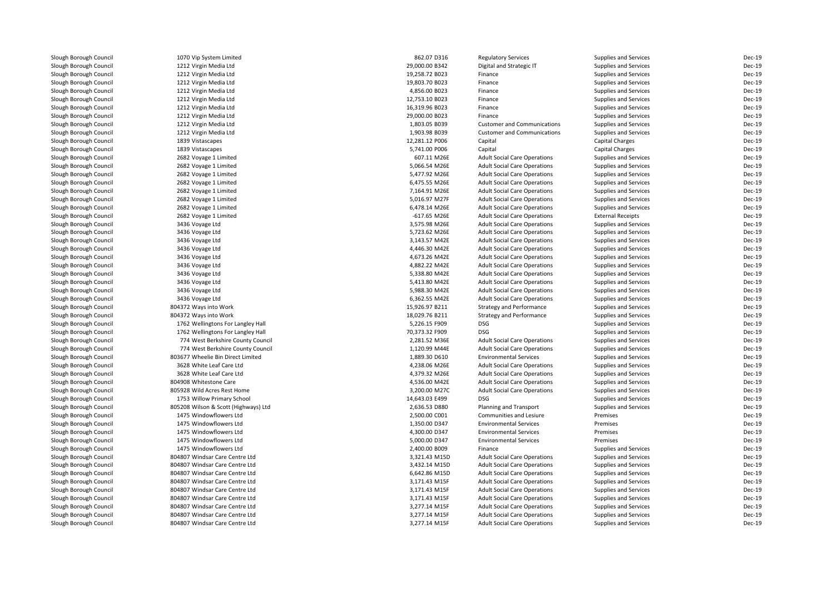| Slough Borough Council                           | 1070 Vip System Limited              | 862.07 D316                    | <b>Regulatory Services</b>          | Supplies and Services    | Dec-19 |
|--------------------------------------------------|--------------------------------------|--------------------------------|-------------------------------------|--------------------------|--------|
| Slough Borough Council                           | 1212 Virgin Media Ltd                | 29,000.00 B342                 | Digital and Strategic IT            | Supplies and Services    | Dec-19 |
| Slough Borough Council                           | 1212 Virgin Media Ltd                | 19,258.72 B023                 | Finance                             | Supplies and Services    | Dec-19 |
| Slough Borough Council                           | 1212 Virgin Media Ltd                | 19,803.70 B023                 | Finance                             | Supplies and Services    | Dec-19 |
| Slough Borough Council                           | 1212 Virgin Media Ltd                | 4,856.00 B023                  | Finance                             | Supplies and Services    | Dec-19 |
| Slough Borough Council                           | 1212 Virgin Media Ltd                | 12,753.10 B023                 | Finance                             | Supplies and Services    | Dec-19 |
| Slough Borough Council                           | 1212 Virgin Media Ltd                | 16,319.96 B023                 | Finance                             | Supplies and Services    | Dec-19 |
| Slough Borough Council                           | 1212 Virgin Media Ltd                | 29,000.00 B023                 | Finance                             | Supplies and Services    | Dec-19 |
| Slough Borough Council                           | 1212 Virgin Media Ltd                | 1,803.05 B039                  | <b>Customer and Communications</b>  | Supplies and Services    | Dec-19 |
| Slough Borough Council                           | 1212 Virgin Media Ltd                | 1,903.98 B039                  | <b>Customer and Communications</b>  | Supplies and Services    | Dec-19 |
| Slough Borough Council                           | 1839 Vistascapes                     | 12,281.12 P006                 | Capital                             | <b>Capital Charges</b>   | Dec-19 |
| Slough Borough Council                           | 1839 Vistascapes                     | 5,741.00 P006                  | Capital                             | Capital Charges          | Dec-19 |
| Slough Borough Council                           | 2682 Voyage 1 Limited                | 607.11 M26E                    | <b>Adult Social Care Operations</b> | Supplies and Services    | Dec-19 |
| Slough Borough Council                           | 2682 Voyage 1 Limited                | 5,066.54 M26E                  | <b>Adult Social Care Operations</b> | Supplies and Services    | Dec-19 |
| Slough Borough Council                           | 2682 Voyage 1 Limited                | 5,477.92 M26E                  | <b>Adult Social Care Operations</b> | Supplies and Services    | Dec-19 |
| Slough Borough Council                           | 2682 Voyage 1 Limited                | 6,475.55 M26E                  | <b>Adult Social Care Operations</b> | Supplies and Services    | Dec-19 |
| Slough Borough Council                           | 2682 Voyage 1 Limited                | 7,164.91 M26E                  | <b>Adult Social Care Operations</b> | Supplies and Services    | Dec-19 |
| Slough Borough Council                           | 2682 Voyage 1 Limited                | 5,016.97 M27F                  | <b>Adult Social Care Operations</b> | Supplies and Services    | Dec-19 |
| Slough Borough Council                           | 2682 Voyage 1 Limited                | 6,478.14 M26E                  | <b>Adult Social Care Operations</b> | Supplies and Services    | Dec-19 |
| Slough Borough Council                           | 2682 Voyage 1 Limited                | -617.65 M26E                   | <b>Adult Social Care Operations</b> | <b>External Receipts</b> | Dec-19 |
| Slough Borough Council                           | 3436 Voyage Ltd                      | 3,575.98 M26E                  | <b>Adult Social Care Operations</b> | Supplies and Services    | Dec-19 |
| Slough Borough Council                           | 3436 Voyage Ltd                      | 5,723.62 M26E                  | <b>Adult Social Care Operations</b> | Supplies and Services    | Dec-19 |
| Slough Borough Council                           | 3436 Voyage Ltd                      | 3,143.57 M42E                  | <b>Adult Social Care Operations</b> | Supplies and Services    | Dec-19 |
| Slough Borough Council                           | 3436 Voyage Ltd                      | 4,446.30 M42E                  | <b>Adult Social Care Operations</b> | Supplies and Services    | Dec-19 |
| Slough Borough Council                           | 3436 Voyage Ltd                      | 4,673.26 M42E                  | <b>Adult Social Care Operations</b> | Supplies and Services    | Dec-19 |
| Slough Borough Council                           | 3436 Voyage Ltd                      | 4,882.22 M42E                  | <b>Adult Social Care Operations</b> | Supplies and Services    | Dec-19 |
|                                                  |                                      |                                |                                     |                          | Dec-19 |
| Slough Borough Council<br>Slough Borough Council | 3436 Voyage Ltd                      | 5,338.80 M42E<br>5,413.80 M42E | <b>Adult Social Care Operations</b> | Supplies and Services    | Dec-19 |
|                                                  | 3436 Voyage Ltd                      |                                | <b>Adult Social Care Operations</b> | Supplies and Services    | Dec-19 |
| Slough Borough Council                           | 3436 Voyage Ltd                      | 5,988.30 M42E                  | <b>Adult Social Care Operations</b> | Supplies and Services    |        |
| Slough Borough Council                           | 3436 Voyage Ltd                      | 6,362.55 M42E                  | <b>Adult Social Care Operations</b> | Supplies and Services    | Dec-19 |
| Slough Borough Council                           | 804372 Ways into Work                | 15,926.97 B211                 | <b>Strategy and Performance</b>     | Supplies and Services    | Dec-19 |
| Slough Borough Council                           | 804372 Ways into Work                | 18,029.76 B211                 | <b>Strategy and Performance</b>     | Supplies and Services    | Dec-19 |
| Slough Borough Council                           | 1762 Wellingtons For Langley Hall    | 5,226.15 F909                  | <b>DSG</b>                          | Supplies and Services    | Dec-19 |
| Slough Borough Council                           | 1762 Wellingtons For Langley Hall    | 70,373.32 F909                 | <b>DSG</b>                          | Supplies and Services    | Dec-19 |
| Slough Borough Council                           | 774 West Berkshire County Council    | 2,281.52 M36E                  | <b>Adult Social Care Operations</b> | Supplies and Services    | Dec-19 |
| Slough Borough Council                           | 774 West Berkshire County Council    | 1,120.99 M44E                  | <b>Adult Social Care Operations</b> | Supplies and Services    | Dec-19 |
| Slough Borough Council                           | 803677 Wheelie Bin Direct Limited    | 1,889.30 D610                  | <b>Environmental Services</b>       | Supplies and Services    | Dec-19 |
| Slough Borough Council                           | 3628 White Leaf Care Ltd             | 4,238.06 M26E                  | <b>Adult Social Care Operations</b> | Supplies and Services    | Dec-19 |
| Slough Borough Council                           | 3628 White Leaf Care Ltd             | 4,379.32 M26E                  | <b>Adult Social Care Operations</b> | Supplies and Services    | Dec-19 |
| Slough Borough Council                           | 804908 Whitestone Care               | 4,536.00 M42E                  | <b>Adult Social Care Operations</b> | Supplies and Services    | Dec-19 |
| Slough Borough Council                           | 805928 Wild Acres Rest Home          | 3,200.00 M27C                  | <b>Adult Social Care Operations</b> | Supplies and Services    | Dec-19 |
| Slough Borough Council                           | 1753 Willow Primary School           | 14,643.03 E499                 | <b>DSG</b>                          | Supplies and Services    | Dec-19 |
| Slough Borough Council                           | 805208 Wilson & Scott (Highways) Ltd | 2,636.53 D880                  | Planning and Transport              | Supplies and Services    | Dec-19 |
| Slough Borough Council                           | 1475 Windowflowers Ltd               | 2,500.00 C001                  | Communities and Lesiure             | Premises                 | Dec-19 |
| Slough Borough Council                           | 1475 Windowflowers Ltd               | 1,350.00 D347                  | <b>Environmental Services</b>       | Premises                 | Dec-19 |
| Slough Borough Council                           | 1475 Windowflowers Ltd               | 4,300.00 D347                  | <b>Environmental Services</b>       | Premises                 | Dec-19 |
| Slough Borough Council                           | 1475 Windowflowers Ltd               | 5,000.00 D347                  | <b>Environmental Services</b>       | Premises                 | Dec-19 |
| Slough Borough Council                           | 1475 Windowflowers Ltd               | 2,400.00 B009                  | Finance                             | Supplies and Services    | Dec-19 |
| Slough Borough Council                           | 804807 Windsar Care Centre Ltd       | 3,321.43 M15D                  | <b>Adult Social Care Operations</b> | Supplies and Services    | Dec-19 |
| Slough Borough Council                           | 804807 Windsar Care Centre Ltd       | 3,432.14 M15D                  | <b>Adult Social Care Operations</b> | Supplies and Services    | Dec-19 |
| Slough Borough Council                           | 804807 Windsar Care Centre Ltd       | 6,642.86 M15D                  | <b>Adult Social Care Operations</b> | Supplies and Services    | Dec-19 |
| Slough Borough Council                           | 804807 Windsar Care Centre Ltd       | 3,171.43 M15F                  | <b>Adult Social Care Operations</b> | Supplies and Services    | Dec-19 |
| Slough Borough Council                           | 804807 Windsar Care Centre Ltd       | 3,171.43 M15F                  | <b>Adult Social Care Operations</b> | Supplies and Services    | Dec-19 |
| Slough Borough Council                           | 804807 Windsar Care Centre Ltd       | 3,171.43 M15F                  | <b>Adult Social Care Operations</b> | Supplies and Services    | Dec-19 |
| Slough Borough Council                           | 804807 Windsar Care Centre Ltd       | 3,277.14 M15F                  | <b>Adult Social Care Operations</b> | Supplies and Services    | Dec-19 |
| Slough Borough Council                           | 804807 Windsar Care Centre Ltd       | 3,277.14 M15F                  | <b>Adult Social Care Operations</b> | Supplies and Services    | Dec-19 |
| Slough Borough Council                           | 804807 Windsar Care Centre Ltd       | 3,277.14 M15F                  | <b>Adult Social Care Operations</b> | Supplies and Services    | Dec-19 |
|                                                  |                                      |                                |                                     |                          |        |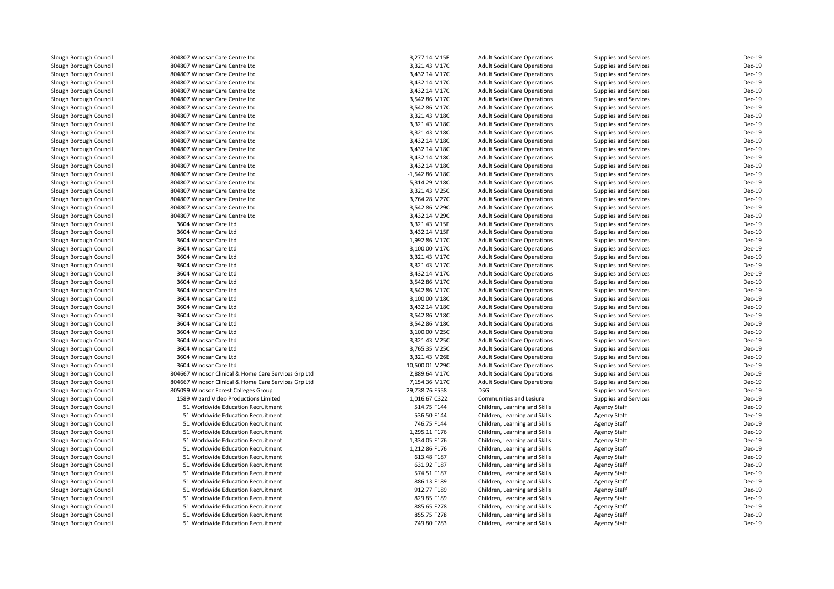| Slough Borough Council | 804807 Windsar Care Centre Ltd                       | 3,277.14 M15F                  | <b>Adult Social Care Operations</b> | Supplies and Services | Dec-19           |
|------------------------|------------------------------------------------------|--------------------------------|-------------------------------------|-----------------------|------------------|
| Slough Borough Council | 804807 Windsar Care Centre Ltd                       | 3,321.43 M17C                  | <b>Adult Social Care Operations</b> | Supplies and Services | Dec-19           |
| Slough Borough Council | 804807 Windsar Care Centre Ltd                       | 3,432.14 M17C                  | <b>Adult Social Care Operations</b> | Supplies and Services | Dec-19           |
| Slough Borough Council | 804807 Windsar Care Centre Ltd                       | 3,432.14 M17C                  | <b>Adult Social Care Operations</b> | Supplies and Services | Dec-19           |
| Slough Borough Council | 804807 Windsar Care Centre Ltd                       | 3,432.14 M17C                  | <b>Adult Social Care Operations</b> | Supplies and Services | Dec-19           |
| Slough Borough Council | 804807 Windsar Care Centre Ltd                       | 3,542.86 M17C                  | <b>Adult Social Care Operations</b> | Supplies and Services | Dec-19           |
| Slough Borough Council | 804807 Windsar Care Centre Ltd                       | 3,542.86 M17C                  | <b>Adult Social Care Operations</b> | Supplies and Services | Dec-19           |
| Slough Borough Council | 804807 Windsar Care Centre Ltd                       | 3,321.43 M18C                  | <b>Adult Social Care Operations</b> | Supplies and Services | Dec-19           |
| Slough Borough Council | 804807 Windsar Care Centre Ltd                       | 3,321.43 M18C                  | <b>Adult Social Care Operations</b> | Supplies and Services | Dec-19           |
| Slough Borough Council | 804807 Windsar Care Centre Ltd                       | 3,321.43 M18C                  | <b>Adult Social Care Operations</b> | Supplies and Services | Dec-19           |
| Slough Borough Council | 804807 Windsar Care Centre Ltd                       | 3,432.14 M18C                  | <b>Adult Social Care Operations</b> | Supplies and Services | Dec-19           |
| Slough Borough Council | 804807 Windsar Care Centre Ltd                       | 3,432.14 M18C                  | <b>Adult Social Care Operations</b> | Supplies and Services | Dec-19           |
| Slough Borough Council | 804807 Windsar Care Centre Ltd                       | 3,432.14 M18C                  | <b>Adult Social Care Operations</b> | Supplies and Services | Dec-19           |
| Slough Borough Council | 804807 Windsar Care Centre Ltd                       | 3,432.14 M18C                  | <b>Adult Social Care Operations</b> | Supplies and Services | Dec-19           |
| Slough Borough Council | 804807 Windsar Care Centre Ltd                       | $-1,542.86$ M18C               | <b>Adult Social Care Operations</b> | Supplies and Services | Dec-19           |
| Slough Borough Council | 804807 Windsar Care Centre Ltd                       | 5,314.29 M18C                  | <b>Adult Social Care Operations</b> | Supplies and Services | Dec-19           |
| Slough Borough Council | 804807 Windsar Care Centre Ltd                       | 3,321.43 M25C                  | <b>Adult Social Care Operations</b> | Supplies and Services | Dec-19           |
| Slough Borough Council | 804807 Windsar Care Centre Ltd                       | 3,764.28 M27C                  | <b>Adult Social Care Operations</b> | Supplies and Services | Dec-19           |
| Slough Borough Council | 804807 Windsar Care Centre Ltd                       | 3,542.86 M29C                  | <b>Adult Social Care Operations</b> | Supplies and Services | Dec-19           |
| Slough Borough Council | 804807 Windsar Care Centre Ltd                       | 3,432.14 M29C                  | <b>Adult Social Care Operations</b> | Supplies and Services | Dec-19           |
| Slough Borough Council | 3604 Windsar Care Ltd                                | 3,321.43 M15F                  | <b>Adult Social Care Operations</b> | Supplies and Services | Dec-19           |
| Slough Borough Council | 3604 Windsar Care Ltd                                | 3,432.14 M15F                  | <b>Adult Social Care Operations</b> | Supplies and Services | Dec-19           |
| Slough Borough Council | 3604 Windsar Care Ltd                                | 1,992.86 M17C                  | <b>Adult Social Care Operations</b> | Supplies and Services | Dec-19           |
| Slough Borough Council | 3604 Windsar Care Ltd                                | 3,100.00 M17C                  | <b>Adult Social Care Operations</b> | Supplies and Services | Dec-19           |
| Slough Borough Council | 3604 Windsar Care Ltd                                | 3,321.43 M17C                  | <b>Adult Social Care Operations</b> | Supplies and Services | Dec-19           |
| Slough Borough Council | 3604 Windsar Care Ltd                                | 3,321.43 M17C                  | <b>Adult Social Care Operations</b> | Supplies and Services | Dec-19           |
| Slough Borough Council | 3604 Windsar Care Ltd                                | 3,432.14 M17C                  | <b>Adult Social Care Operations</b> | Supplies and Services | Dec-19           |
| Slough Borough Council | 3604 Windsar Care Ltd                                | 3,542.86 M17C                  | <b>Adult Social Care Operations</b> | Supplies and Services | Dec-19           |
| Slough Borough Council | 3604 Windsar Care Ltd                                | 3,542.86 M17C                  | <b>Adult Social Care Operations</b> | Supplies and Services | Dec-19           |
| Slough Borough Council | 3604 Windsar Care Ltd                                | 3,100.00 M18C                  | <b>Adult Social Care Operations</b> | Supplies and Services | Dec-19           |
|                        | 3604 Windsar Care Ltd                                | 3,432.14 M18C                  |                                     |                       | Dec-19           |
| Slough Borough Council |                                                      |                                | <b>Adult Social Care Operations</b> | Supplies and Services |                  |
| Slough Borough Council | 3604 Windsar Care Ltd<br>3604 Windsar Care Ltd       | 3,542.86 M18C<br>3,542.86 M18C | <b>Adult Social Care Operations</b> | Supplies and Services | Dec-19<br>Dec-19 |
| Slough Borough Council |                                                      |                                | <b>Adult Social Care Operations</b> | Supplies and Services |                  |
| Slough Borough Council | 3604 Windsar Care Ltd                                | 3,100.00 M25C                  | <b>Adult Social Care Operations</b> | Supplies and Services | Dec-19           |
| Slough Borough Council | 3604 Windsar Care Ltd                                | 3,321.43 M25C                  | <b>Adult Social Care Operations</b> | Supplies and Services | Dec-19           |
| Slough Borough Council | 3604 Windsar Care Ltd                                | 3,765.35 M25C                  | <b>Adult Social Care Operations</b> | Supplies and Services | Dec-19           |
| Slough Borough Council | 3604 Windsar Care Ltd                                | 3,321.43 M26E                  | <b>Adult Social Care Operations</b> | Supplies and Services | Dec-19           |
| Slough Borough Council | 3604 Windsar Care Ltd                                | 10,500.01 M29C                 | <b>Adult Social Care Operations</b> | Supplies and Services | Dec-19           |
| Slough Borough Council | 804667 Windsor Clinical & Home Care Services Grp Ltd | 2,889.64 M17C                  | <b>Adult Social Care Operations</b> | Supplies and Services | Dec-19           |
| Slough Borough Council | 804667 Windsor Clinical & Home Care Services Grp Ltd | 7,154.36 M17C                  | <b>Adult Social Care Operations</b> | Supplies and Services | Dec-19           |
| Slough Borough Council | 805099 Windsor Forest Colleges Group                 | 29,738.76 F558                 | <b>DSG</b>                          | Supplies and Services | Dec-19           |
| Slough Borough Council | 1589 Wizard Video Productions Limited                | 1,016.67 C322                  | Communities and Lesiure             | Supplies and Services | Dec-19           |
| Slough Borough Council | 51 Worldwide Education Recruitment                   | 514.75 F144                    | Children, Learning and Skills       | <b>Agency Staff</b>   | Dec-19           |
| Slough Borough Council | 51 Worldwide Education Recruitment                   | 536.50 F144                    | Children, Learning and Skills       | <b>Agency Staff</b>   | Dec-19           |
| Slough Borough Council | 51 Worldwide Education Recruitment                   | 746.75 F144                    | Children, Learning and Skills       | <b>Agency Staff</b>   | Dec-19           |
| Slough Borough Council | 51 Worldwide Education Recruitment                   | 1,295.11 F176                  | Children, Learning and Skills       | <b>Agency Staff</b>   | Dec-19           |
| Slough Borough Council | 51 Worldwide Education Recruitment                   | 1,334.05 F176                  | Children, Learning and Skills       | <b>Agency Staff</b>   | Dec-19           |
| Slough Borough Council | 51 Worldwide Education Recruitment                   | 1,212.86 F176                  | Children, Learning and Skills       | <b>Agency Staff</b>   | Dec-19           |
| Slough Borough Council | 51 Worldwide Education Recruitment                   | 613.48 F187                    | Children, Learning and Skills       | <b>Agency Staff</b>   | Dec-19           |
| Slough Borough Council | 51 Worldwide Education Recruitment                   | 631.92 F187                    | Children, Learning and Skills       | <b>Agency Staff</b>   | Dec-19           |
| Slough Borough Council | 51 Worldwide Education Recruitment                   | 574.51 F187                    | Children, Learning and Skills       | <b>Agency Staff</b>   | Dec-19           |
| Slough Borough Council | 51 Worldwide Education Recruitment                   | 886.13 F189                    | Children, Learning and Skills       | <b>Agency Staff</b>   | Dec-19           |
| Slough Borough Council | 51 Worldwide Education Recruitment                   | 912.77 F189                    | Children, Learning and Skills       | <b>Agency Staff</b>   | Dec-19           |
| Slough Borough Council | 51 Worldwide Education Recruitment                   | 829.85 F189                    | Children, Learning and Skills       | <b>Agency Staff</b>   | Dec-19           |
| Slough Borough Council | 51 Worldwide Education Recruitment                   | 885.65 F278                    | Children, Learning and Skills       | <b>Agency Staff</b>   | Dec-19           |
| Slough Borough Council | 51 Worldwide Education Recruitment                   | 855.75 F278                    | Children, Learning and Skills       | <b>Agency Staff</b>   | Dec-19           |
| Slough Borough Council | 51 Worldwide Education Recruitment                   | 749.80 F283                    | Children, Learning and Skills       | <b>Agency Staff</b>   | Dec-19           |
|                        |                                                      |                                |                                     |                       |                  |